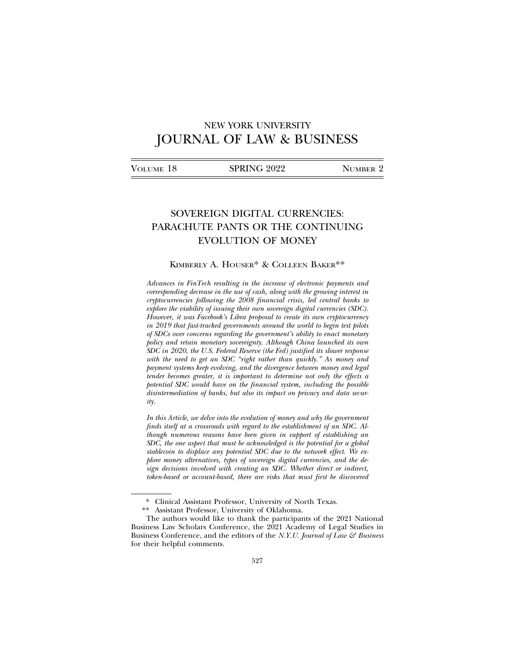# NEW YORK UNIVERSITY JOURNAL OF LAW & BUSINESS

| Volume 18 | SPRING 2022 | NUMBER 2 |
|-----------|-------------|----------|
|           |             |          |

# SOVEREIGN DIGITAL CURRENCIES: PARACHUTE PANTS OR THE CONTINUING EVOLUTION OF MONEY

### KIMBERLY A. HOUSER\* & COLLEEN BAKER\*\*

*Advances in FinTech resulting in the increase of electronic payments and corresponding decrease in the use of cash, along with the growing interest in cryptocurrencies following the 2008 financial crisis, led central banks to explore the viability of issuing their own sovereign digital currencies (SDC). However, it was Facebook's Libra proposal to create its own cryptocurrency in 2019 that fast-tracked governments around the world to begin test pilots of SDCs over concerns regarding the government's ability to enact monetary policy and retain monetary sovereignty. Although China launched its own SDC in 2020, the U.S. Federal Reserve (the Fed) justified its slower response with the need to get an SDC "right rather than quickly." As money and payment systems keep evolving, and the divergence between money and legal tender becomes greater, it is important to determine not only the effects a potential SDC would have on the financial system, including the possible disintermediation of banks, but also its impact on privacy and data security.*

*In this Article, we delve into the evolution of money and why the government finds itself at a crossroads with regard to the establishment of an SDC. Although numerous reasons have been given in support of establishing an SDC, the one aspect that must be acknowledged is the potential for a global stablecoin to displace any potential SDC due to the network effect. We explore money alternatives, types of sovereign digital currencies, and the design decisions involved with creating an SDC. Whether direct or indirect, token-based or account-based, there are risks that must first be discovered*

<sup>\*</sup> Clinical Assistant Professor, University of North Texas.

<sup>\*\*</sup> Assistant Professor, University of Oklahoma.

The authors would like to thank the participants of the 2021 National Business Law Scholars Conference, the 2021 Academy of Legal Studies in Business Conference, and the editors of the *N.Y.U. Journal of Law & Business* for their helpful comments.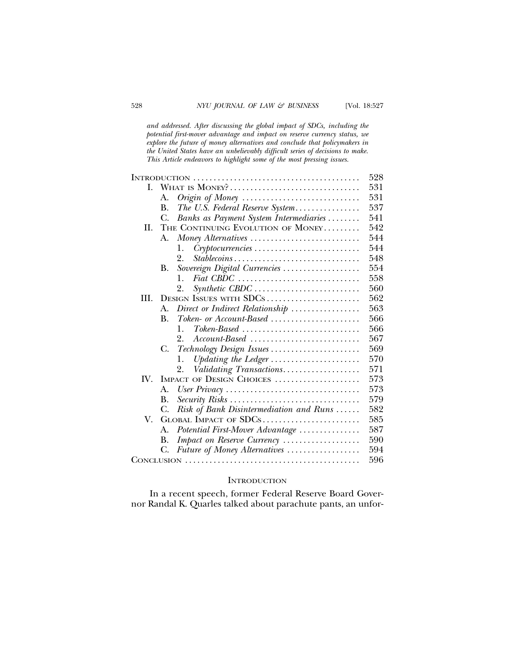*and addressed. After discussing the global impact of SDCs, including the potential first-mover advantage and impact on reserve currency status, we explore the future of money alternatives and conclude that policymakers in the United States have an unbelievably difficult series of decisions to make. This Article endeavors to highlight some of the most pressing issues.*

|      |             |                                                                                        | 528 |
|------|-------------|----------------------------------------------------------------------------------------|-----|
| L.   |             | WHAT IS MONEY?                                                                         | 531 |
|      | А.          |                                                                                        | 531 |
|      | B.          | The U.S. Federal Reserve System                                                        | 537 |
|      | C.          | Banks as Payment System Intermediaries                                                 | 541 |
| H.   |             | THE CONTINUING EVOLUTION OF MONEY                                                      | 542 |
|      | A.          | Money Alternatives                                                                     | 544 |
|      |             | Cryptocurrencies<br>1.                                                                 | 544 |
|      |             | 2.<br>Stablecoins                                                                      | 548 |
|      | В.          | Sovereign Digital Currencies                                                           | 554 |
|      |             | $\mathbf{1}$ .                                                                         | 558 |
|      |             | Synthetic CBDC<br>2.                                                                   | 560 |
| III. |             | DESIGN ISSUES WITH SDCS                                                                | 562 |
|      | $A_{\cdot}$ | Direct or Indirect Relationship                                                        | 563 |
|      | В.          | $Token- or Account-Based \dots \dots \dots \dots \dots \dots \dots$                    | 566 |
|      |             | $Token\text{-}Based \dots \dots \dots \dots \dots \dots \dots \dots \dots \dots$<br>1. | 566 |
|      |             | 2.<br>$Account-Based \dots \dots \dots \dots \dots \dots \dots \dots \dots \dots$      | 567 |
|      | C.          | Technology Design Issues                                                               | 569 |
|      |             | Updating the Ledger<br>1.                                                              | 570 |
|      |             | Validating Transactions<br>2.                                                          | 571 |
| IV.  |             | IMPACT OF DESIGN CHOICES                                                               | 573 |
|      | A.          |                                                                                        | 573 |
|      | В.          | Security Risks                                                                         | 579 |
|      | C.          | Risk of Bank Disintermediation and Runs                                                | 582 |
| V.   |             | GLOBAL IMPACT OF SDCS                                                                  | 585 |
|      | А.          | Potential First-Mover Advantage                                                        | 587 |
|      | В.          | Impact on Reserve Currency                                                             | 590 |
|      | C.          | Future of Money Alternatives                                                           | 594 |
|      | 596         |                                                                                        |     |

### **INTRODUCTION**

In a recent speech, former Federal Reserve Board Governor Randal K. Quarles talked about parachute pants, an unfor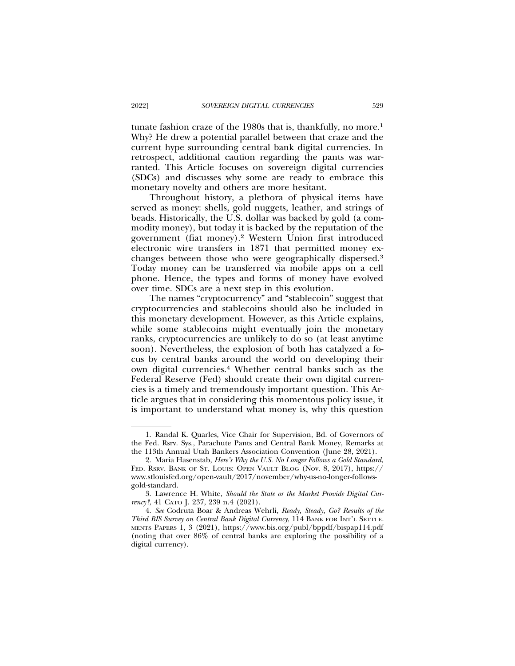tunate fashion craze of the 1980s that is, thankfully, no more.<sup>1</sup> Why? He drew a potential parallel between that craze and the current hype surrounding central bank digital currencies. In retrospect, additional caution regarding the pants was warranted. This Article focuses on sovereign digital currencies (SDCs) and discusses why some are ready to embrace this monetary novelty and others are more hesitant.

Throughout history, a plethora of physical items have served as money: shells, gold nuggets, leather, and strings of beads. Historically, the U.S. dollar was backed by gold (a commodity money), but today it is backed by the reputation of the government (fiat money).2 Western Union first introduced electronic wire transfers in 1871 that permitted money exchanges between those who were geographically dispersed.3 Today money can be transferred via mobile apps on a cell phone. Hence, the types and forms of money have evolved over time. SDCs are a next step in this evolution.

The names "cryptocurrency" and "stablecoin" suggest that cryptocurrencies and stablecoins should also be included in this monetary development. However, as this Article explains, while some stablecoins might eventually join the monetary ranks, cryptocurrencies are unlikely to do so (at least anytime soon). Nevertheless, the explosion of both has catalyzed a focus by central banks around the world on developing their own digital currencies.4 Whether central banks such as the Federal Reserve (Fed) should create their own digital currencies is a timely and tremendously important question. This Article argues that in considering this momentous policy issue, it is important to understand what money is, why this question

<sup>1.</sup> Randal K. Quarles, Vice Chair for Supervision, Bd. of Governors of the Fed. Rsrv. Sys., Parachute Pants and Central Bank Money, Remarks at the 113th Annual Utah Bankers Association Convention (June 28, 2021).

<sup>2.</sup> Maria Hasenstab, *Here's Why the U.S. No Longer Follows a Gold Standard*, FED. RSRV. BANK OF ST. LOUIS: OPEN VAULT BLOG (Nov. 8, 2017), https:// www.stlouisfed.org/open-vault/2017/november/why-us-no-longer-followsgold-standard.

<sup>3.</sup> Lawrence H. White, *Should the State or the Market Provide Digital Currency?*, 41 CATO J. 237, 239 n.4 (2021).

<sup>4.</sup> *See* Codruta Boar & Andreas Wehrli, *Ready, Steady, Go? Results of the Third BIS Survey on Central Bank Digital Currency*, 114 BANK FOR INT'L SETTLE-MENTS PAPERS 1, 3 (2021), https://www.bis.org/publ/bppdf/bispap114.pdf (noting that over 86% of central banks are exploring the possibility of a digital currency).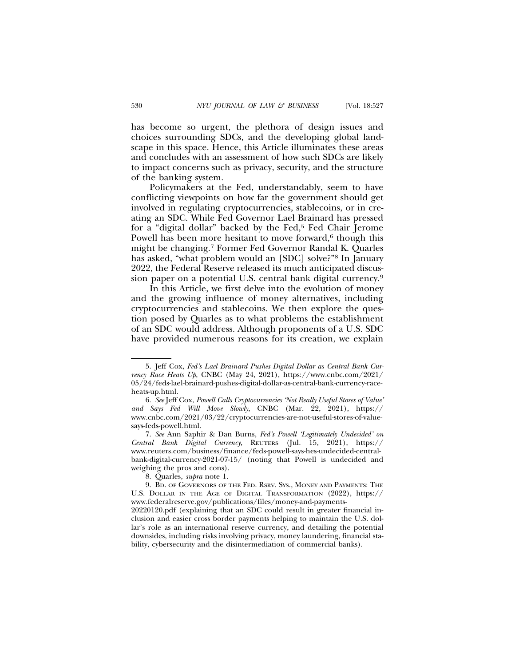has become so urgent, the plethora of design issues and choices surrounding SDCs, and the developing global landscape in this space. Hence, this Article illuminates these areas and concludes with an assessment of how such SDCs are likely to impact concerns such as privacy, security, and the structure of the banking system.

Policymakers at the Fed, understandably, seem to have conflicting viewpoints on how far the government should get involved in regulating cryptocurrencies, stablecoins, or in creating an SDC. While Fed Governor Lael Brainard has pressed for a "digital dollar" backed by the Fed,5 Fed Chair Jerome Powell has been more hesitant to move forward,<sup>6</sup> though this might be changing.7 Former Fed Governor Randal K. Quarles has asked, "what problem would an [SDC] solve?"8 In January 2022, the Federal Reserve released its much anticipated discussion paper on a potential U.S. central bank digital currency.9

In this Article, we first delve into the evolution of money and the growing influence of money alternatives, including cryptocurrencies and stablecoins. We then explore the question posed by Quarles as to what problems the establishment of an SDC would address. Although proponents of a U.S. SDC have provided numerous reasons for its creation, we explain

<sup>5.</sup> Jeff Cox, *Fed's Lael Brainard Pushes Digital Dollar as Central Bank Currency Race Heats Up*, CNBC (May 24, 2021), https://www.cnbc.com/2021/ 05/24/feds-lael-brainard-pushes-digital-dollar-as-central-bank-currency-raceheats-up.html.

<sup>6.</sup> *See* Jeff Cox, *Powell Calls Cryptocurrencies 'Not Really Useful Stores of Value' and Says Fed Will Move Slowly*, CNBC (Mar. 22, 2021), https:// www.cnbc.com/2021/03/22/cryptocurrencies-are-not-useful-stores-of-valuesays-feds-powell.html.

<sup>7.</sup> *See* Ann Saphir & Dan Burns, *Fed's Powell 'Legitimately Undecided' on Central Bank Digital Currency*, REUTERS (Jul. 15, 2021), https:// www.reuters.com/business/finance/feds-powell-says-hes-undecided-centralbank-digital-currency-2021-07-15/ (noting that Powell is undecided and weighing the pros and cons).

<sup>8.</sup> Quarles, *supra* note 1.

<sup>9.</sup> BD. OF GOVERNORS OF THE FED. RSRV. SYS., MONEY AND PAYMENTS: THE U.S. DOLLAR IN THE AGE OF DIGITAL TRANSFORMATION (2022), https:// www.federalreserve.gov/publications/files/money-and-payments-20220120.pdf (explaining that an SDC could result in greater financial inclusion and easier cross border payments helping to maintain the U.S. dollar's role as an international reserve currency, and detailing the potential downsides, including risks involving privacy, money laundering, financial stability, cybersecurity and the disintermediation of commercial banks).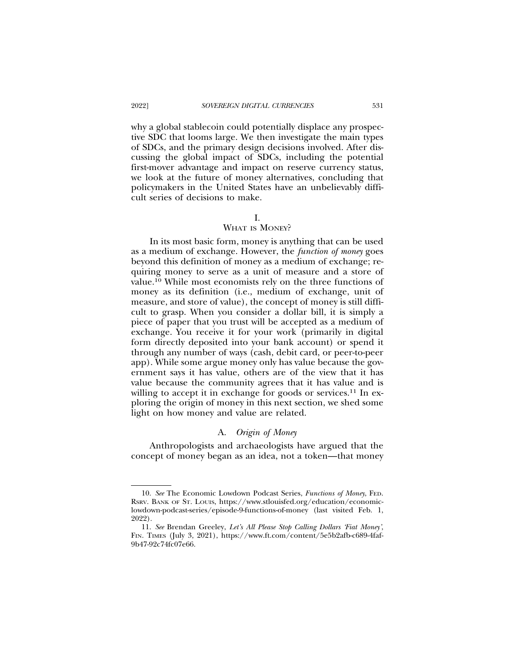why a global stablecoin could potentially displace any prospective SDC that looms large. We then investigate the main types of SDCs, and the primary design decisions involved. After discussing the global impact of SDCs, including the potential first-mover advantage and impact on reserve currency status, we look at the future of money alternatives, concluding that policymakers in the United States have an unbelievably difficult series of decisions to make.

### I.

### WHAT IS MONEY?

In its most basic form, money is anything that can be used as a medium of exchange. However, the *function of money* goes beyond this definition of money as a medium of exchange; requiring money to serve as a unit of measure and a store of value.10 While most economists rely on the three functions of money as its definition (i.e., medium of exchange, unit of measure, and store of value), the concept of money is still difficult to grasp. When you consider a dollar bill, it is simply a piece of paper that you trust will be accepted as a medium of exchange. You receive it for your work (primarily in digital form directly deposited into your bank account) or spend it through any number of ways (cash, debit card, or peer-to-peer app). While some argue money only has value because the government says it has value, others are of the view that it has value because the community agrees that it has value and is willing to accept it in exchange for goods or services.<sup>11</sup> In exploring the origin of money in this next section, we shed some light on how money and value are related.

### A. *Origin of Money*

Anthropologists and archaeologists have argued that the concept of money began as an idea, not a token—that money

<sup>10.</sup> *See* The Economic Lowdown Podcast Series, *Functions of Money*, FED. RSRV. BANK OF ST. LOUIS, https://www.stlouisfed.org/education/economiclowdown-podcast-series/episode-9-functions-of-money (last visited Feb. 1, 2022).

<sup>11.</sup> *See* Brendan Greeley, *Let's All Please Stop Calling Dollars 'Fiat Money'*, FIN. TIMES (July 3, 2021), https://www.ft.com/content/5e5b2afb-c689-4faf-9b47-92c74fc07e66.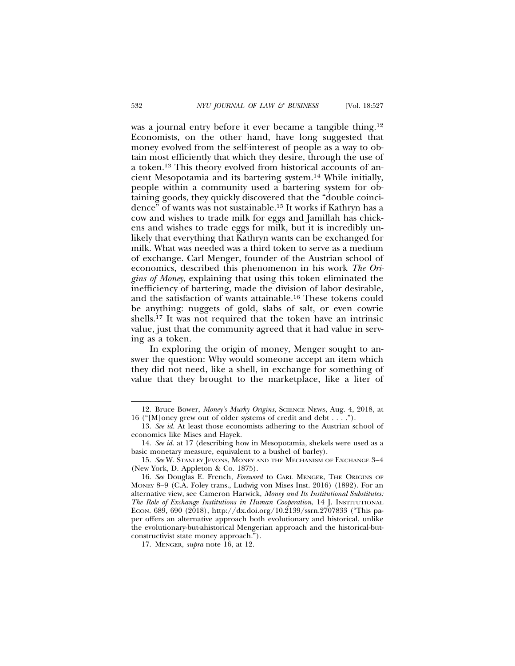was a journal entry before it ever became a tangible thing.<sup>12</sup> Economists, on the other hand, have long suggested that money evolved from the self-interest of people as a way to obtain most efficiently that which they desire, through the use of a token.13 This theory evolved from historical accounts of ancient Mesopotamia and its bartering system.14 While initially, people within a community used a bartering system for obtaining goods, they quickly discovered that the "double coincidence" of wants was not sustainable.15 It works if Kathryn has a cow and wishes to trade milk for eggs and Jamillah has chickens and wishes to trade eggs for milk, but it is incredibly unlikely that everything that Kathryn wants can be exchanged for milk. What was needed was a third token to serve as a medium of exchange. Carl Menger, founder of the Austrian school of economics, described this phenomenon in his work *The Origins of Money*, explaining that using this token eliminated the inefficiency of bartering, made the division of labor desirable, and the satisfaction of wants attainable.16 These tokens could be anything: nuggets of gold, slabs of salt, or even cowrie shells.17 It was not required that the token have an intrinsic value, just that the community agreed that it had value in serving as a token.

In exploring the origin of money, Menger sought to answer the question: Why would someone accept an item which they did not need, like a shell, in exchange for something of value that they brought to the marketplace, like a liter of

17. MENGER, *supra* note 16, at 12.

<sup>12.</sup> Bruce Bower, *Money's Murky Origins*, SCIENCE NEWS, Aug. 4, 2018, at 16 ("[M]oney grew out of older systems of credit and debt . . . .").

<sup>13.</sup> *See id.* At least those economists adhering to the Austrian school of economics like Mises and Hayek.

<sup>14.</sup> *See id.* at 17 (describing how in Mesopotamia, shekels were used as a basic monetary measure, equivalent to a bushel of barley).

<sup>15.</sup> See W. STANLEY JEVONS, MONEY AND THE MECHANISM OF EXCHANGE 3-4 (New York, D. Appleton & Co. 1875).

<sup>16.</sup> *See* Douglas E. French, *Foreword* to CARL MENGER, THE ORIGINS OF MONEY 8–9 (C.A. Foley trans., Ludwig von Mises Inst. 2016) (1892). For an alternative view, see Cameron Harwick, *Money and Its Institutional Substitutes: The Role of Exchange Institutions in Human Cooperation*, 14 J. INSTITUTIONAL ECON. 689, 690 (2018), http://dx.doi.org/10.2139/ssrn.2707833 ("This paper offers an alternative approach both evolutionary and historical, unlike the evolutionary-but-ahistorical Mengerian approach and the historical-butconstructivist state money approach.").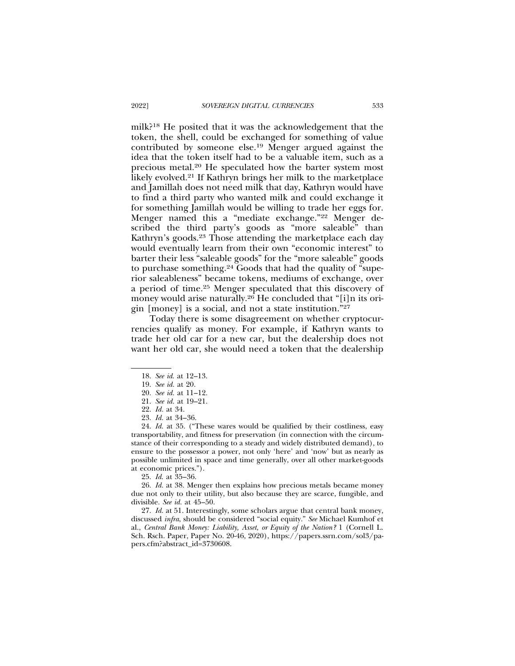milk?18 He posited that it was the acknowledgement that the token, the shell, could be exchanged for something of value contributed by someone else.19 Menger argued against the idea that the token itself had to be a valuable item, such as a precious metal.20 He speculated how the barter system most likely evolved.21 If Kathryn brings her milk to the marketplace and Jamillah does not need milk that day, Kathryn would have to find a third party who wanted milk and could exchange it for something Jamillah would be willing to trade her eggs for. Menger named this a "mediate exchange."22 Menger described the third party's goods as "more saleable" than Kathryn's goods.23 Those attending the marketplace each day would eventually learn from their own "economic interest" to barter their less "saleable goods" for the "more saleable" goods to purchase something.24 Goods that had the quality of "superior saleableness" became tokens, mediums of exchange, over a period of time.25 Menger speculated that this discovery of money would arise naturally.<sup>26</sup> He concluded that "[i]n its origin [money] is a social, and not a state institution."27

Today there is some disagreement on whether cryptocurrencies qualify as money. For example, if Kathryn wants to trade her old car for a new car, but the dealership does not want her old car, she would need a token that the dealership

<sup>18.</sup> *See id*. at 12–13.

<sup>19.</sup> *See id.* at 20.

<sup>20.</sup> *See id.* at 11–12.

<sup>21.</sup> *See id.* at 19–21.

<sup>22.</sup> *Id.* at 34.

<sup>23.</sup> *Id.* at 34–36.

<sup>24.</sup> *Id.* at 35. ("These wares would be qualified by their costliness, easy transportability, and fitness for preservation (in connection with the circumstance of their corresponding to a steady and widely distributed demand), to ensure to the possessor a power, not only 'here' and 'now' but as nearly as possible unlimited in space and time generally, over all other market-goods at economic prices.").

<sup>25.</sup> *Id*. at 35–36.

<sup>26.</sup> *Id.* at 38. Menger then explains how precious metals became money due not only to their utility, but also because they are scarce, fungible, and divisible. *See id.* at 45–50.

<sup>27.</sup> *Id.* at 51. Interestingly, some scholars argue that central bank money, discussed *infra*, should be considered "social equity." *See* Michael Kumhof et al., *Central Bank Money: Liability, Asset, or Equity of the Nation?* 1 (Cornell L. Sch. Rsch. Paper, Paper No. 20-46, 2020), https://papers.ssrn.com/sol3/papers.cfm?abstract\_id=3730608.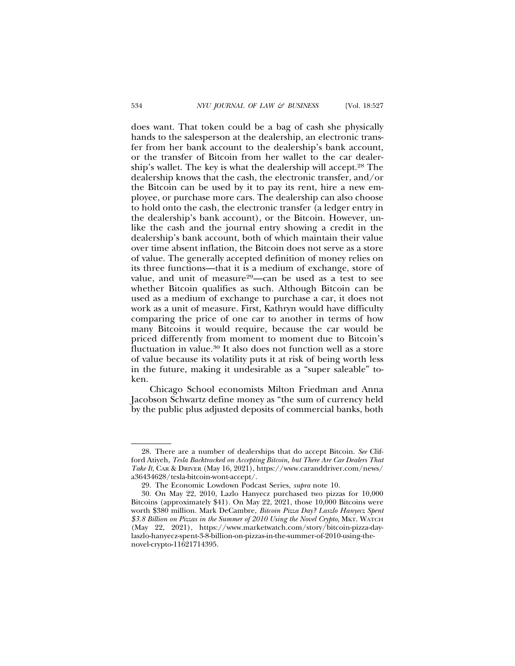does want. That token could be a bag of cash she physically hands to the salesperson at the dealership, an electronic transfer from her bank account to the dealership's bank account, or the transfer of Bitcoin from her wallet to the car dealership's wallet. The key is what the dealership will accept.28 The dealership knows that the cash, the electronic transfer, and/or the Bitcoin can be used by it to pay its rent, hire a new employee, or purchase more cars. The dealership can also choose to hold onto the cash, the electronic transfer (a ledger entry in the dealership's bank account), or the Bitcoin. However, unlike the cash and the journal entry showing a credit in the dealership's bank account, both of which maintain their value over time absent inflation, the Bitcoin does not serve as a store of value. The generally accepted definition of money relies on its three functions—that it is a medium of exchange, store of value, and unit of measure<sup>29</sup>-can be used as a test to see whether Bitcoin qualifies as such. Although Bitcoin can be used as a medium of exchange to purchase a car, it does not work as a unit of measure. First, Kathryn would have difficulty comparing the price of one car to another in terms of how many Bitcoins it would require, because the car would be priced differently from moment to moment due to Bitcoin's fluctuation in value.30 It also does not function well as a store of value because its volatility puts it at risk of being worth less in the future, making it undesirable as a "super saleable" token.

Chicago School economists Milton Friedman and Anna Jacobson Schwartz define money as "the sum of currency held by the public plus adjusted deposits of commercial banks, both

<sup>28.</sup> There are a number of dealerships that do accept Bitcoin. *See* Clifford Atiyeh, *Tesla Backtracked on Accepting Bitcoin, but There Are Car Dealers That Take It*, CAR & DRIVER (May 16, 2021), https://www.caranddriver.com/news/ a36434628/tesla-bitcoin-wont-accept/.

<sup>29.</sup> The Economic Lowdown Podcast Series, *supra* note 10.

<sup>30.</sup> On May 22, 2010, Lazlo Hanyecz purchased two pizzas for 10,000 Bitcoins (approximately \$41). On May 22, 2021, those 10,000 Bitcoins were worth \$380 million. Mark DeCambre, *Bitcoin Pizza Day? Laszlo Hanyecz Spent \$3.8 Billion on Pizzas in the Summer of 2010 Using the Novel Crypto*, MKT. WATCH (May 22, 2021), https://www.marketwatch.com/story/bitcoin-pizza-daylaszlo-hanyecz-spent-3-8-billion-on-pizzas-in-the-summer-of-2010-using-thenovel-crypto-11621714395.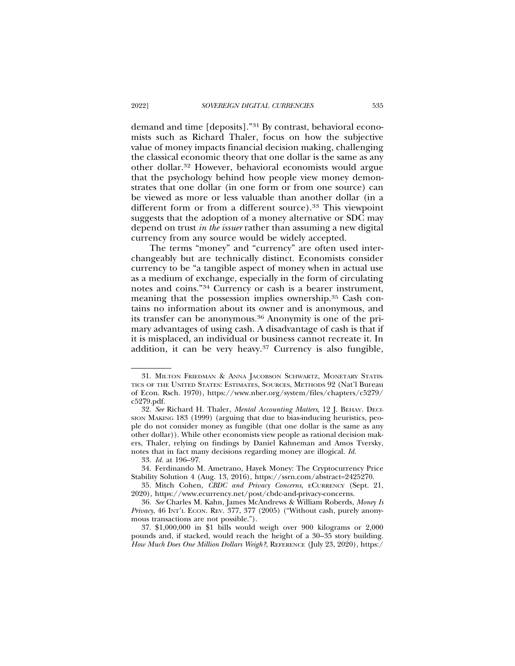demand and time [deposits]."31 By contrast, behavioral economists such as Richard Thaler, focus on how the subjective value of money impacts financial decision making, challenging the classical economic theory that one dollar is the same as any other dollar.32 However, behavioral economists would argue that the psychology behind how people view money demonstrates that one dollar (in one form or from one source) can be viewed as more or less valuable than another dollar (in a different form or from a different source).<sup>33</sup> This viewpoint suggests that the adoption of a money alternative or SDC may depend on trust *in the issuer* rather than assuming a new digital currency from any source would be widely accepted.

The terms "money" and "currency" are often used interchangeably but are technically distinct. Economists consider currency to be "a tangible aspect of money when in actual use as a medium of exchange, especially in the form of circulating notes and coins."34 Currency or cash is a bearer instrument, meaning that the possession implies ownership.35 Cash contains no information about its owner and is anonymous, and its transfer can be anonymous.<sup>36</sup> Anonymity is one of the primary advantages of using cash. A disadvantage of cash is that if it is misplaced, an individual or business cannot recreate it. In addition, it can be very heavy.37 Currency is also fungible,

33. *Id.* at 196–97.

<sup>31.</sup> MILTON FRIEDMAN & ANNA JACOBSON SCHWARTZ, MONETARY STATIS-TICS OF THE UNITED STATES: ESTIMATES, SOURCES, METHODS 92 (Nat'l Bureau of Econ. Rsch. 1970), https://www.nber.org/system/files/chapters/c5279/ c5279.pdf.

<sup>32.</sup> *See* Richard H. Thaler, *Mental Accounting Matters*, 12 J. BEHAV. DECI-SION MAKING 183 (1999) (arguing that due to bias-inducing heuristics, people do not consider money as fungible (that one dollar is the same as any other dollar)). While other economists view people as rational decision makers, Thaler, relying on findings by Daniel Kahneman and Amos Tversky, notes that in fact many decisions regarding money are illogical. *Id.*

<sup>34.</sup> Ferdinando M. Ametrano, Hayek Money: The Cryptocurrency Price Stability Solution 4 (Aug. 13, 2016), https://ssrn.com/abstract=2425270.

<sup>35.</sup> Mitch Cohen, *CBDC and Privacy Concerns*, ECURRENCY (Sept. 21, 2020), https://www.ecurrency.net/post/cbdc-and-privacy-concerns.

<sup>36.</sup> *See* Charles M. Kahn, James McAndrews & William Roberds, *Money Is Privacy*, 46 INT'L ECON. REV. 377, 377 (2005) ("Without cash, purely anonymous transactions are not possible.").

<sup>37. \$1,000,000</sup> in \$1 bills would weigh over 900 kilograms or 2,000 pounds and, if stacked, would reach the height of a 30–35 story building. *How Much Does One Million Dollars Weigh?*, REFERENCE (July 23, 2020), https:/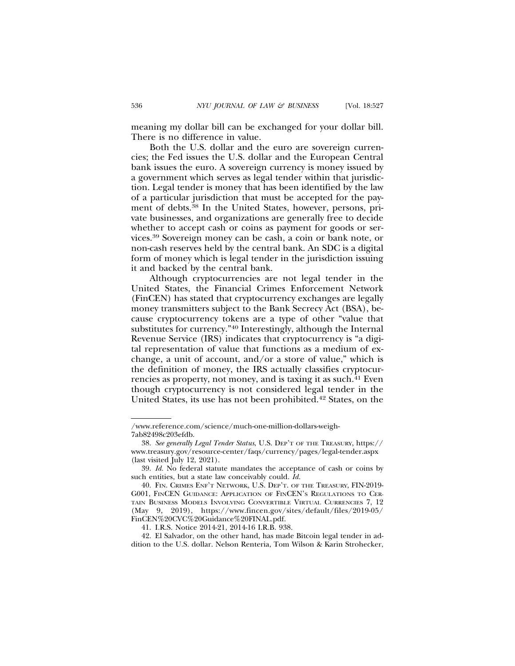meaning my dollar bill can be exchanged for your dollar bill. There is no difference in value.

Both the U.S. dollar and the euro are sovereign currencies; the Fed issues the U.S. dollar and the European Central bank issues the euro. A sovereign currency is money issued by a government which serves as legal tender within that jurisdiction. Legal tender is money that has been identified by the law of a particular jurisdiction that must be accepted for the payment of debts.38 In the United States, however, persons, private businesses, and organizations are generally free to decide whether to accept cash or coins as payment for goods or services.39 Sovereign money can be cash, a coin or bank note, or non-cash reserves held by the central bank. An SDC is a digital form of money which is legal tender in the jurisdiction issuing it and backed by the central bank.

Although cryptocurrencies are not legal tender in the United States, the Financial Crimes Enforcement Network (FinCEN) has stated that cryptocurrency exchanges are legally money transmitters subject to the Bank Secrecy Act (BSA), because cryptocurrency tokens are a type of other "value that substitutes for currency."40 Interestingly, although the Internal Revenue Service (IRS) indicates that cryptocurrency is "a digital representation of value that functions as a medium of exchange, a unit of account, and/or a store of value," which is the definition of money, the IRS actually classifies cryptocurrencies as property, not money, and is taxing it as such.41 Even though cryptocurrency is not considered legal tender in the United States, its use has not been prohibited.42 States, on the

<sup>/</sup>www.reference.com/science/much-one-million-dollars-weigh-7ab82498c203efdb.

<sup>38.</sup> *See generally Legal Tender Status*, U.S. DEP'T OF THE TREASURY, https:// www.treasury.gov/resource-center/faqs/currency/pages/legal-tender.aspx (last visited July 12, 2021).

<sup>39.</sup> *Id.* No federal statute mandates the acceptance of cash or coins by such entities, but a state law conceivably could. *Id.*

<sup>40.</sup> FIN. CRIMES ENF'T NETWORK, U.S. DEP'T. OF THE TREASURY, FIN-2019- G001, FINCEN GUIDANCE: APPLICATION OF FINCEN'S REGULATIONS TO CER-TAIN BUSINESS MODELS INVOLVING CONVERTIBLE VIRTUAL CURRENCIES 7, 12 (May 9, 2019), https://www.fincen.gov/sites/default/files/2019-05/ FinCEN%20CVC%20Guidance%20FINAL.pdf.

<sup>41.</sup> I.R.S. Notice 2014-21, 2014-16 I.R.B. 938.

<sup>42.</sup> El Salvador, on the other hand, has made Bitcoin legal tender in addition to the U.S. dollar. Nelson Renteria, Tom Wilson & Karin Strohecker,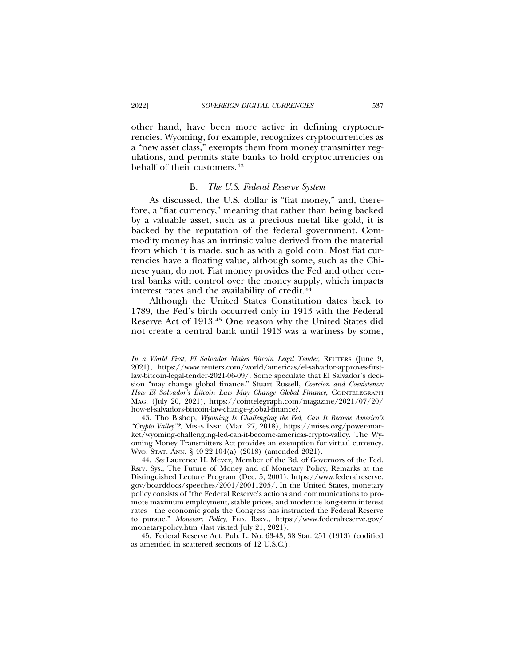other hand, have been more active in defining cryptocurrencies. Wyoming, for example, recognizes cryptocurrencies as a "new asset class," exempts them from money transmitter regulations, and permits state banks to hold cryptocurrencies on behalf of their customers.43

#### B. *The U.S. Federal Reserve System*

As discussed, the U.S. dollar is "fiat money," and, therefore, a "fiat currency," meaning that rather than being backed by a valuable asset, such as a precious metal like gold, it is backed by the reputation of the federal government. Commodity money has an intrinsic value derived from the material from which it is made, such as with a gold coin. Most fiat currencies have a floating value, although some, such as the Chinese yuan, do not. Fiat money provides the Fed and other central banks with control over the money supply, which impacts interest rates and the availability of credit.<sup>44</sup>

Although the United States Constitution dates back to 1789, the Fed's birth occurred only in 1913 with the Federal Reserve Act of 1913.45 One reason why the United States did not create a central bank until 1913 was a wariness by some,

45. Federal Reserve Act, Pub. L. No. 63-43, 38 Stat. 251 (1913) (codified as amended in scattered sections of 12 U.S.C.).

*In a World First, El Salvador Makes Bitcoin Legal Tender*, REUTERS (June 9, 2021), https://www.reuters.com/world/americas/el-salvador-approves-firstlaw-bitcoin-legal-tender-2021-06-09/. Some speculate that El Salvador's decision "may change global finance." Stuart Russell, *Coercion and Coexistence: How El Salvador's Bitcoin Law May Change Global Finance*, COINTELEGRAPH MAG. (July 20, 2021), https://cointelegraph.com/magazine/2021/07/20/ how-el-salvadors-bitcoin-law-change-global-finance?.

<sup>43.</sup> Tho Bishop, *Wyoming Is Challenging the Fed, Can It Become America's "Crypto Valley"?*, MISES INST. (Mar. 27, 2018), https://mises.org/power-market/wyoming-challenging-fed-can-it-become-americas-crypto-valley. The Wyoming Money Transmitters Act provides an exemption for virtual currency. WYO. STAT. ANN. § 40-22-104(a) (2018) (amended 2021).

<sup>44.</sup> *See* Laurence H. Meyer, Member of the Bd. of Governors of the Fed. Rsrv. Sys., The Future of Money and of Monetary Policy, Remarks at the Distinguished Lecture Program (Dec. 5, 2001), https://www.federalreserve. gov/boarddocs/speeches/2001/20011205/. In the United States, monetary policy consists of "the Federal Reserve's actions and communications to promote maximum employment, stable prices, and moderate long-term interest rates—the economic goals the Congress has instructed the Federal Reserve to pursue." *Monetary Policy*, FED. RSRV., https://www.federalreserve.gov/ monetarypolicy.htm (last visited July 21, 2021).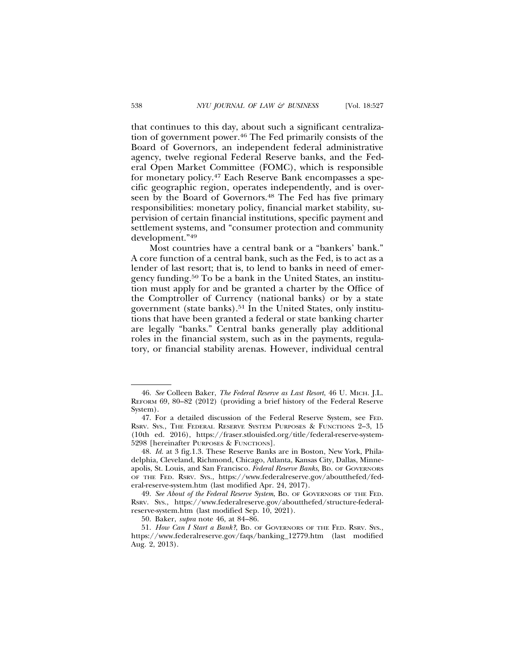that continues to this day, about such a significant centralization of government power.46 The Fed primarily consists of the Board of Governors, an independent federal administrative agency, twelve regional Federal Reserve banks, and the Federal Open Market Committee (FOMC), which is responsible for monetary policy.47 Each Reserve Bank encompasses a specific geographic region, operates independently, and is overseen by the Board of Governors.<sup>48</sup> The Fed has five primary responsibilities: monetary policy, financial market stability, supervision of certain financial institutions, specific payment and settlement systems, and "consumer protection and community development."49

Most countries have a central bank or a "bankers' bank." A core function of a central bank, such as the Fed, is to act as a lender of last resort; that is, to lend to banks in need of emergency funding.50 To be a bank in the United States, an institution must apply for and be granted a charter by the Office of the Comptroller of Currency (national banks) or by a state government (state banks).51 In the United States, only institutions that have been granted a federal or state banking charter are legally "banks." Central banks generally play additional roles in the financial system, such as in the payments, regulatory, or financial stability arenas. However, individual central

<sup>46.</sup> *See* Colleen Baker, *The Federal Reserve as Last Resort*, 46 U. MICH. J.L. REFORM 69, 80–82 (2012) (providing a brief history of the Federal Reserve System).

<sup>47.</sup> For a detailed discussion of the Federal Reserve System, see FED. RSRV. SYS., THE FEDERAL RESERVE SYSTEM PURPOSES & FUNCTIONS 2–3, 15 (10th ed. 2016), https://fraser.stlouisfed.org/title/federal-reserve-system-5298 [hereinafter PURPOSES & FUNCTIONS].

<sup>48.</sup> *Id.* at 3 fig.1.3. These Reserve Banks are in Boston, New York, Philadelphia, Cleveland, Richmond, Chicago, Atlanta, Kansas City, Dallas, Minneapolis, St. Louis, and San Francisco. *Federal Reserve Banks*, BD. OF GOVERNORS OF THE FED. RSRV. SYS., https://www.federalreserve.gov/aboutthefed/federal-reserve-system.htm (last modified Apr. 24, 2017).

<sup>49.</sup> *See About of the Federal Reserve System*, BD. OF GOVERNORS OF THE FED. RSRV. SYS., https://www.federalreserve.gov/aboutthefed/structure-federalreserve-system.htm (last modified Sep. 10, 2021).

<sup>50.</sup> Baker, *supra* note 46, at 84–86.

<sup>51.</sup> *How Can I Start a Bank?*, BD. OF GOVERNORS OF THE FED. RSRV. SYS., https://www.federalreserve.gov/faqs/banking\_12779.htm (last modified Aug. 2, 2013).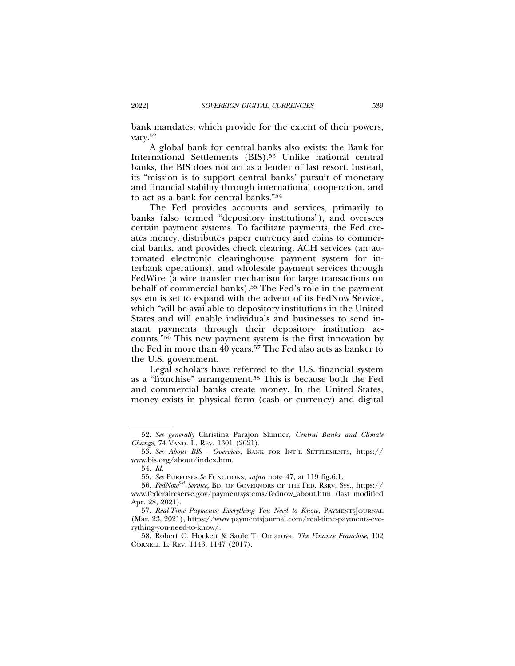bank mandates, which provide for the extent of their powers, vary.52

A global bank for central banks also exists: the Bank for International Settlements (BIS).53 Unlike national central banks, the BIS does not act as a lender of last resort. Instead, its "mission is to support central banks' pursuit of monetary and financial stability through international cooperation, and to act as a bank for central banks."54

The Fed provides accounts and services, primarily to banks (also termed "depository institutions"), and oversees certain payment systems. To facilitate payments, the Fed creates money, distributes paper currency and coins to commercial banks, and provides check clearing, ACH services (an automated electronic clearinghouse payment system for interbank operations), and wholesale payment services through FedWire (a wire transfer mechanism for large transactions on behalf of commercial banks).<sup>55</sup> The Fed's role in the payment system is set to expand with the advent of its FedNow Service, which "will be available to depository institutions in the United States and will enable individuals and businesses to send instant payments through their depository institution accounts."56 This new payment system is the first innovation by the Fed in more than 40 years.57 The Fed also acts as banker to the U.S. government.

Legal scholars have referred to the U.S. financial system as a "franchise" arrangement.58 This is because both the Fed and commercial banks create money. In the United States, money exists in physical form (cash or currency) and digital

<sup>52.</sup> *See generally* Christina Parajon Skinner, *Central Banks and Climate Change*, 74 VAND. L. REV. 1301 (2021).

<sup>53.</sup> *See About BIS - Overview*, BANK FOR INT'L SETTLEMENTS, https:// www.bis.org/about/index.htm.

<sup>54.</sup> *Id.*

<sup>55.</sup> *See* PURPOSES & FUNCTIONS, *supra* note 47, at 119 fig.6.1.

<sup>56.</sup> *FedNowSM Service*, BD. OF GOVERNORS OF THE FED. RSRV. SYS., https:// www.federalreserve.gov/paymentsystems/fednow\_about.htm (last modified Apr. 28, 2021).

<sup>57.</sup> *Real-Time Payments: Everything You Need to Know*, PAYMENTSJOURNAL (Mar. 23, 2021), https://www.paymentsjournal.com/real-time-payments-everything-you-need-to-know/.

<sup>58.</sup> Robert C. Hockett & Saule T. Omarova, *The Finance Franchise*, 102 CORNELL L. REV. 1143, 1147 (2017).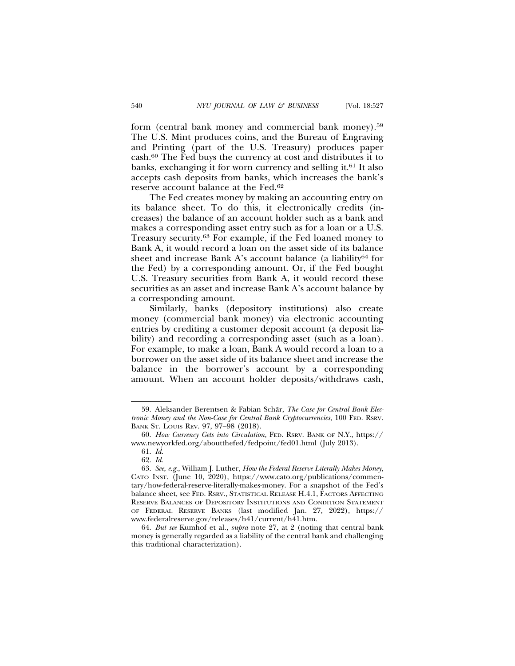form (central bank money and commercial bank money).59 The U.S. Mint produces coins, and the Bureau of Engraving and Printing (part of the U.S. Treasury) produces paper cash.60 The Fed buys the currency at cost and distributes it to banks, exchanging it for worn currency and selling it.61 It also accepts cash deposits from banks, which increases the bank's reserve account balance at the Fed.62

The Fed creates money by making an accounting entry on its balance sheet. To do this, it electronically credits (increases) the balance of an account holder such as a bank and makes a corresponding asset entry such as for a loan or a U.S. Treasury security.63 For example, if the Fed loaned money to Bank A, it would record a loan on the asset side of its balance sheet and increase Bank A's account balance (a liability<sup>64</sup> for the Fed) by a corresponding amount. Or, if the Fed bought U.S. Treasury securities from Bank A, it would record these securities as an asset and increase Bank A's account balance by a corresponding amount.

Similarly, banks (depository institutions) also create money (commercial bank money) via electronic accounting entries by crediting a customer deposit account (a deposit liability) and recording a corresponding asset (such as a loan). For example, to make a loan, Bank A would record a loan to a borrower on the asset side of its balance sheet and increase the balance in the borrower's account by a corresponding amount. When an account holder deposits/withdraws cash,

<sup>59.</sup> Aleksander Berentsen & Fabian Schär, *The Case for Central Bank Electronic Money and the Non-Case for Central Bank Cryptocurrencies*, 100 FED. RSRV. BANK ST. LOUIS REV. 97, 97–98 (2018).

<sup>60.</sup> *How Currency Gets into Circulation*, FED. RSRV. BANK OF N.Y., https:// www.newyorkfed.org/aboutthefed/fedpoint/fed01.html (July 2013).

<sup>61.</sup> *Id.*

<sup>62.</sup> *Id.*

<sup>63.</sup> *See, e.g.*, William J. Luther, *How the Federal Reserve Literally Makes Money*, CATO INST. (June 10, 2020), https://www.cato.org/publications/commentary/how-federal-reserve-literally-makes-money. For a snapshot of the Fed's balance sheet, see FED. RSRV., STATISTICAL RELEASE H.4.1, FACTORS AFFECTING RESERVE BALANCES OF DEPOSITORY INSTITUTIONS AND CONDITION STATEMENT OF FEDERAL RESERVE BANKS (last modified Jan. 27, 2022), https:// www.federalreserve.gov/releases/h41/current/h41.htm.

<sup>64.</sup> *But see* Kumhof et al., *supra* note 27, at 2 (noting that central bank money is generally regarded as a liability of the central bank and challenging this traditional characterization).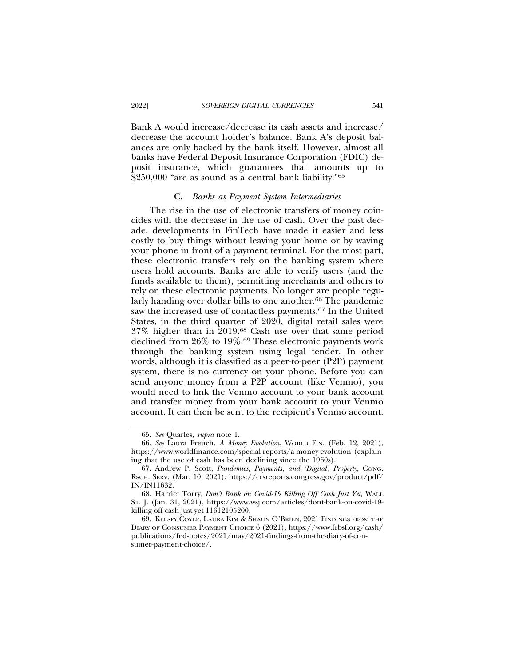Bank A would increase/decrease its cash assets and increase/ decrease the account holder's balance. Bank A's deposit balances are only backed by the bank itself. However, almost all banks have Federal Deposit Insurance Corporation (FDIC) deposit insurance, which guarantees that amounts up to \$250,000 "are as sound as a central bank liability."<sup>65</sup>

#### C. *Banks as Payment System Intermediaries*

The rise in the use of electronic transfers of money coincides with the decrease in the use of cash. Over the past decade, developments in FinTech have made it easier and less costly to buy things without leaving your home or by waving your phone in front of a payment terminal. For the most part, these electronic transfers rely on the banking system where users hold accounts. Banks are able to verify users (and the funds available to them), permitting merchants and others to rely on these electronic payments. No longer are people regularly handing over dollar bills to one another.<sup>66</sup> The pandemic saw the increased use of contactless payments.67 In the United States, in the third quarter of 2020, digital retail sales were 37% higher than in 2019.68 Cash use over that same period declined from 26% to 19%.69 These electronic payments work through the banking system using legal tender. In other words, although it is classified as a peer-to-peer (P2P) payment system, there is no currency on your phone. Before you can send anyone money from a P2P account (like Venmo), you would need to link the Venmo account to your bank account and transfer money from your bank account to your Venmo account. It can then be sent to the recipient's Venmo account.

<sup>65.</sup> *See* Quarles, *supra* note 1.

<sup>66.</sup> *See* Laura French, *A Money Evolution*, WORLD FIN. (Feb. 12, 2021), https://www.worldfinance.com/special-reports/a-money-evolution (explaining that the use of cash has been declining since the 1960s).

<sup>67.</sup> Andrew P. Scott, *Pandemics, Payments, and (Digital) Property*, CONG. RSCH. SERV. (Mar. 10, 2021), https://crsreports.congress.gov/product/pdf/ IN/IN11632.

<sup>68.</sup> Harriet Torry, *Don't Bank on Covid-19 Killing Off Cash Just Yet*, WALL ST. J. (Jan. 31, 2021), https://www.wsj.com/articles/dont-bank-on-covid-19 killing-off-cash-just-yet-11612105200.

<sup>69.</sup> KELSEY COYLE, LAURA KIM & SHAUN O'BRIEN, 2021 FINDINGS FROM THE DIARY OF CONSUMER PAYMENT CHOICE 6 (2021), https://www.frbsf.org/cash/ publications/fed-notes/2021/may/2021-findings-from-the-diary-of-consumer-payment-choice/.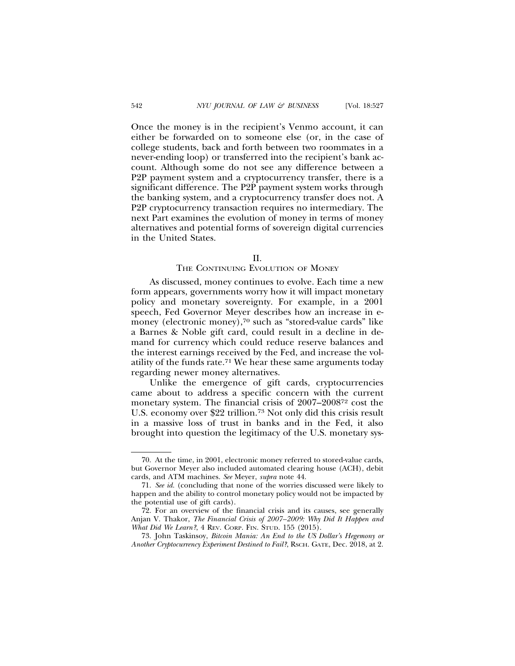Once the money is in the recipient's Venmo account, it can either be forwarded on to someone else (or, in the case of college students, back and forth between two roommates in a never-ending loop) or transferred into the recipient's bank account. Although some do not see any difference between a P2P payment system and a cryptocurrency transfer, there is a significant difference. The P2P payment system works through the banking system, and a cryptocurrency transfer does not. A P2P cryptocurrency transaction requires no intermediary. The next Part examines the evolution of money in terms of money alternatives and potential forms of sovereign digital currencies in the United States.

### II.

#### THE CONTINUING EVOLUTION OF MONEY

As discussed, money continues to evolve. Each time a new form appears, governments worry how it will impact monetary policy and monetary sovereignty. For example, in a 2001 speech, Fed Governor Meyer describes how an increase in emoney (electronic money),<sup>70</sup> such as "stored-value cards" like a Barnes & Noble gift card, could result in a decline in demand for currency which could reduce reserve balances and the interest earnings received by the Fed, and increase the volatility of the funds rate.71 We hear these same arguments today regarding newer money alternatives.

Unlike the emergence of gift cards, cryptocurrencies came about to address a specific concern with the current monetary system. The financial crisis of 2007–200872 cost the U.S. economy over \$22 trillion.73 Not only did this crisis result in a massive loss of trust in banks and in the Fed, it also brought into question the legitimacy of the U.S. monetary sys-

<sup>70.</sup> At the time, in 2001, electronic money referred to stored-value cards, but Governor Meyer also included automated clearing house (ACH), debit cards, and ATM machines. *See* Meyer, *supra* note 44.

<sup>71.</sup> *See id.* (concluding that none of the worries discussed were likely to happen and the ability to control monetary policy would not be impacted by the potential use of gift cards).

<sup>72.</sup> For an overview of the financial crisis and its causes, see generally Anjan V. Thakor, *The Financial Crisis of 2007–2009: Why Did It Happen and What Did We Learn?*, 4 REV. CORP. FIN. STUD. 155 (2015).

<sup>73.</sup> John Taskinsoy, *Bitcoin Mania: An End to the US Dollar's Hegemony or Another Cryptocurrency Experiment Destined to Fail?*, RSCH. GATE, Dec. 2018, at 2.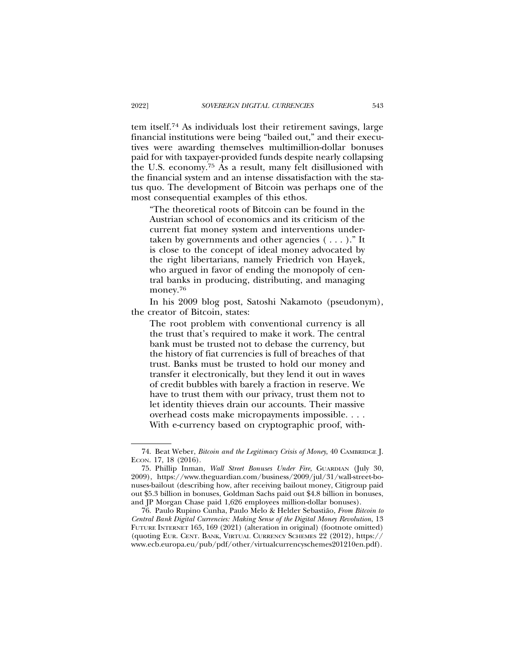tem itself.74 As individuals lost their retirement savings, large financial institutions were being "bailed out," and their executives were awarding themselves multimillion-dollar bonuses paid for with taxpayer-provided funds despite nearly collapsing the U.S. economy.75 As a result, many felt disillusioned with the financial system and an intense dissatisfaction with the status quo. The development of Bitcoin was perhaps one of the most consequential examples of this ethos.

"The theoretical roots of Bitcoin can be found in the Austrian school of economics and its criticism of the current fiat money system and interventions undertaken by governments and other agencies  $(\ldots)$ ." It is close to the concept of ideal money advocated by the right libertarians, namely Friedrich von Hayek, who argued in favor of ending the monopoly of central banks in producing, distributing, and managing money.76

In his 2009 blog post, Satoshi Nakamoto (pseudonym), the creator of Bitcoin, states:

The root problem with conventional currency is all the trust that's required to make it work. The central bank must be trusted not to debase the currency, but the history of fiat currencies is full of breaches of that trust. Banks must be trusted to hold our money and transfer it electronically, but they lend it out in waves of credit bubbles with barely a fraction in reserve. We have to trust them with our privacy, trust them not to let identity thieves drain our accounts. Their massive overhead costs make micropayments impossible. . . . With e-currency based on cryptographic proof, with-

<sup>74.</sup> Beat Weber, *Bitcoin and the Legitimacy Crisis of Money*, 40 CAMBRIDGE J. ECON. 17, 18 (2016).

<sup>75.</sup> Phillip Inman, *Wall Street Bonuses Under Fire*, GUARDIAN (July 30, 2009), https://www.theguardian.com/business/2009/jul/31/wall-street-bonuses-bailout (describing how, after receiving bailout money, Citigroup paid out \$5.3 billion in bonuses, Goldman Sachs paid out \$4.8 billion in bonuses, and JP Morgan Chase paid 1,626 employees million-dollar bonuses).

<sup>76.</sup> Paulo Rupino Cunha, Paulo Melo & Helder Sebastiao, ˜ *From Bitcoin to Central Bank Digital Currencies: Making Sense of the Digital Money Revolution*, 13 FUTURE INTERNET 165, 169 (2021) (alteration in original) (footnote omitted) (quoting EUR. CENT. BANK, VIRTUAL CURRENCY SCHEMES 22 (2012), https:// www.ecb.europa.eu/pub/pdf/other/virtualcurrencyschemes201210en.pdf).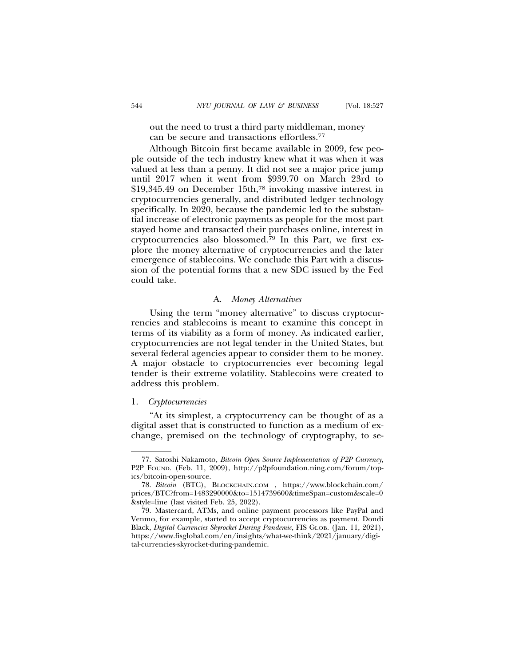out the need to trust a third party middleman, money can be secure and transactions effortless.77

Although Bitcoin first became available in 2009, few people outside of the tech industry knew what it was when it was valued at less than a penny. It did not see a major price jump until 2017 when it went from \$939.70 on March 23rd to \$19,345.49 on December 15th,78 invoking massive interest in cryptocurrencies generally, and distributed ledger technology specifically. In 2020, because the pandemic led to the substantial increase of electronic payments as people for the most part stayed home and transacted their purchases online, interest in cryptocurrencies also blossomed.79 In this Part, we first explore the money alternative of cryptocurrencies and the later emergence of stablecoins. We conclude this Part with a discussion of the potential forms that a new SDC issued by the Fed could take.

#### A. *Money Alternatives*

Using the term "money alternative" to discuss cryptocurrencies and stablecoins is meant to examine this concept in terms of its viability as a form of money. As indicated earlier, cryptocurrencies are not legal tender in the United States, but several federal agencies appear to consider them to be money. A major obstacle to cryptocurrencies ever becoming legal tender is their extreme volatility. Stablecoins were created to address this problem.

### 1. *Cryptocurrencies*

"At its simplest, a cryptocurrency can be thought of as a digital asset that is constructed to function as a medium of exchange, premised on the technology of cryptography, to se-

<sup>77.</sup> Satoshi Nakamoto, *Bitcoin Open Source Implementation of P2P Currency*, P2P FOUND. (Feb. 11, 2009), http://p2pfoundation.ning.com/forum/topics/bitcoin-open-source.

<sup>78.</sup> *Bitcoin* (BTC), BLOCKCHAIN.COM , https://www.blockchain.com/ prices/BTC?from=1483290000&to=1514739600&timeSpan=custom&scale=0 &style=line (last visited Feb. 25, 2022).

<sup>79.</sup> Mastercard, ATMs, and online payment processors like PayPal and Venmo, for example, started to accept cryptocurrencies as payment. Dondi Black, *Digital Currencies Skyrocket During Pandemic*, FIS GLOB. (Jan. 11, 2021), https://www.fisglobal.com/en/insights/what-we-think/2021/january/digital-currencies-skyrocket-during-pandemic.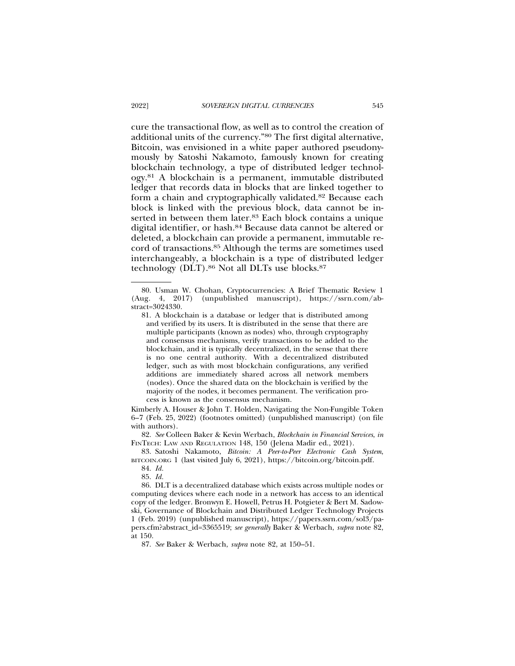cure the transactional flow, as well as to control the creation of additional units of the currency."80 The first digital alternative, Bitcoin, was envisioned in a white paper authored pseudonymously by Satoshi Nakamoto, famously known for creating blockchain technology, a type of distributed ledger technology.81 A blockchain is a permanent, immutable distributed ledger that records data in blocks that are linked together to form a chain and cryptographically validated.82 Because each block is linked with the previous block, data cannot be inserted in between them later.<sup>83</sup> Each block contains a unique digital identifier, or hash.84 Because data cannot be altered or deleted, a blockchain can provide a permanent, immutable record of transactions.85 Although the terms are sometimes used interchangeably, a blockchain is a type of distributed ledger technology (DLT).<sup>86</sup> Not all DLTs use blocks.<sup>87</sup>

Kimberly A. Houser & John T. Holden, Navigating the Non-Fungible Token 6–7 (Feb. 25, 2022) (footnotes omitted) (unpublished manuscript) (on file with authors).

82. *See* Colleen Baker & Kevin Werbach, *Blockchain in Financial Services*, *in* FINTECH: LAW AND REGULATION 148, 150 (Jelena Madir ed., 2021).

83. Satoshi Nakamoto, *Bitcoin: A Peer-to-Peer Electronic Cash System*, BITCOIN.ORG 1 (last visited July 6, 2021), https://bitcoin.org/bitcoin.pdf.

86. DLT is a decentralized database which exists across multiple nodes or computing devices where each node in a network has access to an identical copy of the ledger. Bronwyn E. Howell, Petrus H. Potgieter & Bert M. Sadowski, Governance of Blockchain and Distributed Ledger Technology Projects 1 (Feb. 2019) (unpublished manuscript), https://papers.ssrn.com/sol3/papers.cfm?abstract\_id=3365519; *see generally* Baker & Werbach, *supra* note 82, at 150.

87. *See* Baker & Werbach, *supra* note 82, at 150–51.

<sup>80.</sup> Usman W. Chohan, Cryptocurrencies: A Brief Thematic Review 1 (Aug. 4, 2017) (unpublished manuscript), https://ssrn.com/abstract=3024330.

<sup>81.</sup> A blockchain is a database or ledger that is distributed among and verified by its users. It is distributed in the sense that there are multiple participants (known as nodes) who, through cryptography and consensus mechanisms, verify transactions to be added to the blockchain, and it is typically decentralized, in the sense that there is no one central authority. With a decentralized distributed ledger, such as with most blockchain configurations, any verified additions are immediately shared across all network members (nodes). Once the shared data on the blockchain is verified by the majority of the nodes, it becomes permanent. The verification process is known as the consensus mechanism.

<sup>84.</sup> *Id.*

<sup>85.</sup> *Id.*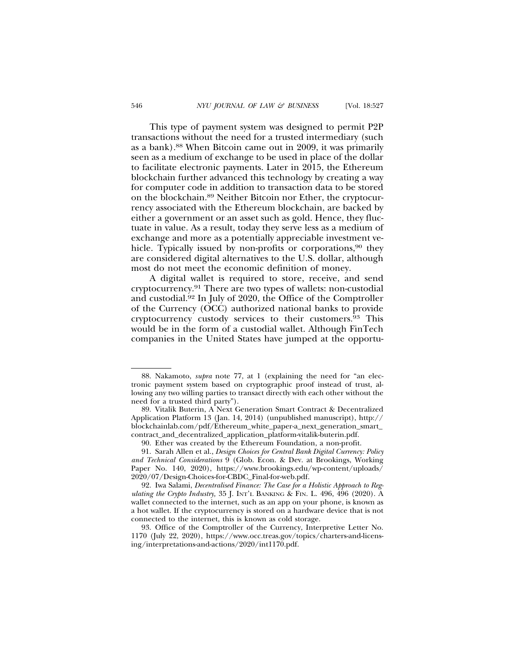This type of payment system was designed to permit P2P transactions without the need for a trusted intermediary (such as a bank).88 When Bitcoin came out in 2009, it was primarily seen as a medium of exchange to be used in place of the dollar to facilitate electronic payments. Later in 2015, the Ethereum blockchain further advanced this technology by creating a way for computer code in addition to transaction data to be stored on the blockchain.89 Neither Bitcoin nor Ether, the cryptocurrency associated with the Ethereum blockchain, are backed by either a government or an asset such as gold. Hence, they fluctuate in value. As a result, today they serve less as a medium of exchange and more as a potentially appreciable investment vehicle. Typically issued by non-profits or corporations,<sup>90</sup> they are considered digital alternatives to the U.S. dollar, although most do not meet the economic definition of money.

A digital wallet is required to store, receive, and send cryptocurrency.91 There are two types of wallets: non-custodial and custodial.92 In July of 2020, the Office of the Comptroller of the Currency (OCC) authorized national banks to provide cryptocurrency custody services to their customers.93 This would be in the form of a custodial wallet. Although FinTech companies in the United States have jumped at the opportu-

<sup>88.</sup> Nakamoto, *supra* note 77, at 1 (explaining the need for "an electronic payment system based on cryptographic proof instead of trust, allowing any two willing parties to transact directly with each other without the need for a trusted third party").

<sup>89.</sup> Vitalik Buterin, A Next Generation Smart Contract & Decentralized Application Platform 13 (Jan. 14, 2014) (unpublished manuscript), http:// blockchainlab.com/pdf/Ethereum\_white\_paper-a\_next\_generation\_smart\_ contract\_and\_decentralized\_application\_platform-vitalik-buterin.pdf.

<sup>90.</sup> Ether was created by the Ethereum Foundation, a non-profit.

<sup>91.</sup> Sarah Allen et al., *Design Choices for Central Bank Digital Currency: Policy and Technical Considerations* 9 (Glob. Econ. & Dev. at Brookings, Working Paper No. 140, 2020), https://www.brookings.edu/wp-content/uploads/ 2020/07/Design-Choices-for-CBDC\_Final-for-web.pdf.

<sup>92.</sup> Iwa Salami, *Decentralised Finance: The Case for a Holistic Approach to Regulating the Crypto Industry,* 35 J. INT'L BANKING & FIN. L. 496, 496 (2020). A wallet connected to the internet, such as an app on your phone, is known as a hot wallet. If the cryptocurrency is stored on a hardware device that is not connected to the internet, this is known as cold storage.

<sup>93.</sup> Office of the Comptroller of the Currency, Interpretive Letter No. 1170 (July 22, 2020), https://www.occ.treas.gov/topics/charters-and-licensing/interpretations-and-actions/2020/int1170.pdf.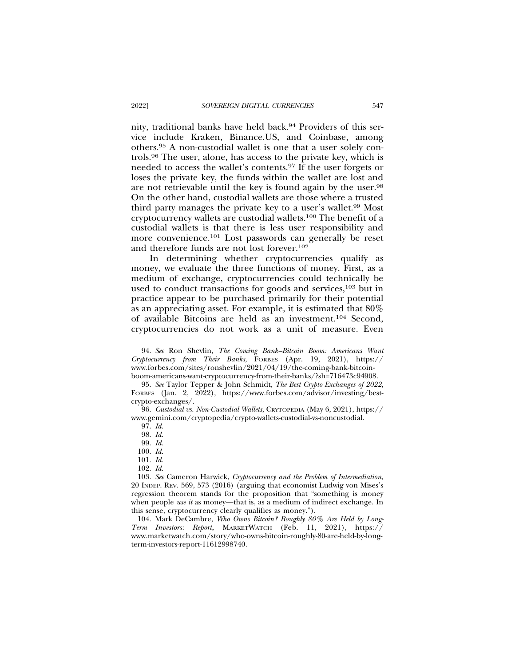nity, traditional banks have held back.94 Providers of this service include Kraken, Binance.US, and Coinbase, among others.95 A non-custodial wallet is one that a user solely controls.96 The user, alone, has access to the private key, which is needed to access the wallet's contents.97 If the user forgets or loses the private key, the funds within the wallet are lost and are not retrievable until the key is found again by the user.98 On the other hand, custodial wallets are those where a trusted third party manages the private key to a user's wallet.99 Most cryptocurrency wallets are custodial wallets.100 The benefit of a custodial wallets is that there is less user responsibility and more convenience.101 Lost passwords can generally be reset and therefore funds are not lost forever.102

In determining whether cryptocurrencies qualify as money, we evaluate the three functions of money. First, as a medium of exchange, cryptocurrencies could technically be used to conduct transactions for goods and services,<sup>103</sup> but in practice appear to be purchased primarily for their potential as an appreciating asset. For example, it is estimated that 80% of available Bitcoins are held as an investment.104 Second, cryptocurrencies do not work as a unit of measure. Even

<sup>94.</sup> *See* Ron Shevlin, *The Coming Bank–Bitcoin Boom: Americans Want Cryptocurrency from Their Banks*, FORBES (Apr. 19, 2021), https:// www.forbes.com/sites/ronshevlin/2021/04/19/the-coming-bank-bitcoinboom-americans-want-cryptocurrency-from-their-banks/?sh=716473c94908.

<sup>95.</sup> *See* Taylor Tepper & John Schmidt, *The Best Crypto Exchanges of 2022*, FORBES (Jan. 2, 2022), https://www.forbes.com/advisor/investing/bestcrypto-exchanges/.

<sup>96.</sup> *Custodial vs. Non-Custodial Wallets*, CRYTOPEDIA (May 6, 2021), https:// www.gemini.com/cryptopedia/crypto-wallets-custodial-vs-noncustodial.

<sup>97.</sup> *Id.*

<sup>98.</sup> *Id.*

<sup>99.</sup> *Id.*

<sup>100.</sup> *Id.*

<sup>101.</sup> *Id.*

<sup>102.</sup> *Id.*

<sup>103.</sup> *See* Cameron Harwick, *Cryptocurrency and the Problem of Intermediation*, 20 INDEP. REV. 569, 573 (2016) (arguing that economist Ludwig von Mises's regression theorem stands for the proposition that "something is money when people *use it* as money—that is, as a medium of indirect exchange. In this sense, cryptocurrency clearly qualifies as money.").

<sup>104.</sup> Mark DeCambre, *Who Owns Bitcoin? Roughly 80% Are Held by Long-Term Investors: Report*, MARKETWATCH (Feb. 11, 2021), https:// www.marketwatch.com/story/who-owns-bitcoin-roughly-80-are-held-by-longterm-investors-report-11612998740.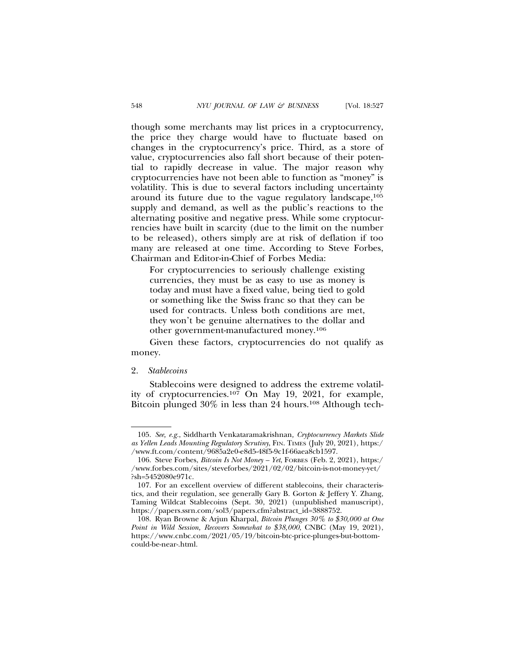though some merchants may list prices in a cryptocurrency, the price they charge would have to fluctuate based on changes in the cryptocurrency's price. Third, as a store of value, cryptocurrencies also fall short because of their potential to rapidly decrease in value. The major reason why cryptocurrencies have not been able to function as "money" is volatility. This is due to several factors including uncertainty around its future due to the vague regulatory landscape,<sup>105</sup> supply and demand, as well as the public's reactions to the alternating positive and negative press. While some cryptocurrencies have built in scarcity (due to the limit on the number to be released), others simply are at risk of deflation if too many are released at one time. According to Steve Forbes, Chairman and Editor-in-Chief of Forbes Media:

For cryptocurrencies to seriously challenge existing currencies, they must be as easy to use as money is today and must have a fixed value, being tied to gold or something like the Swiss franc so that they can be used for contracts. Unless both conditions are met, they won't be genuine alternatives to the dollar and other government-manufactured money.106

Given these factors, cryptocurrencies do not qualify as money.

### 2. *Stablecoins*

Stablecoins were designed to address the extreme volatility of cryptocurrencies.<sup>107</sup> On May 19, 2021, for example, Bitcoin plunged 30% in less than 24 hours.<sup>108</sup> Although tech-

<sup>105.</sup> *See, e.g.*, Siddharth Venkataramakrishnan*, Cryptocurrency Markets Slide as Yellen Leads Mounting Regulatory Scrutiny*, FIN. TIMES (July 20, 2021), https:/ /www.ft.com/content/9685a2e0-e8d5-48f5-9c1f-66aea8cb1597.

<sup>106.</sup> Steve Forbes, *Bitcoin Is Not Money – Yet*, FORBES (Feb. 2, 2021), https:/ /www.forbes.com/sites/steveforbes/2021/02/02/bitcoin-is-not-money-yet/ ?sh=5452080e971c.

<sup>107.</sup> For an excellent overview of different stablecoins, their characteristics, and their regulation, see generally Gary B. Gorton & Jeffery Y. Zhang, Taming Wildcat Stablecoins (Sept. 30, 2021) (unpublished manuscript), https://papers.ssrn.com/sol3/papers.cfm?abstract\_id=3888752.

<sup>108.</sup> Ryan Browne & Arjun Kharpal, *Bitcoin Plunges 30% to \$30,000 at One Point in Wild Session, Recovers Somewhat to \$38,000*, CNBC (May 19, 2021), https://www.cnbc.com/2021/05/19/bitcoin-btc-price-plunges-but-bottomcould-be-near-.html.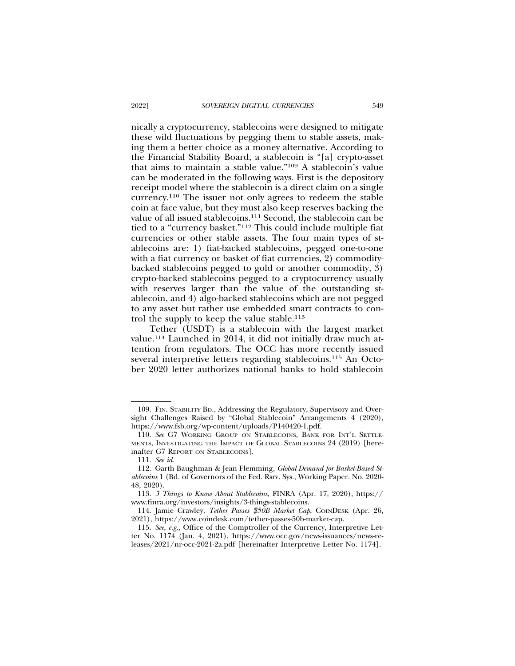nically a cryptocurrency, stablecoins were designed to mitigate these wild fluctuations by pegging them to stable assets, making them a better choice as a money alternative. According to the Financial Stability Board, a stablecoin is "[a] crypto-asset that aims to maintain a stable value."109 A stablecoin's value can be moderated in the following ways. First is the depository receipt model where the stablecoin is a direct claim on a single currency.110 The issuer not only agrees to redeem the stable coin at face value, but they must also keep reserves backing the value of all issued stablecoins.111 Second, the stablecoin can be tied to a "currency basket."112 This could include multiple fiat currencies or other stable assets. The four main types of stablecoins are: 1) fiat-backed stablecoins, pegged one-to-one with a fiat currency or basket of fiat currencies, 2) commoditybacked stablecoins pegged to gold or another commodity, 3) crypto-backed stablecoins pegged to a cryptocurrency usually with reserves larger than the value of the outstanding stablecoin, and 4) algo-backed stablecoins which are not pegged to any asset but rather use embedded smart contracts to control the supply to keep the value stable.113

Tether (USDT) is a stablecoin with the largest market value.114 Launched in 2014, it did not initially draw much attention from regulators. The OCC has more recently issued several interpretive letters regarding stablecoins.115 An October 2020 letter authorizes national banks to hold stablecoin

<sup>109.</sup> FIN. STABILITY BD., Addressing the Regulatory, Supervisory and Oversight Challenges Raised by "Global Stablecoin" Arrangements 4 (2020), https://www.fsb.org/wp-content/uploads/P140420-1.pdf.

<sup>110.</sup> *See* G7 WORKING GROUP ON STABLECOINS, BANK FOR INT'L SETTLE-MENTS, INVESTIGATING THE IMPACT OF GLOBAL STABLECOINS 24 (2019) [hereinafter G7 REPORT ON STABLECOINS].

<sup>111.</sup> *See id.*

<sup>112.</sup> Garth Baughman & Jean Flemming, *Global Demand for Basket-Based Stablecoins* 1 (Bd. of Governors of the Fed. Rsrv. Sys., Working Paper. No. 2020- 48, 2020).

<sup>113.</sup> *3 Things to Know About Stablecoins*, FINRA (Apr. 17, 2020), https:// www.finra.org/investors/insights/3-things-stablecoins.

<sup>114.</sup> Jamie Crawley, *Tether Passes \$50B Market Cap*, COINDESK (Apr. 26, 2021), https://www.coindesk.com/tether-passes-50b-market-cap.

<sup>115.</sup> *See, e.g.*, Office of the Comptroller of the Currency, Interpretive Letter No. 1174 (Jan. 4, 2021), https://www.occ.gov/news-issuances/news-releases/2021/nr-occ-2021-2a.pdf [hereinafter Interpretive Letter No. 1174].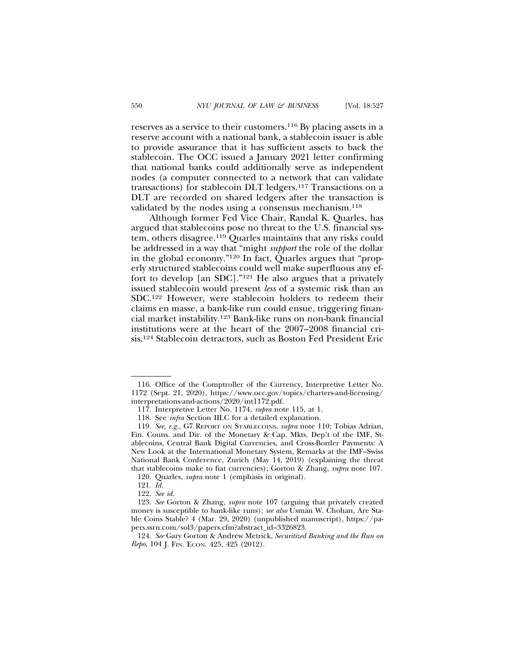reserves as a service to their customers.116 By placing assets in a reserve account with a national bank, a stablecoin issuer is able to provide assurance that it has sufficient assets to back the stablecoin. The OCC issued a January 2021 letter confirming that national banks could additionally serve as independent nodes (a computer connected to a network that can validate transactions) for stablecoin DLT ledgers.117 Transactions on a DLT are recorded on shared ledgers after the transaction is validated by the nodes using a consensus mechanism.<sup>118</sup>

Although former Fed Vice Chair, Randal K. Quarles, has argued that stablecoins pose no threat to the U.S. financial system, others disagree.119 Quarles maintains that any risks could be addressed in a way that "might *support* the role of the dollar in the global economy."120 In fact, Quarles argues that "properly structured stablecoins could well make superfluous any effort to develop [an SDC]."121 He also argues that a privately issued stablecoin would present *less* of a systemic risk than an SDC.122 However, were stablecoin holders to redeem their claims en masse, a bank-like run could ensue, triggering financial market instability.123 Bank-like runs on non-bank financial institutions were at the heart of the 2007–2008 financial crisis.124 Stablecoin detractors, such as Boston Fed President Eric

<sup>116.</sup> Office of the Comptroller of the Currency, Interpretive Letter No. 1172 (Sept. 21, 2020), https://www.occ.gov/topics/charters-and-licensing/ interpretations-and-actions/2020/int1172.pdf.

<sup>117.</sup> Interpretive Letter No. 1174, *supra* note 115, at 1.

<sup>118.</sup> See *infra* Section III.C for a detailed explanation.

<sup>119.</sup> *See, e.g.*, G7 REPORT ON STABLECOINS, *supra* note 110; Tobias Adrian, Fin. Couns. and Dir. of the Monetary & Cap. Mkts. Dep't of the IMF, Stablecoins, Central Bank Digital Currencies, and Cross-Border Payments: A New Look at the International Monetary System, Remarks at the IMF–Swiss National Bank Conference, Zurich (May 14, 2019) (explaining the threat that stablecoins make to fiat currencies); Gorton & Zhang, *supra* note 107.

<sup>120.</sup> Quarles, *supra* note 1 (emphasis in original).

<sup>121.</sup> *Id.*

<sup>122.</sup> *See id.*

<sup>123.</sup> *See* Gorton & Zhang, *supra* note 107 (arguing that privately created money is susceptible to bank-like runs); *see also* Usman W. Chohan, Are Stable Coins Stable? 4 (Mar. 29, 2020) (unpublished manuscript), https://papers.ssrn.com/sol3/papers.cfm?abstract\_id=3326823.

<sup>124.</sup> *See* Gary Gorton & Andrew Metrick, *Securitized Banking and the Run on Repo*, 104 J. FIN. ECON. 425, 425 (2012).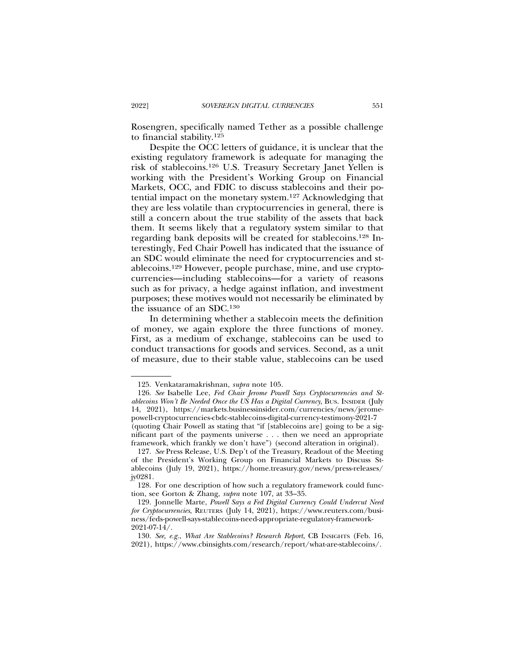Rosengren, specifically named Tether as a possible challenge to financial stability.125

Despite the OCC letters of guidance, it is unclear that the existing regulatory framework is adequate for managing the risk of stablecoins.126 U.S. Treasury Secretary Janet Yellen is working with the President's Working Group on Financial Markets, OCC, and FDIC to discuss stablecoins and their potential impact on the monetary system.127 Acknowledging that they are less volatile than cryptocurrencies in general, there is still a concern about the true stability of the assets that back them. It seems likely that a regulatory system similar to that regarding bank deposits will be created for stablecoins.128 Interestingly, Fed Chair Powell has indicated that the issuance of an SDC would eliminate the need for cryptocurrencies and stablecoins.129 However, people purchase, mine, and use cryptocurrencies—including stablecoins—for a variety of reasons such as for privacy, a hedge against inflation, and investment purposes; these motives would not necessarily be eliminated by the issuance of an SDC.130

In determining whether a stablecoin meets the definition of money, we again explore the three functions of money. First, as a medium of exchange, stablecoins can be used to conduct transactions for goods and services. Second, as a unit of measure, due to their stable value, stablecoins can be used

<sup>125.</sup> Venkataramakrishnan, *supra* note 105.

<sup>126.</sup> *See* Isabelle Lee, *Fed Chair Jerome Powell Says Cryptocurrencies and Stablecoins Won't Be Needed Once the US Has a Digital Currency*, BUS. INSIDER (July 14, 2021), https://markets.businessinsider.com/currencies/news/jeromepowell-cryptocurrencies-cbdc-stablecoins-digital-currency-testimony-2021-7 (quoting Chair Powell as stating that "if [stablecoins are] going to be a significant part of the payments universe . . . then we need an appropriate framework, which frankly we don't have") (second alteration in original).

<sup>127.</sup> *See* Press Release, U.S. Dep't of the Treasury, Readout of the Meeting of the President's Working Group on Financial Markets to Discuss Stablecoins (July 19, 2021), https://home.treasury.gov/news/press-releases/ jy0281.

<sup>128.</sup> For one description of how such a regulatory framework could function, see Gorton & Zhang, *supra* note 107, at 33–35.

<sup>129.</sup> Jonnelle Marte, *Powell Says a Fed Digital Currency Could Undercut Need for Cryptocurrencies*, REUTERS (July 14, 2021), https://www.reuters.com/business/feds-powell-says-stablecoins-need-appropriate-regulatory-framework-2021-07-14/.

<sup>130.</sup> *See, e.g.*, *What Are Stablecoins? Research Report*, CB INSIGHTS (Feb. 16, 2021), https://www.cbinsights.com/research/report/what-are-stablecoins/.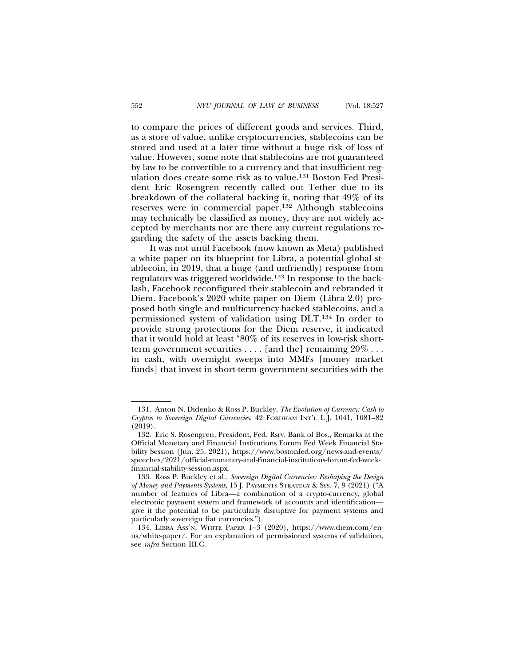to compare the prices of different goods and services. Third, as a store of value, unlike cryptocurrencies, stablecoins can be stored and used at a later time without a huge risk of loss of value. However, some note that stablecoins are not guaranteed by law to be convertible to a currency and that insufficient regulation does create some risk as to value.131 Boston Fed President Eric Rosengren recently called out Tether due to its breakdown of the collateral backing it, noting that 49% of its reserves were in commercial paper.132 Although stablecoins may technically be classified as money, they are not widely accepted by merchants nor are there any current regulations regarding the safety of the assets backing them.

It was not until Facebook (now known as Meta) published a white paper on its blueprint for Libra, a potential global stablecoin, in 2019, that a huge (and unfriendly) response from regulators was triggered worldwide.133 In response to the backlash, Facebook reconfigured their stablecoin and rebranded it Diem. Facebook's 2020 white paper on Diem (Libra 2.0) proposed both single and multicurrency backed stablecoins, and a permissioned system of validation using DLT.134 In order to provide strong protections for the Diem reserve, it indicated that it would hold at least "80% of its reserves in low-risk shortterm government securities  $\dots$  [and the] remaining  $20\% \dots$ in cash, with overnight sweeps into MMFs [money market funds] that invest in short-term government securities with the

<sup>131.</sup> Anton N. Didenko & Ross P. Buckley, *The Evolution of Currency: Cash to Cryptos to Sovereign Digital Currencies*, 42 FORDHAM INT'L L.J. 1041, 1081–82 (2019).

<sup>132.</sup> Eric S. Rosengren, President, Fed. Rsrv. Bank of Bos., Remarks at the Official Monetary and Financial Institutions Forum Fed Week Financial Stability Session (Jun. 25, 2021), https://www.bostonfed.org/news-and-events/ speeches/2021/official-monetary-and-financial-institutions-forum-fed-weekfinancial-stability-session.aspx.

<sup>133.</sup> Ross P. Buckley et al., *Sovereign Digital Currencies: Reshaping the Design of Money and Payments Systems*, 15 J. PAYMENTS STRATEGY & SYS. 7, 9 (2021) ("A number of features of Libra—a combination of a crypto-currency, global electronic payment system and framework of accounts and identification give it the potential to be particularly disruptive for payment systems and particularly sovereign fiat currencies.").

<sup>134.</sup> LIBRA ASS'N, WHITE PAPER 1–3 (2020), https://www.diem.com/enus/white-paper/. For an explanation of permissioned systems of validation, see *infra* Section III.C.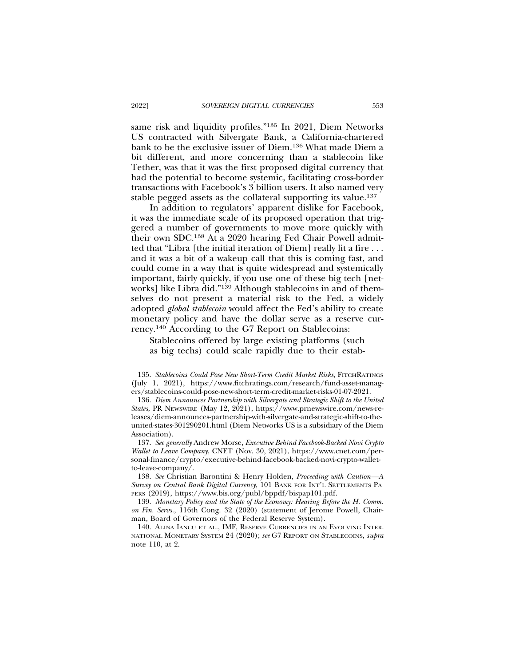same risk and liquidity profiles."135 In 2021, Diem Networks US contracted with Silvergate Bank, a California-chartered bank to be the exclusive issuer of Diem.136 What made Diem a bit different, and more concerning than a stablecoin like Tether, was that it was the first proposed digital currency that had the potential to become systemic, facilitating cross-border transactions with Facebook's 3 billion users. It also named very stable pegged assets as the collateral supporting its value.137

In addition to regulators' apparent dislike for Facebook, it was the immediate scale of its proposed operation that triggered a number of governments to move more quickly with their own SDC.138 At a 2020 hearing Fed Chair Powell admitted that "Libra [the initial iteration of Diem] really lit a fire . . . and it was a bit of a wakeup call that this is coming fast, and could come in a way that is quite widespread and systemically important, fairly quickly, if you use one of these big tech [networks] like Libra did."139 Although stablecoins in and of themselves do not present a material risk to the Fed, a widely adopted *global stablecoin* would affect the Fed's ability to create monetary policy and have the dollar serve as a reserve currency.140 According to the G7 Report on Stablecoins:

Stablecoins offered by large existing platforms (such as big techs) could scale rapidly due to their estab-

<sup>135.</sup> Stablecoins Could Pose New Short-Term Credit Market Risks, FITCHRATINGS (July 1, 2021), https://www.fitchratings.com/research/fund-asset-managers/stablecoins-could-pose-new-short-term-credit-market-risks-01-07-2021.

<sup>136.</sup> *Diem Announces Partnership with Silvergate and Strategic Shift to the United States,* PR NEWSWIRE (May 12, 2021), https://www.prnewswire.com/news-releases/diem-announces-partnership-with-silvergate-and-strategic-shift-to-theunited-states-301290201.html (Diem Networks US is a subsidiary of the Diem Association).

<sup>137.</sup> *See generally* Andrew Morse, *Executive Behind Facebook-Backed Novi Crypto Wallet to Leave Company*, CNET (Nov. 30, 2021), https://www.cnet.com/personal-finance/crypto/executive-behind-facebook-backed-novi-crypto-walletto-leave-company/.

<sup>138.</sup> *See* Christian Barontini & Henry Holden, *Proceeding with Caution—A Survey on Central Bank Digital Currency*, 101 BANK FOR INT'L SETTLEMENTS PA-PERS (2019), https://www.bis.org/publ/bppdf/bispap101.pdf.

<sup>139.</sup> *Monetary Policy and the State of the Economy: Hearing Before the H. Comm. on Fin. Servs.*, 116th Cong. 32 (2020) (statement of Jerome Powell, Chairman, Board of Governors of the Federal Reserve System).

<sup>140.</sup> ALINA IANCU ET AL., IMF, RESERVE CURRENCIES IN AN EVOLVING INTER-NATIONAL MONETARY SYSTEM 24 (2020); *see* G7 REPORT ON STABLECOINS, *supra* note 110, at 2.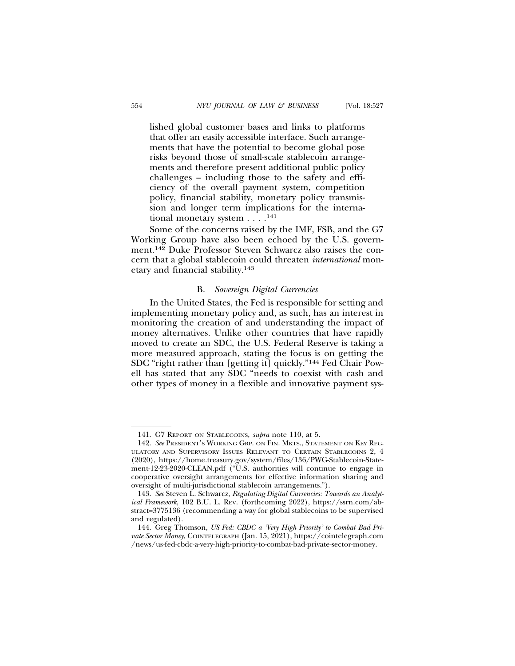lished global customer bases and links to platforms that offer an easily accessible interface. Such arrangements that have the potential to become global pose risks beyond those of small-scale stablecoin arrangements and therefore present additional public policy challenges – including those to the safety and efficiency of the overall payment system, competition policy, financial stability, monetary policy transmission and longer term implications for the international monetary system . . . .141

Some of the concerns raised by the IMF, FSB, and the G7 Working Group have also been echoed by the U.S. government.142 Duke Professor Steven Schwarcz also raises the concern that a global stablecoin could threaten *international* monetary and financial stability.143

#### B. *Sovereign Digital Currencies*

In the United States, the Fed is responsible for setting and implementing monetary policy and, as such, has an interest in monitoring the creation of and understanding the impact of money alternatives. Unlike other countries that have rapidly moved to create an SDC, the U.S. Federal Reserve is taking a more measured approach, stating the focus is on getting the SDC "right rather than [getting it] quickly."144 Fed Chair Powell has stated that any SDC "needs to coexist with cash and other types of money in a flexible and innovative payment sys-

<sup>141.</sup> G7 REPORT ON STABLECOINS, *supra* note 110, at 5.

<sup>142.</sup> *See* PRESIDENT'S WORKING GRP. ON FIN. MKTS., STATEMENT ON KEY REG-ULATORY AND SUPERVISORY ISSUES RELEVANT TO CERTAIN STABLECOINS 2, 4 (2020), https://home.treasury.gov/system/files/136/PWG-Stablecoin-Statement-12-23-2020-CLEAN.pdf ("U.S. authorities will continue to engage in cooperative oversight arrangements for effective information sharing and oversight of multi-jurisdictional stablecoin arrangements.").

<sup>143.</sup> *See* Steven L. Schwarcz, *Regulating Digital Currencies: Towards an Analytical Framework*, 102 B.U. L. REV. (forthcoming 2022), https://ssrn.com/abstract=3775136 (recommending a way for global stablecoins to be supervised and regulated).

<sup>144.</sup> Greg Thomson, *US Fed: CBDC a 'Very High Priority' to Combat Bad Private Sector Money*, COINTELEGRAPH (Jan. 15, 2021), https://cointelegraph.com /news/us-fed-cbdc-a-very-high-priority-to-combat-bad-private-sector-money.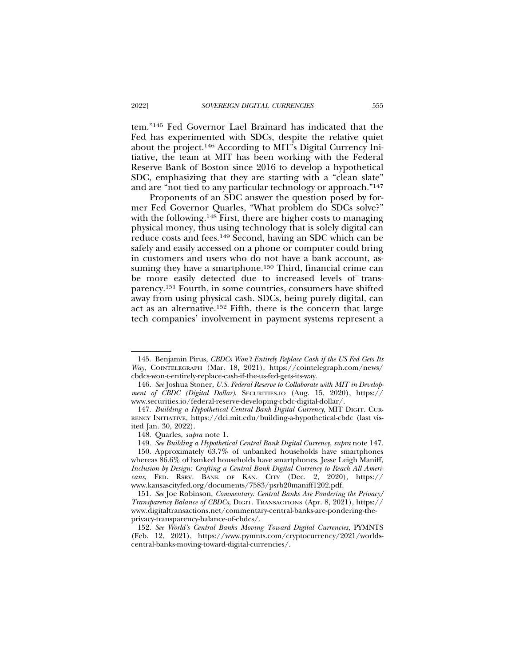tem."145 Fed Governor Lael Brainard has indicated that the Fed has experimented with SDCs, despite the relative quiet about the project.146 According to MIT's Digital Currency Initiative, the team at MIT has been working with the Federal Reserve Bank of Boston since 2016 to develop a hypothetical SDC, emphasizing that they are starting with a "clean slate" and are "not tied to any particular technology or approach."147

Proponents of an SDC answer the question posed by former Fed Governor Quarles, "What problem do SDCs solve?" with the following.<sup>148</sup> First, there are higher costs to managing physical money, thus using technology that is solely digital can reduce costs and fees.149 Second, having an SDC which can be safely and easily accessed on a phone or computer could bring in customers and users who do not have a bank account, assuming they have a smartphone.<sup>150</sup> Third, financial crime can be more easily detected due to increased levels of transparency.151 Fourth, in some countries, consumers have shifted away from using physical cash. SDCs, being purely digital, can act as an alternative.152 Fifth, there is the concern that large tech companies' involvement in payment systems represent a

<sup>145.</sup> Benjamin Pirus, *CBDCs Won't Entirely Replace Cash if the US Fed Gets Its Way*, COINTELEGRAPH (Mar. 18, 2021), https://cointelegraph.com/news/ cbdcs-won-t-entirely-replace-cash-if-the-us-fed-gets-its-way.

<sup>146.</sup> *See* Joshua Stoner, *U.S. Federal Reserve to Collaborate with MIT in Development of CBDC (Digital Dollar)*, SECURITIES.IO (Aug. 15, 2020), https:// www.securities.io/federal-reserve-developing-cbdc-digital-dollar/.

<sup>147.</sup> *Building a Hypothetical Central Bank Digital Currency*, MIT DIGIT. CUR-RENCY INITIATIVE, https://dci.mit.edu/building-a-hypothetical-cbdc (last visited Jan. 30, 2022).

<sup>148.</sup> Quarles, *supra* note 1.

<sup>149.</sup> *See Building a Hypothetical Central Bank Digital Currency*, *supra* note 147.

<sup>150.</sup> Approximately 63.7% of unbanked households have smartphones whereas  $86.6\%$  of banked households have smartphones. Jesse Leigh Maniff, *Inclusion by Design: Crafting a Central Bank Digital Currency to Reach All Americans*, FED. RSRV. BANK OF KAN. CITY (Dec. 2, 2020), https:// www.kansascityfed.org/documents/7583/psrb20maniff1202.pdf.

<sup>151.</sup> *See* Joe Robinson, *Commentary: Central Banks Are Pondering the Privacy/ Transparency Balance of CBDCs*, DIGIT. TRANSACTIONS (Apr. 8, 2021), https:// www.digitaltransactions.net/commentary-central-banks-are-pondering-theprivacy-transparency-balance-of-cbdcs/.

<sup>152.</sup> *See World's Central Banks Moving Toward Digital Currencies*, PYMNTS (Feb. 12, 2021), https://www.pymnts.com/cryptocurrency/2021/worldscentral-banks-moving-toward-digital-currencies/.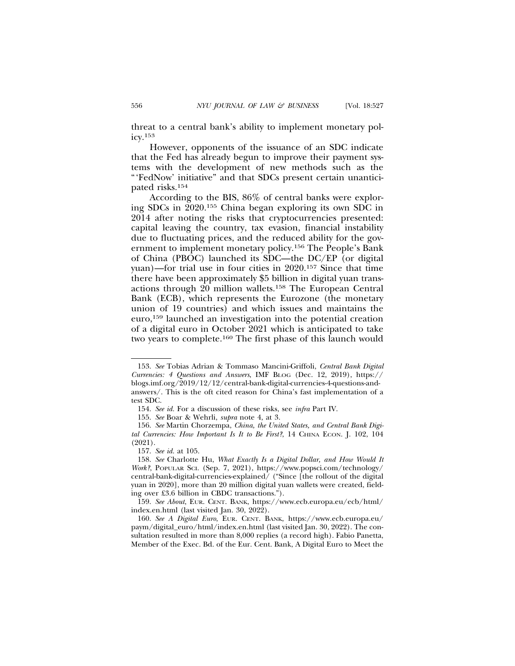threat to a central bank's ability to implement monetary pol $icv$ .<sup>153</sup>

However, opponents of the issuance of an SDC indicate that the Fed has already begun to improve their payment systems with the development of new methods such as the "'FedNow' initiative" and that SDCs present certain unanticipated risks.154

According to the BIS, 86% of central banks were exploring SDCs in 2020.155 China began exploring its own SDC in 2014 after noting the risks that cryptocurrencies presented: capital leaving the country, tax evasion, financial instability due to fluctuating prices, and the reduced ability for the government to implement monetary policy.156 The People's Bank of China (PBOC) launched its SDC—the DC/EP (or digital yuan)—for trial use in four cities in 2020.157 Since that time there have been approximately \$5 billion in digital yuan transactions through 20 million wallets.158 The European Central Bank (ECB), which represents the Eurozone (the monetary union of 19 countries) and which issues and maintains the euro,159 launched an investigation into the potential creation of a digital euro in October 2021 which is anticipated to take two years to complete.160 The first phase of this launch would

<sup>153.</sup> *See* Tobias Adrian & Tommaso Mancini-Griffoli, *Central Bank Digital Currencies: 4 Questions and Answers*, IMF BLOG (Dec. 12, 2019), https:// blogs.imf.org/2019/12/12/central-bank-digital-currencies-4-questions-andanswers/. This is the oft cited reason for China's fast implementation of a test SDC.

<sup>154.</sup> *See id.* For a discussion of these risks, see *infra* Part IV.

<sup>155.</sup> *See* Boar & Wehrli, *supra* note 4, at 3.

<sup>156.</sup> *See* Martin Chorzempa, *China, the United States, and Central Bank Digital Currencies: How Important Is It to Be First?*, 14 CHINA ECON. J. 102, 104 (2021).

<sup>157.</sup> *See id.* at 105.

<sup>158.</sup> *See* Charlotte Hu, *What Exactly Is a Digital Dollar, and How Would It Work?*, POPULAR SCI. (Sep. 7, 2021), https://www.popsci.com/technology/ central-bank-digital-currencies-explained/ ("Since [the rollout of the digital yuan in 2020], more than 20 million digital yuan wallets were created, fielding over £3.6 billion in CBDC transactions.").

<sup>159.</sup> *See About*, EUR. CENT. BANK, https://www.ecb.europa.eu/ecb/html/ index.en.html (last visited Jan. 30, 2022).

<sup>160.</sup> *See A Digital Euro*, EUR. CENT. BANK, https://www.ecb.europa.eu/ paym/digital\_euro/html/index.en.html (last visited Jan. 30, 2022). The consultation resulted in more than 8,000 replies (a record high). Fabio Panetta, Member of the Exec. Bd. of the Eur. Cent. Bank, A Digital Euro to Meet the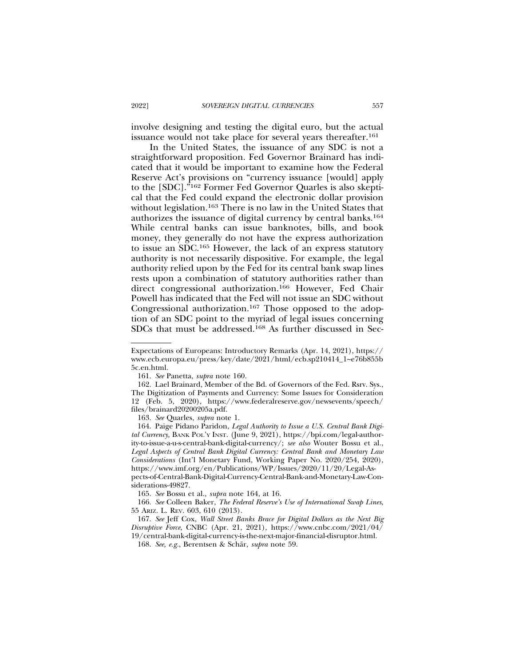involve designing and testing the digital euro, but the actual issuance would not take place for several years thereafter.161

In the United States, the issuance of any SDC is not a straightforward proposition. Fed Governor Brainard has indicated that it would be important to examine how the Federal Reserve Act's provisions on "currency issuance [would] apply to the [SDC]."162 Former Fed Governor Quarles is also skeptical that the Fed could expand the electronic dollar provision without legislation.163 There is no law in the United States that authorizes the issuance of digital currency by central banks.164 While central banks can issue banknotes, bills, and book money, they generally do not have the express authorization to issue an SDC.165 However, the lack of an express statutory authority is not necessarily dispositive. For example, the legal authority relied upon by the Fed for its central bank swap lines rests upon a combination of statutory authorities rather than direct congressional authorization.166 However, Fed Chair Powell has indicated that the Fed will not issue an SDC without Congressional authorization.167 Those opposed to the adoption of an SDC point to the myriad of legal issues concerning SDCs that must be addressed.168 As further discussed in Sec-

163. *See* Quarles, *supra* note 1.

164. Paige Pidano Paridon, *Legal Authority to Issue a U.S. Central Bank Digital Currency*, BANK POL'Y INST. (June 9, 2021), https://bpi.com/legal-authority-to-issue-a-u-s-central-bank-digital-currency/; *see also* Wouter Bossu et al., *Legal Aspects of Central Bank Digital Currency: Central Bank and Monetary Law Considerations* (Int'l Monetary Fund, Working Paper No. 2020/254, 2020), https://www.imf.org/en/Publications/WP/Issues/2020/11/20/Legal-Aspects-of-Central-Bank-Digital-Currency-Central-Bank-and-Monetary-Law-Considerations-49827.

165. *See* Bossu et al., *supra* note 164, at 16.

166. *See* Colleen Baker, *The Federal Reserve's Use of International Swap Lines*, 55 ARIZ. L. REV. 603, 610 (2013).

167. *See* Jeff Cox, *Wall Street Banks Brace for Digital Dollars as the Next Big Disruptive Force*, CNBC (Apr. 21, 2021), https://www.cnbc.com/2021/04/ 19/central-bank-digital-currency-is-the-next-major-financial-disruptor.html.

168. See, e.g., Berentsen & Schär, supra note 59.

Expectations of Europeans: Introductory Remarks (Apr. 14, 2021), https:// www.ecb.europa.eu/press/key/date/2021/html/ecb.sp210414\_1~e76b855b 5c.en.html.

<sup>161.</sup> *See* Panetta, *supra* note 160.

<sup>162.</sup> Lael Brainard, Member of the Bd. of Governors of the Fed. Rsrv. Sys., The Digitization of Payments and Currency: Some Issues for Consideration 12 (Feb. 5, 2020), https://www.federalreserve.gov/newsevents/speech/ files/brainard20200205a.pdf.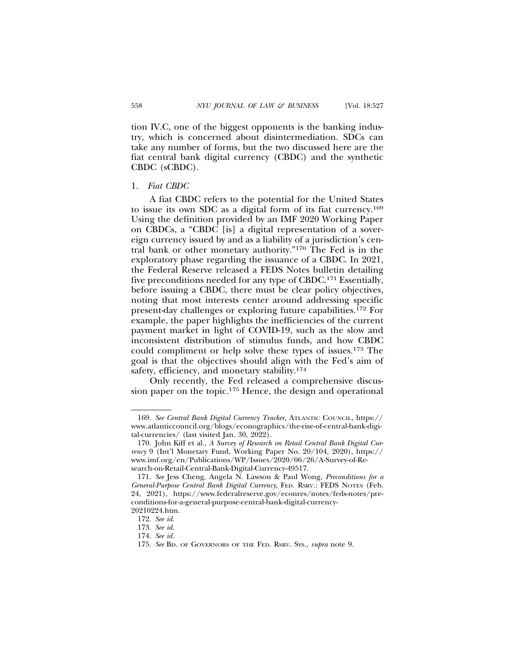tion IV.C, one of the biggest opponents is the banking industry, which is concerned about disintermediation. SDCs can take any number of forms, but the two discussed here are the fiat central bank digital currency (CBDC) and the synthetic CBDC (sCBDC).

#### 1. *Fiat CBDC*

A fiat CBDC refers to the potential for the United States to issue its own SDC as a digital form of its fiat currency.169 Using the definition provided by an IMF 2020 Working Paper on CBDCs, a "CBDC [is] a digital representation of a sovereign currency issued by and as a liability of a jurisdiction's central bank or other monetary authority."170 The Fed is in the exploratory phase regarding the issuance of a CBDC. In 2021, the Federal Reserve released a FEDS Notes bulletin detailing five preconditions needed for any type of CBDC.171 Essentially, before issuing a CBDC, there must be clear policy objectives, noting that most interests center around addressing specific present-day challenges or exploring future capabilities.172 For example, the paper highlights the inefficiencies of the current payment market in light of COVID-19, such as the slow and inconsistent distribution of stimulus funds, and how CBDC could compliment or help solve these types of issues.173 The goal is that the objectives should align with the Fed's aim of safety, efficiency, and monetary stability.174

Only recently, the Fed released a comprehensive discussion paper on the topic.<sup>175</sup> Hence, the design and operational

<sup>169.</sup> *See Central Bank Digital Currency Tracker*, ATLANTIC COUNCIL, https:// www.atlanticcouncil.org/blogs/econographics/the-rise-of-central-bank-digital-currencies/ (last visited Jan. 30, 2022).

<sup>170.</sup> John Kiff et al., *A Survey of Research on Retail Central Bank Digital Currency* 9 (Int'l Monetary Fund, Working Paper No. 20/104, 2020), https:// www.imf.org/en/Publications/WP/Issues/2020/06/26/A-Survey-of-Research-on-Retail-Central-Bank-Digital-Currency-49517.

<sup>171.</sup> *See* Jess Cheng, Angela N. Lawson & Paul Wong, *Preconditions for a General-Purpose Central Bank Digital Currency*, FED. RSRV.: FEDS NOTES (Feb. 24, 2021), https://www.federalreserve.gov/econres/notes/feds-notes/preconditions-for-a-general-purpose-central-bank-digital-currency-20210224.htm.

<sup>172.</sup> *See id.*

<sup>173.</sup> *See id.*

<sup>174.</sup> *See id.*

<sup>175.</sup> *See* BD. OF GOVERNORS OF THE FED. RSRV. SYS., *supra* note 9.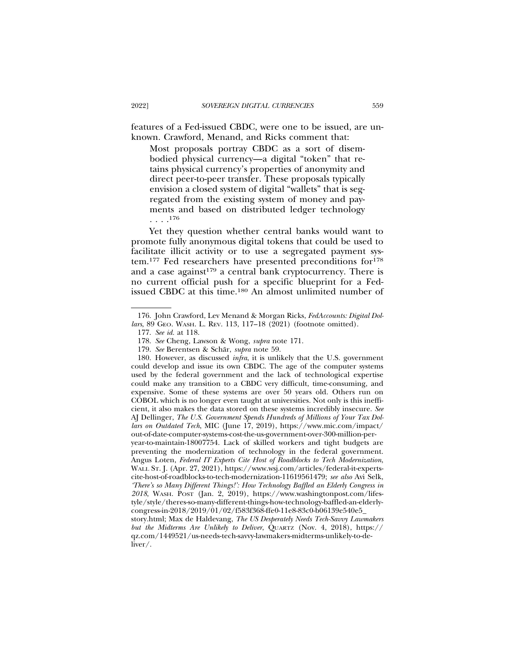features of a Fed-issued CBDC, were one to be issued, are unknown. Crawford, Menand, and Ricks comment that:

Most proposals portray CBDC as a sort of disembodied physical currency—a digital "token" that retains physical currency's properties of anonymity and direct peer-to-peer transfer. These proposals typically envision a closed system of digital "wallets" that is segregated from the existing system of money and payments and based on distributed ledger technology . . . .176

Yet they question whether central banks would want to promote fully anonymous digital tokens that could be used to facilitate illicit activity or to use a segregated payment system.177 Fed researchers have presented preconditions for178 and a case against<sup>179</sup> a central bank cryptocurrency. There is no current official push for a specific blueprint for a Fedissued CBDC at this time.180 An almost unlimited number of

<sup>176.</sup> John Crawford, Lev Menand & Morgan Ricks, *FedAccounts: Digital Dollars*, 89 GEO. WASH. L. REV. 113, 117–18 (2021) (footnote omitted).

<sup>177.</sup> *See id.* at 118.

<sup>178.</sup> *See* Cheng, Lawson & Wong, *supra* note 171.

<sup>179.</sup> *See* Berentsen & Schär, *supra* note 59.

<sup>180.</sup> However, as discussed *infra*, it is unlikely that the U.S. government could develop and issue its own CBDC. The age of the computer systems used by the federal government and the lack of technological expertise could make any transition to a CBDC very difficult, time-consuming, and expensive. Some of these systems are over 50 years old. Others run on COBOL which is no longer even taught at universities. Not only is this inefficient, it also makes the data stored on these systems incredibly insecure. *See* AJ Dellinger, *The U.S. Government Spends Hundreds of Millions of Your Tax Dollars on Outdated Tech*, MIC (June 17, 2019), https://www.mic.com/impact/ out-of-date-computer-systems-cost-the-us-government-over-300-million-peryear-to-maintain-18007754. Lack of skilled workers and tight budgets are preventing the modernization of technology in the federal government. Angus Loten, *Federal IT Experts Cite Host of Roadblocks to Tech Modernization*, WALL ST. J. (Apr. 27, 2021), https://www.wsj.com/articles/federal-it-experts-

cite-host-of-roadblocks-to-tech-modernization-11619561479; *see also* Avi Selk, *'There's so Many Different Things!': How Technology Baffled an Elderly Congress in 2018*, WASH. POST (Jan. 2, 2019), https://www.washingtonpost.com/lifestyle/style/theres-so-many-different-things-how-technology-baffled-an-elderlycongress-in-2018/2019/01/02/f583f368-ffe0-11e8-83c0-b06139e540e5\_

story.html; Max de Haldevang, *The US Desperately Needs Tech-Savvy Lawmakers but the Midterms Are Unlikely to Deliver*, QUARTZ (Nov. 4, 2018), https:// qz.com/1449521/us-needs-tech-savvy-lawmakers-midterms-unlikely-to-deliver/.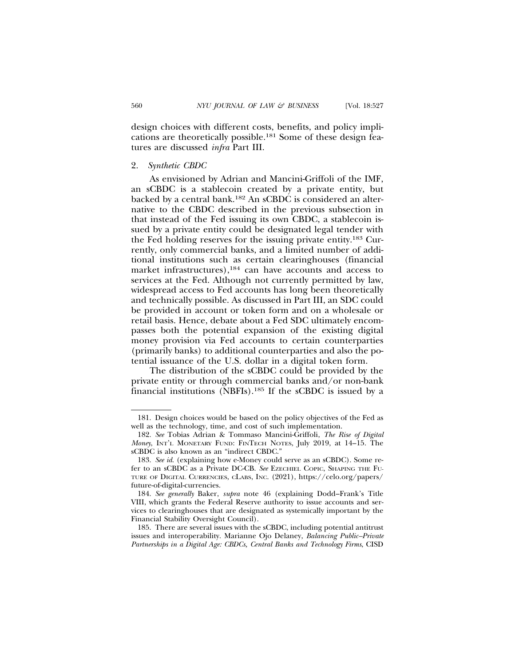design choices with different costs, benefits, and policy implications are theoretically possible.181 Some of these design features are discussed *infra* Part III.

#### 2. *Synthetic CBDC*

As envisioned by Adrian and Mancini-Griffoli of the IMF, an sCBDC is a stablecoin created by a private entity, but backed by a central bank.182 An sCBDC is considered an alternative to the CBDC described in the previous subsection in that instead of the Fed issuing its own CBDC, a stablecoin issued by a private entity could be designated legal tender with the Fed holding reserves for the issuing private entity.183 Currently, only commercial banks, and a limited number of additional institutions such as certain clearinghouses (financial market infrastructures),<sup>184</sup> can have accounts and access to services at the Fed. Although not currently permitted by law, widespread access to Fed accounts has long been theoretically and technically possible. As discussed in Part III, an SDC could be provided in account or token form and on a wholesale or retail basis. Hence, debate about a Fed SDC ultimately encompasses both the potential expansion of the existing digital money provision via Fed accounts to certain counterparties (primarily banks) to additional counterparties and also the potential issuance of the U.S. dollar in a digital token form.

The distribution of the sCBDC could be provided by the private entity or through commercial banks and/or non-bank financial institutions (NBFIs).185 If the sCBDC is issued by a

<sup>181.</sup> Design choices would be based on the policy objectives of the Fed as well as the technology, time, and cost of such implementation.

<sup>182.</sup> *See* Tobias Adrian & Tommaso Mancini-Griffoli, *The Rise of Digital Money*, INT'L MONETARY FUND: FINTECH NOTES, July 2019, at 14–15. The sCBDC is also known as an "indirect CBDC."

<sup>183.</sup> *See id*. (explaining how e-Money could serve as an sCBDC). Some refer to an sCBDC as a Private DC-CB. *See* EZECHIEL COPIC, SHAPING THE FU-TURE OF DIGITAL CURRENCIES, CLABS, INC. (2021), https://celo.org/papers/ future-of-digital-currencies.

<sup>184.</sup> *See generally* Baker, *supra* note 46 (explaining Dodd–Frank's Title VIII, which grants the Federal Reserve authority to issue accounts and services to clearinghouses that are designated as systemically important by the Financial Stability Oversight Council).

<sup>185.</sup> There are several issues with the sCBDC, including potential antitrust issues and interoperability. Marianne Ojo Delaney, *Balancing Public–Private Partnerships in a Digital Age: CBDCs, Central Banks and Technology Firms*, CISD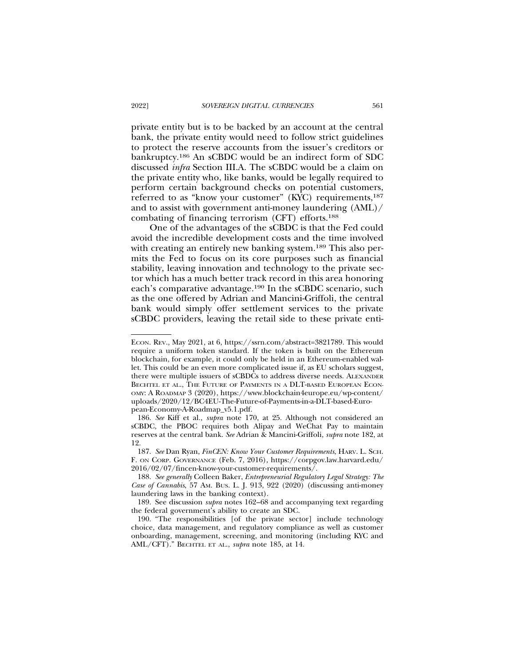private entity but is to be backed by an account at the central bank, the private entity would need to follow strict guidelines to protect the reserve accounts from the issuer's creditors or bankruptcy.186 An sCBDC would be an indirect form of SDC discussed *infra* Section III.A. The sCBDC would be a claim on the private entity who, like banks, would be legally required to perform certain background checks on potential customers, referred to as "know your customer" (KYC) requirements,<sup>187</sup> and to assist with government anti-money laundering (AML)/ combating of financing terrorism (CFT) efforts.188

One of the advantages of the sCBDC is that the Fed could avoid the incredible development costs and the time involved with creating an entirely new banking system.<sup>189</sup> This also permits the Fed to focus on its core purposes such as financial stability, leaving innovation and technology to the private sector which has a much better track record in this area honoring each's comparative advantage.190 In the sCBDC scenario, such as the one offered by Adrian and Mancini-Griffoli, the central bank would simply offer settlement services to the private sCBDC providers, leaving the retail side to these private enti-

ECON. REV., May 2021, at 6, https://ssrn.com/abstract=3821789. This would require a uniform token standard. If the token is built on the Ethereum blockchain, for example, it could only be held in an Ethereum-enabled wallet. This could be an even more complicated issue if, as EU scholars suggest, there were multiple issuers of sCBDCs to address diverse needs. ALEXANDER BECHTEL ET AL., THE FUTURE OF PAYMENTS IN A DLT-BASED EUROPEAN ECON-OMY: A ROADMAP 3 (2020), https://www.blockchain4europe.eu/wp-content/ uploads/2020/12/BC4EU-The-Future-of-Payments-in-a-DLT-based-European-Economy-A-Roadmap\_v5.1.pdf.

<sup>186.</sup> *See* Kiff et al., *supra* note 170, at 25. Although not considered an sCBDC, the PBOC requires both Alipay and WeChat Pay to maintain reserves at the central bank. *See* Adrian & Mancini-Griffoli, *supra* note 182, at 12.

<sup>187.</sup> *See* Dan Ryan, *FinCEN: Know Your Customer Requirements*, HARV. L. SCH. F. ON CORP. GOVERNANCE (Feb. 7, 2016), https://corpgov.law.harvard.edu/ 2016/02/07/fincen-know-your-customer-requirements/.

<sup>188.</sup> *See generally* Colleen Baker, *Entrepreneurial Regulatory Legal Strategy: The Case of Cannabis*, 57 AM. BUS. L. J. 913, 922 (2020) (discussing anti-money laundering laws in the banking context).

<sup>189.</sup> See discussion *supra* notes 162–68 and accompanying text regarding the federal government's ability to create an SDC.

<sup>190. &</sup>quot;The responsibilities [of the private sector] include technology choice, data management, and regulatory compliance as well as customer onboarding, management, screening, and monitoring (including KYC and AML/CFT)." BECHTEL ET AL., *supra* note 185, at 14.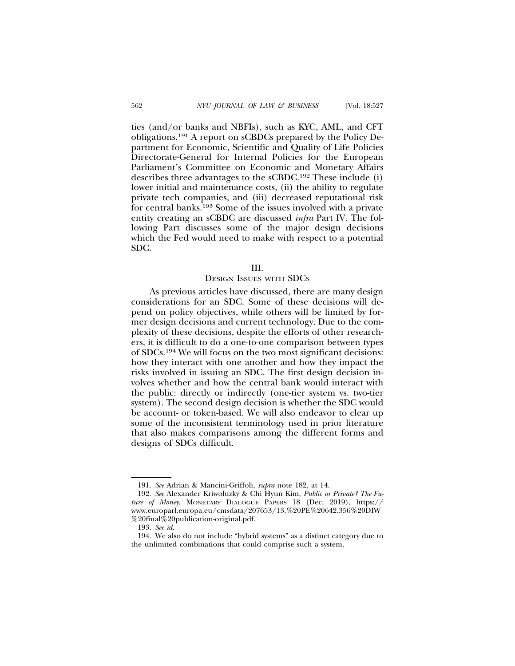ties (and/or banks and NBFIs), such as KYC, AML, and CFT obligations.191 A report on sCBDCs prepared by the Policy Department for Economic, Scientific and Quality of Life Policies Directorate-General for Internal Policies for the European Parliament's Committee on Economic and Monetary Affairs describes three advantages to the sCBDC.192 These include (i) lower initial and maintenance costs, (ii) the ability to regulate private tech companies, and (iii) decreased reputational risk for central banks.193 Some of the issues involved with a private entity creating an sCBDC are discussed *infra* Part IV. The following Part discusses some of the major design decisions which the Fed would need to make with respect to a potential SDC.

### III.

### DESIGN ISSUES WITH SDCS

As previous articles have discussed, there are many design considerations for an SDC. Some of these decisions will depend on policy objectives, while others will be limited by former design decisions and current technology. Due to the complexity of these decisions, despite the efforts of other researchers, it is difficult to do a one-to-one comparison between types of SDCs.194 We will focus on the two most significant decisions: how they interact with one another and how they impact the risks involved in issuing an SDC. The first design decision involves whether and how the central bank would interact with the public: directly or indirectly (one-tier system vs. two-tier system). The second design decision is whether the SDC would be account- or token-based. We will also endeavor to clear up some of the inconsistent terminology used in prior literature that also makes comparisons among the different forms and designs of SDCs difficult.

<sup>191.</sup> *See* Adrian & Mancini-Griffoli, *supra* note 182, at 14.

<sup>192.</sup> *See* Alexander Kriwoluzky & Chi Hyun Kim, *Public or Private? The Future of Money*, MONETARY DIALOGUE PAPERS 18 (Dec. 2019), https:// www.europarl.europa.eu/cmsdata/207653/13.%20PE%20642.356%20DIW %20final%20publication-original.pdf.

<sup>193.</sup> *See id.*

<sup>194.</sup> We also do not include "hybrid systems" as a distinct category due to the unlimited combinations that could comprise such a system.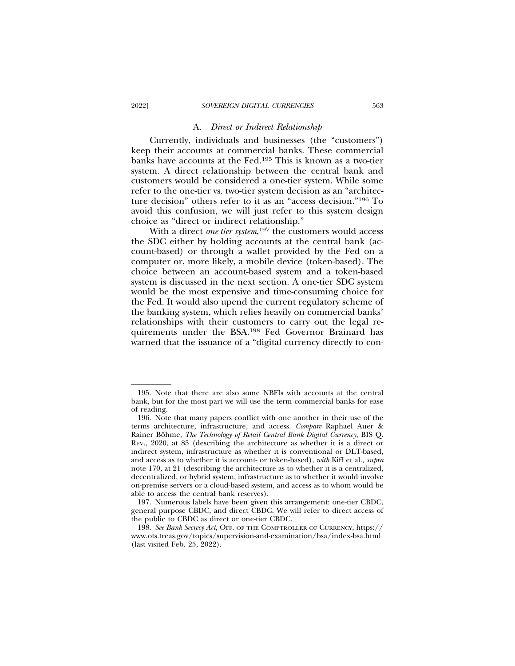#### A. *Direct or Indirect Relationship*

Currently, individuals and businesses (the "customers") keep their accounts at commercial banks. These commercial banks have accounts at the Fed.195 This is known as a two-tier system. A direct relationship between the central bank and customers would be considered a one-tier system. While some refer to the one-tier vs. two-tier system decision as an "architecture decision" others refer to it as an "access decision."196 To avoid this confusion, we will just refer to this system design choice as "direct or indirect relationship."

With a direct *one-tier system*, 197 the customers would access the SDC either by holding accounts at the central bank (account-based) or through a wallet provided by the Fed on a computer or, more likely, a mobile device (token-based). The choice between an account-based system and a token-based system is discussed in the next section. A one-tier SDC system would be the most expensive and time-consuming choice for the Fed. It would also upend the current regulatory scheme of the banking system, which relies heavily on commercial banks' relationships with their customers to carry out the legal requirements under the BSA.198 Fed Governor Brainard has warned that the issuance of a "digital currency directly to con-

<sup>195.</sup> Note that there are also some NBFIs with accounts at the central bank, but for the most part we will use the term commercial banks for ease of reading.

<sup>196.</sup> Note that many papers conflict with one another in their use of the terms architecture, infrastructure, and access. *Compare* Raphael Auer & Rainer Böhme, *The Technology of Retail Central Bank Digital Currency*, BIS Q. REV., 2020, at 85 (describing the architecture as whether it is a direct or indirect system, infrastructure as whether it is conventional or DLT-based, and access as to whether it is account- or token-based), *with* Kiff et al., *supra* note 170, at 21 (describing the architecture as to whether it is a centralized, decentralized, or hybrid system, infrastructure as to whether it would involve on-premise servers or a cloud-based system, and access as to whom would be able to access the central bank reserves).

<sup>197.</sup> Numerous labels have been given this arrangement: one-tier CBDC, general purpose CBDC, and direct CBDC. We will refer to direct access of the public to CBDC as direct or one-tier CBDC.

<sup>198.</sup> *See Bank Secrecy Act*, OFF. OF THE COMPTROLLER OF CURRENCY, https:// www.ots.treas.gov/topics/supervision-and-examination/bsa/index-bsa.html (last visited Feb. 25, 2022).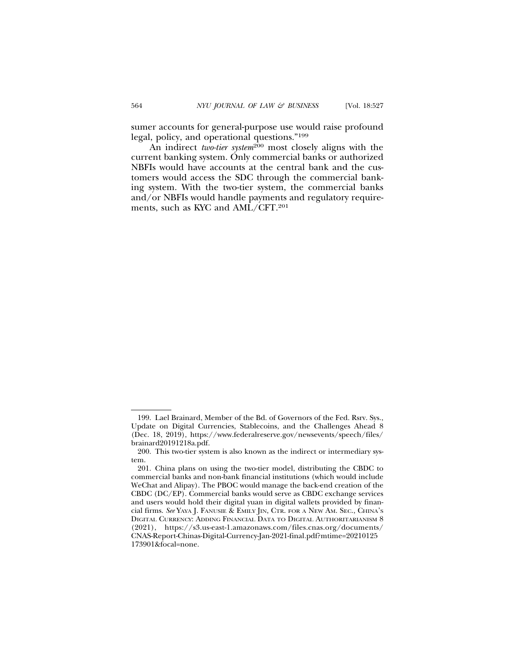sumer accounts for general-purpose use would raise profound legal, policy, and operational questions."199

An indirect two-tier system<sup>200</sup> most closely aligns with the current banking system. Only commercial banks or authorized NBFIs would have accounts at the central bank and the customers would access the SDC through the commercial banking system. With the two-tier system, the commercial banks and/or NBFIs would handle payments and regulatory requirements, such as KYC and AML/CFT.201

<sup>199.</sup> Lael Brainard, Member of the Bd. of Governors of the Fed. Rsrv. Sys., Update on Digital Currencies, Stablecoins, and the Challenges Ahead 8 (Dec. 18, 2019), https://www.federalreserve.gov/newsevents/speech/files/ brainard20191218a.pdf.

<sup>200.</sup> This two-tier system is also known as the indirect or intermediary system.

<sup>201.</sup> China plans on using the two-tier model, distributing the CBDC to commercial banks and non-bank financial institutions (which would include WeChat and Alipay). The PBOC would manage the back-end creation of the CBDC (DC/EP). Commercial banks would serve as CBDC exchange services and users would hold their digital yuan in digital wallets provided by financial firms. *See* YAYA J. FANUSIE & EMILY JIN, CTR. FOR A NEW AM. SEC., CHINA'S DIGITAL CURRENCY: ADDING FINANCIAL DATA TO DIGITAL AUTHORITARIANISM 8 (2021), https://s3.us-east-1.amazonaws.com/files.cnas.org/documents/ CNAS-Report-Chinas-Digital-Currency-Jan-2021-final.pdf?mtime=20210125 173901&focal=none.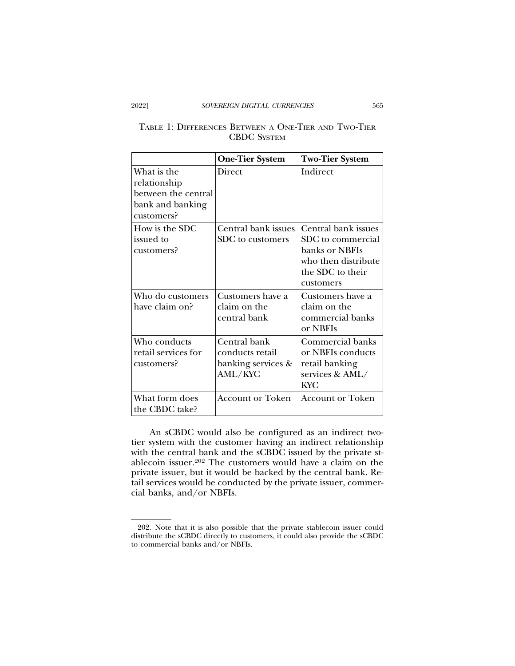# TABLE 1: DIFFERENCES BETWEEN A ONE-TIER AND TWO-TIER CBDC SYSTEM

|                                                                                      | <b>One-Tier System</b>                                           | <b>Two-Tier System</b>                                                                                             |
|--------------------------------------------------------------------------------------|------------------------------------------------------------------|--------------------------------------------------------------------------------------------------------------------|
| What is the<br>relationship<br>between the central<br>bank and banking<br>customers? | <b>Direct</b>                                                    | Indirect                                                                                                           |
| How is the SDC<br>issued to<br>customers?                                            | Central bank issues<br>SDC to customers                          | Central bank issues<br>SDC to commercial<br>banks or NBFIs<br>who then distribute<br>the SDC to their<br>customers |
| Who do customers<br>have claim on?                                                   | Customers have a<br>claim on the<br>central bank                 | Customers have a<br>claim on the<br>commercial banks<br>or NBFIs                                                   |
| Who conducts<br>retail services for<br>customers?                                    | Central bank<br>conducts retail<br>banking services &<br>AML/KYC | Commercial banks<br>or NBFIs conducts<br>retail banking<br>services & AML/<br><b>KYC</b>                           |
| What form does<br>the CBDC take?                                                     | <b>Account or Token</b>                                          | <b>Account or Token</b>                                                                                            |

An sCBDC would also be configured as an indirect twotier system with the customer having an indirect relationship with the central bank and the sCBDC issued by the private stablecoin issuer.202 The customers would have a claim on the private issuer, but it would be backed by the central bank. Retail services would be conducted by the private issuer, commercial banks, and/or NBFIs.

<sup>202.</sup> Note that it is also possible that the private stablecoin issuer could distribute the sCBDC directly to customers, it could also provide the sCBDC to commercial banks and/or NBFIs.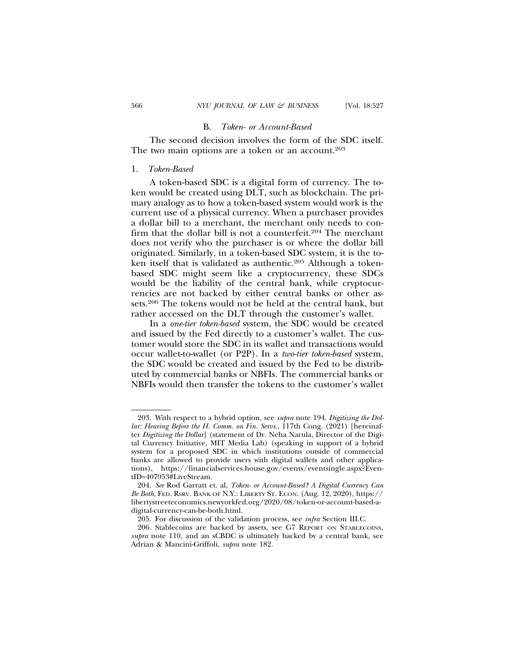#### B. *Token- or Account-Based*

The second decision involves the form of the SDC itself. The two main options are a token or an account.<sup>203</sup>

#### 1. *Token-Based*

A token-based SDC is a digital form of currency. The token would be created using DLT, such as blockchain. The primary analogy as to how a token-based system would work is the current use of a physical currency. When a purchaser provides a dollar bill to a merchant, the merchant only needs to confirm that the dollar bill is not a counterfeit.204 The merchant does not verify who the purchaser is or where the dollar bill originated. Similarly, in a token-based SDC system, it is the token itself that is validated as authentic.<sup>205</sup> Although a tokenbased SDC might seem like a cryptocurrency, these SDCs would be the liability of the central bank, while cryptocurrencies are not backed by either central banks or other assets.206 The tokens would not be held at the central bank, but rather accessed on the DLT through the customer's wallet.

In a *one-tier token-based* system, the SDC would be created and issued by the Fed directly to a customer's wallet. The customer would store the SDC in its wallet and transactions would occur wallet-to-wallet (or P2P). In a *two-tier token-based* system, the SDC would be created and issued by the Fed to be distributed by commercial banks or NBFIs. The commercial banks or NBFIs would then transfer the tokens to the customer's wallet

<sup>203.</sup> With respect to a hybrid option, see *supra* note 194. *Digitizing the Dollar: Hearing Before the H. Comm. on Fin. Servs.*, 117th Cong. (2021) [hereinafter *Digitizing the Dollar*] (statement of Dr. Neha Narula, Director of the Digital Currency Initiative, MIT Media Lab) (speaking in support of a hybrid system for a proposed SDC in which institutions outside of commercial banks are allowed to provide users with digital wallets and other applications), https://financialservices.house.gov/events/eventsingle.aspx?EventID=407953#LiveStream.

<sup>204.</sup> *See* Rod Garratt et. al, *Token- or Account-Based? A Digital Currency Can Be Both*, FED. RSRV. BANK OF N.Y.: LIBERTY ST. ECON. (Aug. 12, 2020), https:// libertystreeteconomics.newyorkfed.org/2020/08/token-or-account-based-adigital-currency-can-be-both.html.

<sup>205.</sup> For discussion of the validation process, see *infra* Section III.C.

<sup>206.</sup> Stablecoins are backed by assets, see G7 REPORT ON STABLECOINS, *supra* note 110, and an sCBDC is ultimately backed by a central bank, see Adrian & Mancini-Griffoli, *supra* note 182.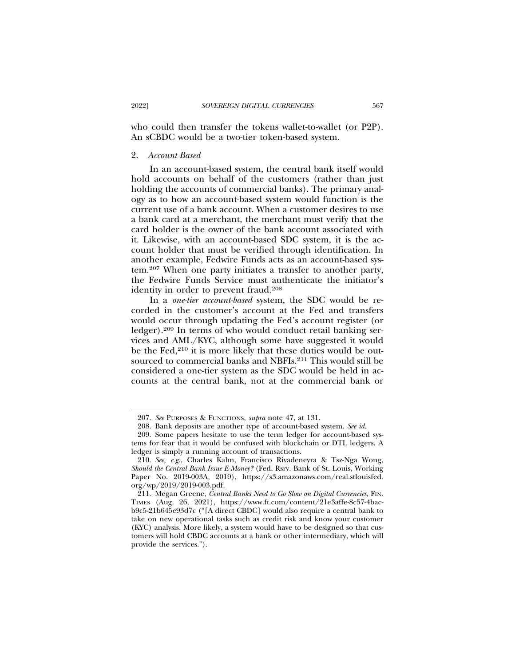who could then transfer the tokens wallet-to-wallet (or P2P). An sCBDC would be a two-tier token-based system.

#### 2. *Account-Based*

In an account-based system, the central bank itself would hold accounts on behalf of the customers (rather than just holding the accounts of commercial banks). The primary analogy as to how an account-based system would function is the current use of a bank account. When a customer desires to use a bank card at a merchant, the merchant must verify that the card holder is the owner of the bank account associated with it. Likewise, with an account-based SDC system, it is the account holder that must be verified through identification. In another example, Fedwire Funds acts as an account-based system.207 When one party initiates a transfer to another party, the Fedwire Funds Service must authenticate the initiator's identity in order to prevent fraud.208

In a *one-tier account-based* system, the SDC would be recorded in the customer's account at the Fed and transfers would occur through updating the Fed's account register (or ledger).209 In terms of who would conduct retail banking services and AML/KYC, although some have suggested it would be the Fed, $2^{10}$  it is more likely that these duties would be outsourced to commercial banks and NBFIs.211 This would still be considered a one-tier system as the SDC would be held in accounts at the central bank, not at the commercial bank or

<sup>207.</sup> *See* PURPOSES & FUNCTIONS, *supra* note 47, at 131.

<sup>208.</sup> Bank deposits are another type of account-based system. *See id.*

<sup>209.</sup> Some papers hesitate to use the term ledger for account-based systems for fear that it would be confused with blockchain or DTL ledgers. A ledger is simply a running account of transactions.

<sup>210.</sup> *See, e.g.*, Charles Kahn, Francisco Rivadeneyra & Tsz-Nga Wong, *Should the Central Bank Issue E-Money?* (Fed. Rsrv. Bank of St. Louis, Working Paper No. 2019-003A, 2019), https://s3.amazonaws.com/real.stlouisfed. org/wp/2019/2019-003.pdf.

<sup>211.</sup> Megan Greene, *Central Banks Need to Go Slow on Digital Currencies*, FIN. TIMES (Aug. 26, 2021), https://www.ft.com/content/21e3affe-8c57-4bacb9c5-21b645e93d7c ("[A direct CBDC] would also require a central bank to take on new operational tasks such as credit risk and know your customer (KYC) analysis. More likely, a system would have to be designed so that customers will hold CBDC accounts at a bank or other intermediary, which will provide the services.").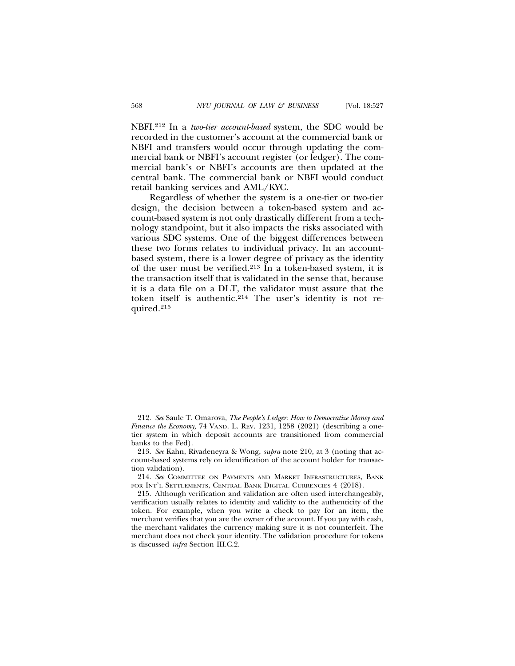NBFI.212 In a *two-tier account-based* system, the SDC would be recorded in the customer's account at the commercial bank or NBFI and transfers would occur through updating the commercial bank or NBFI's account register (or ledger). The commercial bank's or NBFI's accounts are then updated at the central bank. The commercial bank or NBFI would conduct retail banking services and AML/KYC.

Regardless of whether the system is a one-tier or two-tier design, the decision between a token-based system and account-based system is not only drastically different from a technology standpoint, but it also impacts the risks associated with various SDC systems. One of the biggest differences between these two forms relates to individual privacy. In an accountbased system, there is a lower degree of privacy as the identity of the user must be verified.<sup>213</sup> In a token-based system, it is the transaction itself that is validated in the sense that, because it is a data file on a DLT, the validator must assure that the token itself is authentic.214 The user's identity is not required.215

<sup>212.</sup> *See* Saule T. Omarova, *The People's Ledger: How to Democratize Money and Finance the Economy*, 74 VAND. L. REV. 1231, 1258 (2021) (describing a onetier system in which deposit accounts are transitioned from commercial banks to the Fed).

<sup>213.</sup> *See* Kahn, Rivadeneyra & Wong, *supra* note 210, at 3 (noting that account-based systems rely on identification of the account holder for transaction validation).

<sup>214.</sup> *See* COMMITTEE ON PAYMENTS AND MARKET INFRASTRUCTURES, BANK FOR INT'L SETTLEMENTS, CENTRAL BANK DIGITAL CURRENCIES 4 (2018).

<sup>215.</sup> Although verification and validation are often used interchangeably, verification usually relates to identity and validity to the authenticity of the token. For example, when you write a check to pay for an item, the merchant verifies that you are the owner of the account. If you pay with cash, the merchant validates the currency making sure it is not counterfeit. The merchant does not check your identity. The validation procedure for tokens is discussed *infra* Section III.C.2.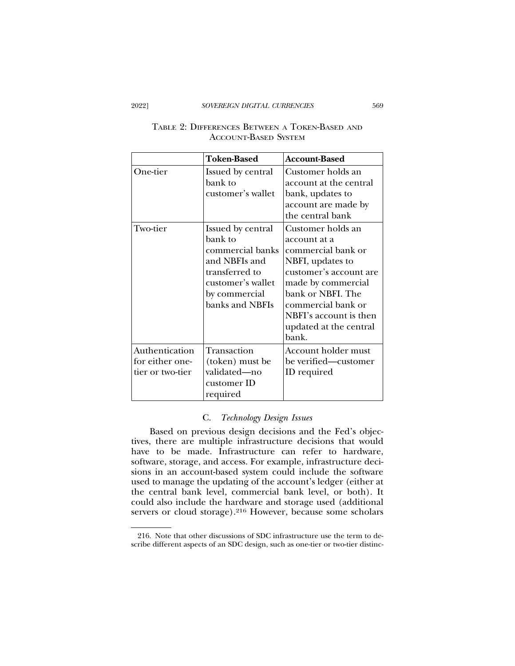|                                                       | <b>Token-Based</b>                                                                                                                           | <b>Account-Based</b>                                                                                                                                                                                                                |
|-------------------------------------------------------|----------------------------------------------------------------------------------------------------------------------------------------------|-------------------------------------------------------------------------------------------------------------------------------------------------------------------------------------------------------------------------------------|
| One-tier                                              | Issued by central<br>bank to<br>customer's wallet                                                                                            | Customer holds an<br>account at the central<br>bank, updates to<br>account are made by<br>the central bank                                                                                                                          |
| Two-tier                                              | Issued by central<br>bank to<br>commercial banks<br>and NBFIs and<br>transferred to<br>customer's wallet<br>by commercial<br>banks and NBFIs | Customer holds an<br>account at a<br>commercial bank or<br>NBFI, updates to<br>customer's account are<br>made by commercial<br>bank or NBFI. The<br>commercial bank or<br>NBFI's account is then<br>updated at the central<br>bank. |
| Authentication<br>for either one-<br>tier or two-tier | Transaction<br>(token) must be<br>validated-no<br>customer ID<br>required                                                                    | Account holder must<br>be verified-customer<br>ID required                                                                                                                                                                          |

# TABLE 2: DIFFERENCES BETWEEN A TOKEN-BASED AND ACCOUNT-BASED SYSTEM

# C. *Technology Design Issues*

Based on previous design decisions and the Fed's objectives, there are multiple infrastructure decisions that would have to be made. Infrastructure can refer to hardware, software, storage, and access. For example, infrastructure decisions in an account-based system could include the software used to manage the updating of the account's ledger (either at the central bank level, commercial bank level, or both). It could also include the hardware and storage used (additional servers or cloud storage).<sup>216</sup> However, because some scholars

<sup>216.</sup> Note that other discussions of SDC infrastructure use the term to describe different aspects of an SDC design, such as one-tier or two-tier distinc-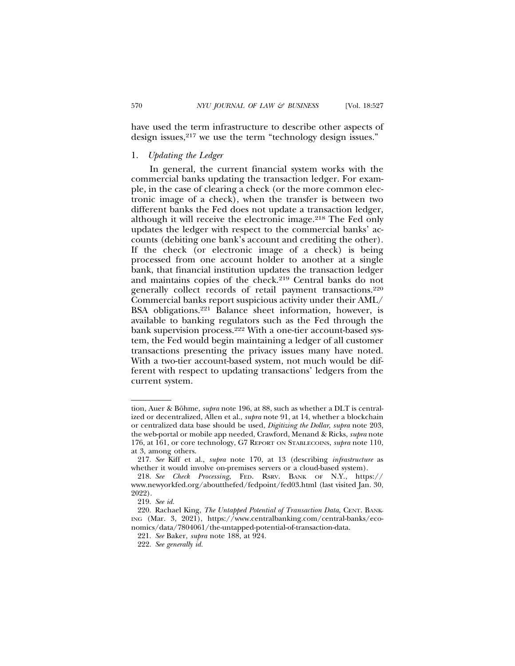have used the term infrastructure to describe other aspects of design issues,<sup>217</sup> we use the term "technology design issues."

### 1. *Updating the Ledger*

In general, the current financial system works with the commercial banks updating the transaction ledger. For example, in the case of clearing a check (or the more common electronic image of a check), when the transfer is between two different banks the Fed does not update a transaction ledger, although it will receive the electronic image.218 The Fed only updates the ledger with respect to the commercial banks' accounts (debiting one bank's account and crediting the other). If the check (or electronic image of a check) is being processed from one account holder to another at a single bank, that financial institution updates the transaction ledger and maintains copies of the check.219 Central banks do not generally collect records of retail payment transactions.220 Commercial banks report suspicious activity under their AML/ BSA obligations.221 Balance sheet information, however, is available to banking regulators such as the Fed through the bank supervision process.222 With a one-tier account-based system, the Fed would begin maintaining a ledger of all customer transactions presenting the privacy issues many have noted. With a two-tier account-based system, not much would be different with respect to updating transactions' ledgers from the current system.

tion, Auer & Böhme, *supra* note 196, at 88, such as whether a DLT is centralized or decentralized, Allen et al., *supra* note 91, at 14, whether a blockchain or centralized data base should be used, *Digitizing the Dollar*, *supra* note 203, the web-portal or mobile app needed, Crawford, Menand & Ricks, *supra* note 176, at 161, or core technology, G7 REPORT ON STABLECOINS, *supra* note 110, at 3, among others.

<sup>217.</sup> *See* Kiff et al., *supra* note 170, at 13 (describing *infrastructure* as whether it would involve on-premises servers or a cloud-based system).

<sup>218.</sup> *See Check Processing*, FED. RSRV. BANK OF N.Y., https:// www.newyorkfed.org/aboutthefed/fedpoint/fed03.html (last visited Jan. 30, 2022).

<sup>219.</sup> *See id.*

<sup>220.</sup> Rachael King, *The Untapped Potential of Transaction Data*, CENT. BANK-ING (Mar. 3, 2021), https://www.centralbanking.com/central-banks/economics/data/7804061/the-untapped-potential-of-transaction-data.

<sup>221.</sup> *See* Baker, *supra* note 188, at 924.

<sup>222.</sup> *See generally id.*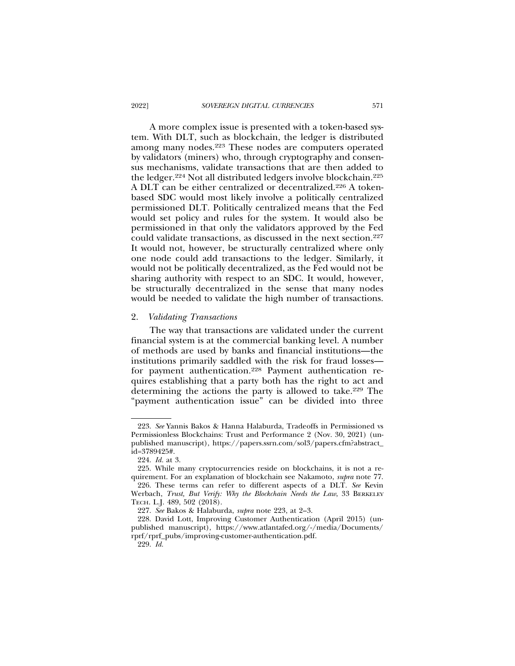A more complex issue is presented with a token-based system. With DLT, such as blockchain, the ledger is distributed among many nodes.223 These nodes are computers operated by validators (miners) who, through cryptography and consensus mechanisms, validate transactions that are then added to the ledger.224 Not all distributed ledgers involve blockchain.225 A DLT can be either centralized or decentralized.226 A tokenbased SDC would most likely involve a politically centralized permissioned DLT. Politically centralized means that the Fed would set policy and rules for the system. It would also be permissioned in that only the validators approved by the Fed could validate transactions, as discussed in the next section.227 It would not, however, be structurally centralized where only one node could add transactions to the ledger. Similarly, it would not be politically decentralized, as the Fed would not be sharing authority with respect to an SDC. It would, however, be structurally decentralized in the sense that many nodes would be needed to validate the high number of transactions.

#### 2. *Validating Transactions*

The way that transactions are validated under the current financial system is at the commercial banking level. A number of methods are used by banks and financial institutions—the institutions primarily saddled with the risk for fraud losses for payment authentication.<sup>228</sup> Payment authentication requires establishing that a party both has the right to act and determining the actions the party is allowed to take.<sup>229</sup> The "payment authentication issue" can be divided into three

<sup>223.</sup> *See* Yannis Bakos & Hanna Halaburda, Tradeoffs in Permissioned vs Permissionless Blockchains: Trust and Performance 2 (Nov. 30, 2021) (unpublished manuscript), https://papers.ssrn.com/sol3/papers.cfm?abstract\_ id=3789425#.

<sup>224.</sup> *Id.* at 3.

<sup>225.</sup> While many cryptocurrencies reside on blockchains, it is not a requirement. For an explanation of blockchain see Nakamoto, *supra* note 77. 226. These terms can refer to different aspects of a DLT. *See* Kevin

Werbach, *Trust, But Verify: Why the Blockchain Needs the Law*, 33 BERKELEY TECH. L.J. 489, 502 (2018).

<sup>227.</sup> *See* Bakos & Halaburda, *supra* note 223, at 2–3.

<sup>228.</sup> David Lott, Improving Customer Authentication (April 2015) (unpublished manuscript), https://www.atlantafed.org/-/media/Documents/ rprf/rprf\_pubs/improving-customer-authentication.pdf.

<sup>229.</sup> *Id.*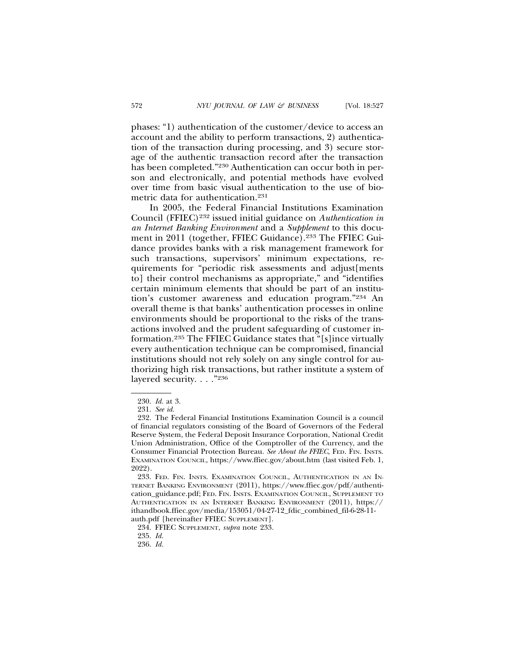phases: "1) authentication of the customer/device to access an account and the ability to perform transactions, 2) authentication of the transaction during processing, and 3) secure storage of the authentic transaction record after the transaction has been completed."230 Authentication can occur both in person and electronically, and potential methods have evolved over time from basic visual authentication to the use of biometric data for authentication.231

In 2005, the Federal Financial Institutions Examination Council (FFIEC)232 issued initial guidance on *Authentication in an Internet Banking Environment* and a *Supplement* to this document in 2011 (together, FFIEC Guidance).233 The FFIEC Guidance provides banks with a risk management framework for such transactions, supervisors' minimum expectations, requirements for "periodic risk assessments and adjust[ments to] their control mechanisms as appropriate," and "identifies certain minimum elements that should be part of an institution's customer awareness and education program."234 An overall theme is that banks' authentication processes in online environments should be proportional to the risks of the transactions involved and the prudent safeguarding of customer information.235 The FFIEC Guidance states that "[s]ince virtually every authentication technique can be compromised, financial institutions should not rely solely on any single control for authorizing high risk transactions, but rather institute a system of layered security. . . . "236

<sup>230.</sup> *Id.* at 3.

<sup>231.</sup> *See id.*

<sup>232.</sup> The Federal Financial Institutions Examination Council is a council of financial regulators consisting of the Board of Governors of the Federal Reserve System, the Federal Deposit Insurance Corporation, National Credit Union Administration, Office of the Comptroller of the Currency, and the Consumer Financial Protection Bureau. *See About the FFIEC*, FED. FIN. INSTS. EXAMINATION COUNCIL, https://www.ffiec.gov/about.htm (last visited Feb. 1, 2022).

<sup>233.</sup> FED. FIN. INSTS. EXAMINATION COUNCIL, AUTHENTICATION IN AN IN-TERNET BANKING ENVIRONMENT (2011), https://www.ffiec.gov/pdf/authentication\_guidance.pdf; FED. FIN. INSTS. EXAMINATION COUNCIL, SUPPLEMENT TO AUTHENTICATION IN AN INTERNET BANKING ENVIRONMENT (2011), https:// ithandbook.ffiec.gov/media/153051/04-27-12\_fdic\_combined\_fil-6-28-11 auth.pdf [hereinafter FFIEC SUPPLEMENT].

<sup>234.</sup> FFIEC SUPPLEMENT, *supra* note 233.

<sup>235.</sup> *Id.*

<sup>236.</sup> *Id.*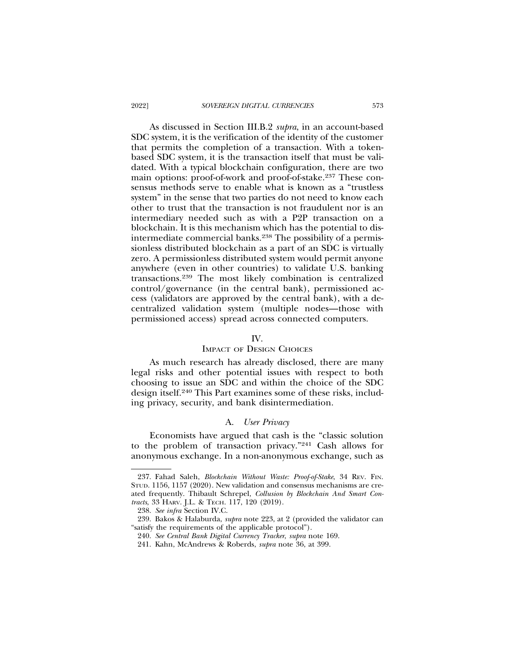As discussed in Section III.B.2 *supra*, in an account-based SDC system, it is the verification of the identity of the customer that permits the completion of a transaction. With a tokenbased SDC system, it is the transaction itself that must be validated. With a typical blockchain configuration, there are two main options: proof-of-work and proof-of-stake.237 These consensus methods serve to enable what is known as a "trustless system" in the sense that two parties do not need to know each other to trust that the transaction is not fraudulent nor is an intermediary needed such as with a P2P transaction on a blockchain. It is this mechanism which has the potential to disintermediate commercial banks.238 The possibility of a permissionless distributed blockchain as a part of an SDC is virtually zero. A permissionless distributed system would permit anyone anywhere (even in other countries) to validate U.S. banking transactions.239 The most likely combination is centralized control/governance (in the central bank), permissioned access (validators are approved by the central bank), with a decentralized validation system (multiple nodes—those with permissioned access) spread across connected computers.

### IV.

### IMPACT OF DESIGN CHOICES

As much research has already disclosed, there are many legal risks and other potential issues with respect to both choosing to issue an SDC and within the choice of the SDC design itself.240 This Part examines some of these risks, including privacy, security, and bank disintermediation.

### A. *User Privacy*

Economists have argued that cash is the "classic solution to the problem of transaction privacy."241 Cash allows for anonymous exchange. In a non-anonymous exchange, such as

<sup>237.</sup> Fahad Saleh, *Blockchain Without Waste: Proof-of-Stake*, 34 REV. FIN. STUD. 1156, 1157 (2020). New validation and consensus mechanisms are created frequently. Thibault Schrepel, *Collusion by Blockchain And Smart Contracts*, 33 HARV. J.L. & TECH. 117, 120 (2019).

<sup>238.</sup> *See infra* Section IV.C.

<sup>239.</sup> Bakos & Halaburda, *supra* note 223, at 2 (provided the validator can "satisfy the requirements of the applicable protocol").

<sup>240.</sup> *See Central Bank Digital Currency Tracker*, *supra* note 169.

<sup>241.</sup> Kahn, McAndrews & Roberds, *supra* note 36, at 399.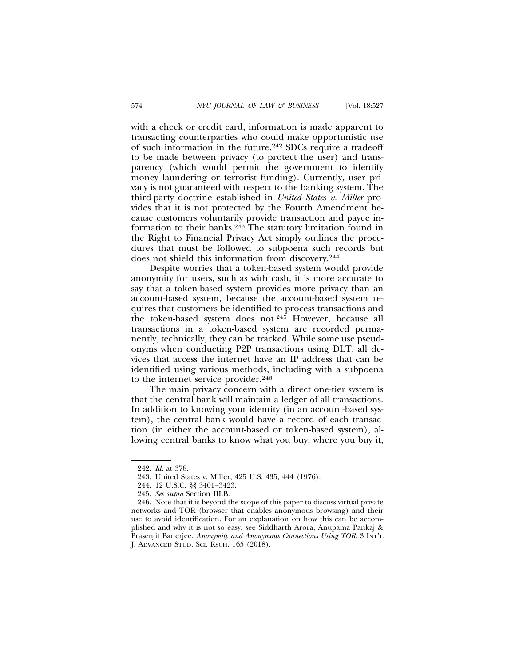with a check or credit card, information is made apparent to transacting counterparties who could make opportunistic use of such information in the future.242 SDCs require a tradeoff to be made between privacy (to protect the user) and transparency (which would permit the government to identify money laundering or terrorist funding). Currently, user privacy is not guaranteed with respect to the banking system. The third-party doctrine established in *United States v. Miller* provides that it is not protected by the Fourth Amendment because customers voluntarily provide transaction and payee information to their banks.243 The statutory limitation found in the Right to Financial Privacy Act simply outlines the procedures that must be followed to subpoena such records but does not shield this information from discovery.244

Despite worries that a token-based system would provide anonymity for users, such as with cash, it is more accurate to say that a token-based system provides more privacy than an account-based system, because the account-based system requires that customers be identified to process transactions and the token-based system does not.245 However, because all transactions in a token-based system are recorded permanently, technically, they can be tracked. While some use pseudonyms when conducting P2P transactions using DLT, all devices that access the internet have an IP address that can be identified using various methods, including with a subpoena to the internet service provider.246

The main privacy concern with a direct one-tier system is that the central bank will maintain a ledger of all transactions. In addition to knowing your identity (in an account-based system), the central bank would have a record of each transaction (in either the account-based or token-based system), allowing central banks to know what you buy, where you buy it,

<sup>242.</sup> *Id.* at 378.

<sup>243.</sup> United States v. Miller, 425 U.S. 435, 444 (1976).

<sup>244. 12</sup> U.S.C. §§ 3401–3423.

<sup>245.</sup> *See supra* Section III.B.

<sup>246.</sup> Note that it is beyond the scope of this paper to discuss virtual private networks and TOR (browser that enables anonymous browsing) and their use to avoid identification. For an explanation on how this can be accomplished and why it is not so easy, see Siddharth Arora, Anupama Pankaj & Prasenjit Banerjee, *Anonymity and Anonymous Connections Using TOR*, 3 INT'L J. ADVANCED STUD. SCI. RSCH. 165 (2018).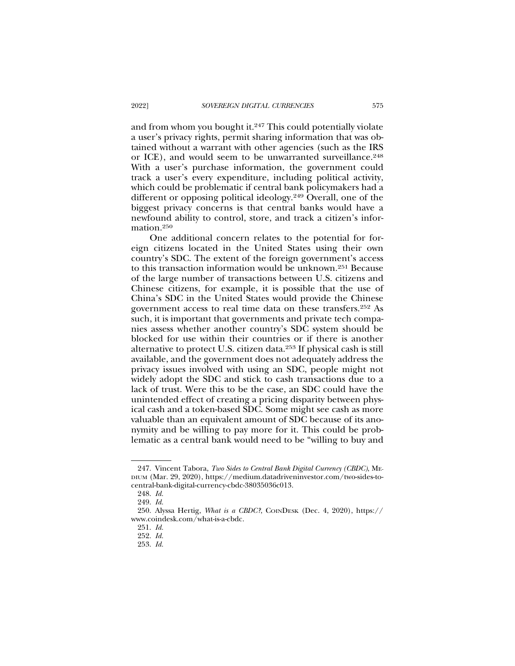and from whom you bought it.247 This could potentially violate a user's privacy rights, permit sharing information that was obtained without a warrant with other agencies (such as the IRS or ICE), and would seem to be unwarranted surveillance.<sup>248</sup> With a user's purchase information, the government could track a user's every expenditure, including political activity, which could be problematic if central bank policymakers had a different or opposing political ideology.249 Overall, one of the biggest privacy concerns is that central banks would have a newfound ability to control, store, and track a citizen's information.250

One additional concern relates to the potential for foreign citizens located in the United States using their own country's SDC. The extent of the foreign government's access to this transaction information would be unknown.251 Because of the large number of transactions between U.S. citizens and Chinese citizens, for example, it is possible that the use of China's SDC in the United States would provide the Chinese government access to real time data on these transfers.252 As such, it is important that governments and private tech companies assess whether another country's SDC system should be blocked for use within their countries or if there is another alternative to protect U.S. citizen data.253 If physical cash is still available, and the government does not adequately address the privacy issues involved with using an SDC, people might not widely adopt the SDC and stick to cash transactions due to a lack of trust. Were this to be the case, an SDC could have the unintended effect of creating a pricing disparity between physical cash and a token-based SDC. Some might see cash as more valuable than an equivalent amount of SDC because of its anonymity and be willing to pay more for it. This could be problematic as a central bank would need to be "willing to buy and

<sup>247.</sup> Vincent Tabora, *Two Sides to Central Bank Digital Currency (CBDC)*, ME-DIUM (Mar. 29, 2020), https://medium.datadriveninvestor.com/two-sides-tocentral-bank-digital-currency-cbdc-38035036c013.

<sup>248.</sup> *Id.*

<sup>249.</sup> *Id.*

<sup>250.</sup> Alyssa Hertig, *What is a CBDC?*, COINDESK (Dec. 4, 2020), https:// www.coindesk.com/what-is-a-cbdc.

<sup>251.</sup> *Id.*

<sup>252.</sup> *Id.*

<sup>253.</sup> *Id.*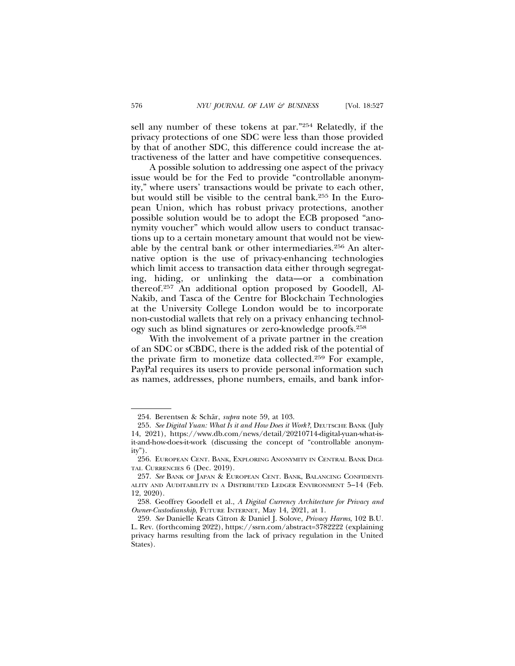sell any number of these tokens at par."254 Relatedly, if the privacy protections of one SDC were less than those provided by that of another SDC, this difference could increase the attractiveness of the latter and have competitive consequences.

A possible solution to addressing one aspect of the privacy issue would be for the Fed to provide "controllable anonymity," where users' transactions would be private to each other, but would still be visible to the central bank.255 In the European Union, which has robust privacy protections, another possible solution would be to adopt the ECB proposed "anonymity voucher" which would allow users to conduct transactions up to a certain monetary amount that would not be viewable by the central bank or other intermediaries.<sup>256</sup> An alternative option is the use of privacy-enhancing technologies which limit access to transaction data either through segregating, hiding, or unlinking the data—or a combination thereof.257 An additional option proposed by Goodell, Al-Nakib, and Tasca of the Centre for Blockchain Technologies at the University College London would be to incorporate non-custodial wallets that rely on a privacy enhancing technology such as blind signatures or zero-knowledge proofs.258

With the involvement of a private partner in the creation of an SDC or sCBDC, there is the added risk of the potential of the private firm to monetize data collected.259 For example, PayPal requires its users to provide personal information such as names, addresses, phone numbers, emails, and bank infor-

<sup>254.</sup> Berentsen & Schär, *supra* note 59, at 103.

<sup>255.</sup> *See Digital Yuan: What Is it and How Does it Work?*, DEUTSCHE BANK (July 14, 2021), https://www.db.com/news/detail/20210714-digital-yuan-what-isit-and-how-does-it-work (discussing the concept of "controllable anonymity").

<sup>256.</sup> EUROPEAN CENT. BANK, EXPLORING ANONYMITY IN CENTRAL BANK DIGI-TAL CURRENCIES 6 (Dec. 2019).

<sup>257.</sup> *See* BANK OF JAPAN & EUROPEAN CENT. BANK, BALANCING CONFIDENTI-ALITY AND AUDITABILITY IN A DISTRIBUTED LEDGER ENVIRONMENT 5–14 (Feb. 12, 2020).

<sup>258.</sup> Geoffrey Goodell et al., *A Digital Currency Architecture for Privacy and Owner-Custodianship*, FUTURE INTERNET, May 14, 2021, at 1.

<sup>259.</sup> *See* Danielle Keats Citron & Daniel J. Solove, *Privacy Harms*, 102 B.U. L. Rev. (forthcoming 2022), https://ssrn.com/abstract=3782222 (explaining privacy harms resulting from the lack of privacy regulation in the United States).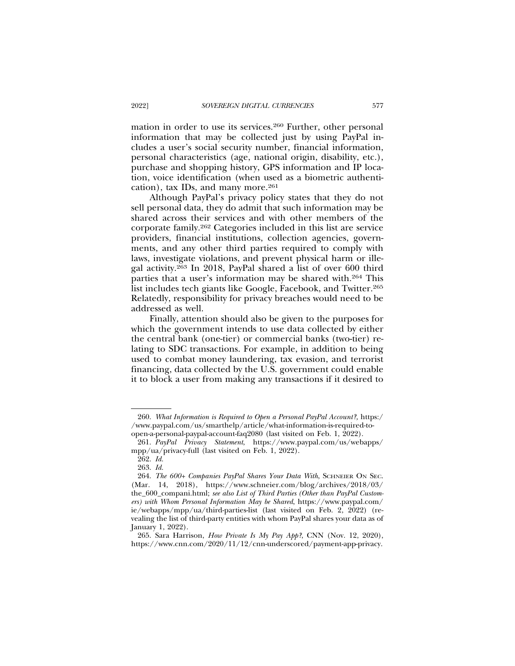mation in order to use its services.260 Further, other personal information that may be collected just by using PayPal includes a user's social security number, financial information, personal characteristics (age, national origin, disability, etc.), purchase and shopping history, GPS information and IP location, voice identification (when used as a biometric authentication), tax IDs, and many more. $261$ 

Although PayPal's privacy policy states that they do not sell personal data, they do admit that such information may be shared across their services and with other members of the corporate family.262 Categories included in this list are service providers, financial institutions, collection agencies, governments, and any other third parties required to comply with laws, investigate violations, and prevent physical harm or illegal activity.263 In 2018, PayPal shared a list of over 600 third parties that a user's information may be shared with.264 This list includes tech giants like Google, Facebook, and Twitter.265 Relatedly, responsibility for privacy breaches would need to be addressed as well.

Finally, attention should also be given to the purposes for which the government intends to use data collected by either the central bank (one-tier) or commercial banks (two-tier) relating to SDC transactions. For example, in addition to being used to combat money laundering, tax evasion, and terrorist financing, data collected by the U.S. government could enable it to block a user from making any transactions if it desired to

<sup>260.</sup> *What Information is Required to Open a Personal PayPal Account?,* https:/ /www.paypal.com/us/smarthelp/article/what-information-is-required-toopen-a-personal-paypal-account-faq2080 (last visited on Feb. 1, 2022).

<sup>261.</sup> *PayPal Privacy Statement*, https://www.paypal.com/us/webapps/ mpp/ua/privacy-full (last visited on Feb. 1, 2022).

<sup>262.</sup> *Id.*

<sup>263.</sup> *Id.*

<sup>264.</sup> *The 600+ Companies PayPal Shares Your Data With*, SCHNEIER ON SEC. (Mar. 14, 2018), https://www.schneier.com/blog/archives/2018/03/ the\_600\_compani.html; *see also List of Third Parties (Other than PayPal Customers) with Whom Personal Information May be Shared*, https://www.paypal.com/ ie/webapps/mpp/ua/third-parties-list (last visited on Feb. 2, 2022) (revealing the list of third-party entities with whom PayPal shares your data as of January 1, 2022).

<sup>265.</sup> Sara Harrison, *How Private Is My Pay App?*, CNN (Nov. 12, 2020), https://www.cnn.com/2020/11/12/cnn-underscored/payment-app-privacy.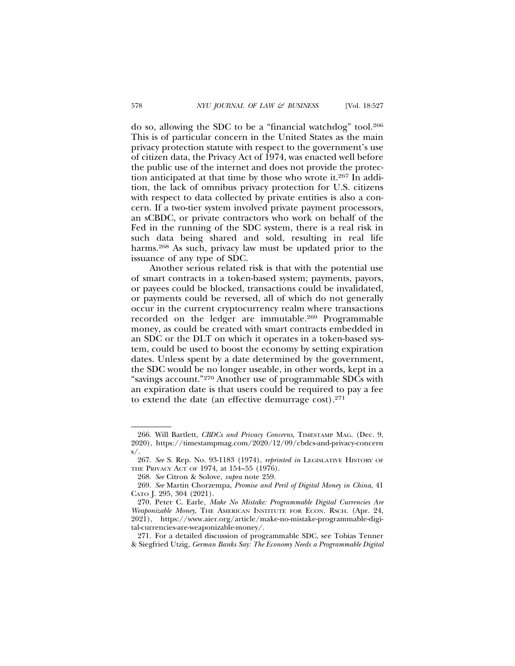do so, allowing the SDC to be a "financial watchdog" tool.266 This is of particular concern in the United States as the main privacy protection statute with respect to the government's use of citizen data, the Privacy Act of 1974, was enacted well before the public use of the internet and does not provide the protection anticipated at that time by those who wrote it.267 In addition, the lack of omnibus privacy protection for U.S. citizens

with respect to data collected by private entities is also a concern. If a two-tier system involved private payment processors, an sCBDC, or private contractors who work on behalf of the Fed in the running of the SDC system, there is a real risk in such data being shared and sold, resulting in real life harms.<sup>268</sup> As such, privacy law must be updated prior to the issuance of any type of SDC.

Another serious related risk is that with the potential use of smart contracts in a token-based system; payments, payors, or payees could be blocked, transactions could be invalidated, or payments could be reversed, all of which do not generally occur in the current cryptocurrency realm where transactions recorded on the ledger are immutable.269 Programmable money, as could be created with smart contracts embedded in an SDC or the DLT on which it operates in a token-based system, could be used to boost the economy by setting expiration dates. Unless spent by a date determined by the government, the SDC would be no longer useable, in other words, kept in a "savings account."270 Another use of programmable SDCs with an expiration date is that users could be required to pay a fee to extend the date (an effective demurrage cost).271

271. For a detailed discussion of programmable SDC, see Tobias Tenner & Siegfried Utzig, *German Banks Say: The Economy Needs a Programmable Digital*

<sup>266.</sup> Will Bartlett, *CBDCs and Privacy Concerns*, TIMESTAMP MAG. (Dec. 9, 2020), https://timestampmag.com/2020/12/09/cbdcs-and-privacy-concern  $s/$ 

<sup>267.</sup> *See* S. Rep. No. 93-1183 (1974), *reprinted in* LEGISLATIVE HISTORY OF THE PRIVACY ACT OF 1974, at 154–55 (1976).

<sup>268.</sup> *See* Citron & Solove, *supra* note 259.

<sup>269.</sup> *See* Martin Chorzempa, *Promise and Peril of Digital Money in China*, 41 CATO J. 295, 304 (2021).

<sup>270.</sup> Peter C. Earle*, Make No Mistake: Programmable Digital Currencies Are Weaponizable Money*, THE AMERICAN INSTITUTE FOR ECON. RSCH. (Apr. 24, 2021), https://www.aier.org/article/make-no-mistake-programmable-digital-currencies-are-weaponizable-money/.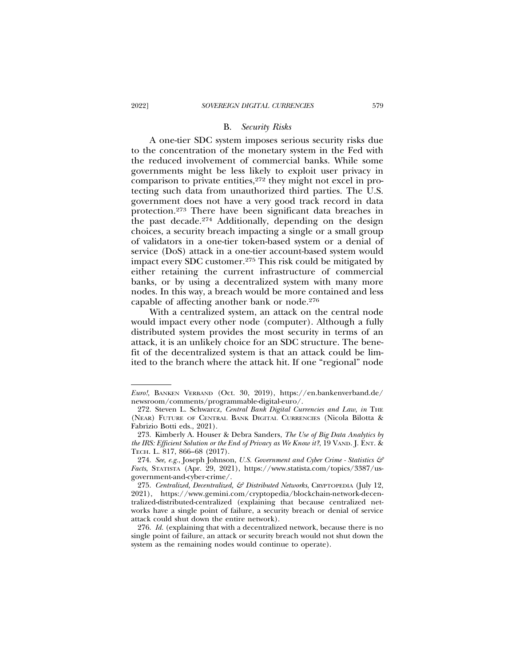#### B. *Security Risks*

A one-tier SDC system imposes serious security risks due to the concentration of the monetary system in the Fed with the reduced involvement of commercial banks. While some governments might be less likely to exploit user privacy in comparison to private entities, $272$  they might not excel in protecting such data from unauthorized third parties. The U.S. government does not have a very good track record in data protection.273 There have been significant data breaches in the past decade.274 Additionally, depending on the design choices, a security breach impacting a single or a small group of validators in a one-tier token-based system or a denial of service (DoS) attack in a one-tier account-based system would impact every SDC customer.275 This risk could be mitigated by either retaining the current infrastructure of commercial banks, or by using a decentralized system with many more nodes. In this way, a breach would be more contained and less capable of affecting another bank or node.276

With a centralized system, an attack on the central node would impact every other node (computer). Although a fully distributed system provides the most security in terms of an attack, it is an unlikely choice for an SDC structure. The benefit of the decentralized system is that an attack could be limited to the branch where the attack hit. If one "regional" node

*Euro!*, BANKEN VERBAND (Oct. 30, 2019), https://en.bankenverband.de/ newsroom/comments/programmable-digital-euro/.

<sup>272.</sup> Steven L. Schwarcz, *Central Bank Digital Currencies and Law*, *in* THE (NEAR) FUTURE OF CENTRAL BANK DIGITAL CURRENCIES (Nicola Bilotta & Fabrizio Botti eds., 2021).

<sup>273.</sup> Kimberly A. Houser & Debra Sanders, *The Use of Big Data Analytics by the IRS: Efficient Solution or the End of Privacy as We Know it?*, 19 VAND. J. ENT. & TECH. L. 817, 866–68 (2017).

<sup>274.</sup> *See, e.g.*, Joseph Johnson, *U.S. Government and Cyber Crime - Statistics & Facts*, STATISTA (Apr. 29, 2021), https://www.statista.com/topics/3387/usgovernment-and-cyber-crime/.

<sup>275.</sup> *Centralized, Decentralized, & Distributed Networks*, CRYPTOPEDIA (July 12, 2021), https://www.gemini.com/cryptopedia/blockchain-network-decentralized-distributed-centralized (explaining that because centralized networks have a single point of failure, a security breach or denial of service attack could shut down the entire network).

<sup>276.</sup> *Id.* (explaining that with a decentralized network, because there is no single point of failure, an attack or security breach would not shut down the system as the remaining nodes would continue to operate).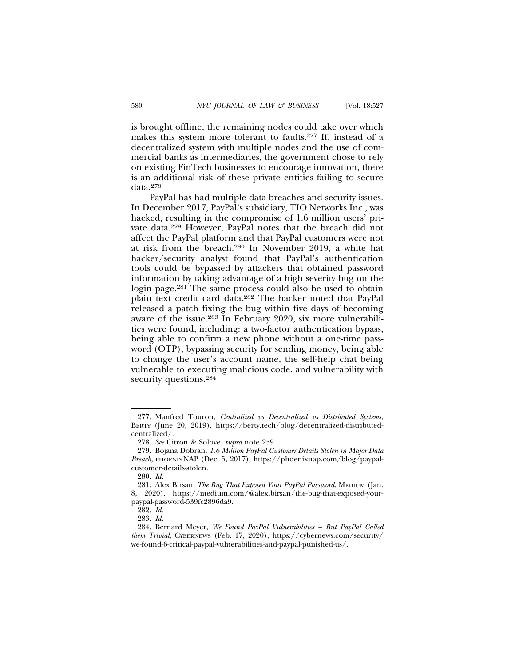is brought offline, the remaining nodes could take over which makes this system more tolerant to faults.277 If, instead of a decentralized system with multiple nodes and the use of commercial banks as intermediaries, the government chose to rely on existing FinTech businesses to encourage innovation, there is an additional risk of these private entities failing to secure data.278

PayPal has had multiple data breaches and security issues. In December 2017, PayPal's subsidiary, TIO Networks Inc., was hacked, resulting in the compromise of 1.6 million users' private data.279 However, PayPal notes that the breach did not affect the PayPal platform and that PayPal customers were not at risk from the breach.280 In November 2019, a white hat hacker/security analyst found that PayPal's authentication tools could be bypassed by attackers that obtained password information by taking advantage of a high severity bug on the login page.<sup>281</sup> The same process could also be used to obtain plain text credit card data.282 The hacker noted that PayPal released a patch fixing the bug within five days of becoming aware of the issue.283 In February 2020, six more vulnerabilities were found, including: a two-factor authentication bypass, being able to confirm a new phone without a one-time password (OTP), bypassing security for sending money, being able to change the user's account name, the self-help chat being vulnerable to executing malicious code, and vulnerability with security questions.284

<sup>277.</sup> Manfred Touron, *Centralized vs Decentralized vs Distributed Systems*, BERTY (June 20, 2019), https://berty.tech/blog/decentralized-distributedcentralized/.

<sup>278.</sup> *See* Citron & Solove, *supra* note 259.

<sup>279.</sup> Bojana Dobran, *1.6 Million PayPal Customer Details Stolen in Major Data Breach*, PHOENIXNAP (Dec. 5, 2017), https://phoenixnap.com/blog/paypalcustomer-details-stolen.

<sup>280.</sup> *Id.*

<sup>281.</sup> Alex Birsan, *The Bug That Exposed Your PayPal Password*, MEDIUM (Jan. 8, 2020), https://medium.com/@alex.birsan/the-bug-that-exposed-yourpaypal-password-539fc2896da9.

<sup>282.</sup> *Id.*

<sup>283.</sup> *Id.*

<sup>284.</sup> Bernard Meyer, *We Found PayPal Vulnerabilities – But PayPal Called them Trivial*, CYBERNEWS (Feb. 17, 2020), https://cybernews.com/security/ we-found-6-critical-paypal-vulnerabilities-and-paypal-punished-us/.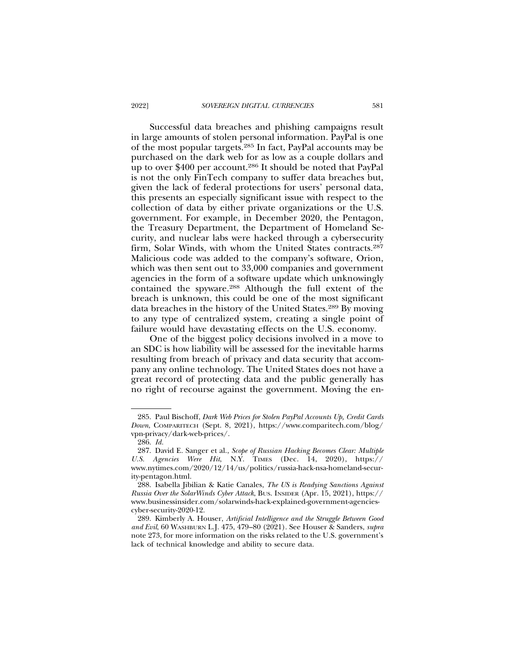Successful data breaches and phishing campaigns result in large amounts of stolen personal information. PayPal is one of the most popular targets.285 In fact, PayPal accounts may be purchased on the dark web for as low as a couple dollars and up to over \$400 per account.286 It should be noted that PayPal is not the only FinTech company to suffer data breaches but, given the lack of federal protections for users' personal data, this presents an especially significant issue with respect to the collection of data by either private organizations or the U.S. government. For example, in December 2020, the Pentagon, the Treasury Department, the Department of Homeland Security, and nuclear labs were hacked through a cybersecurity firm, Solar Winds, with whom the United States contracts.287 Malicious code was added to the company's software, Orion, which was then sent out to 33,000 companies and government agencies in the form of a software update which unknowingly contained the spyware.288 Although the full extent of the breach is unknown, this could be one of the most significant data breaches in the history of the United States.289 By moving to any type of centralized system, creating a single point of failure would have devastating effects on the U.S. economy.

One of the biggest policy decisions involved in a move to an SDC is how liability will be assessed for the inevitable harms resulting from breach of privacy and data security that accompany any online technology. The United States does not have a great record of protecting data and the public generally has no right of recourse against the government. Moving the en-

<sup>285.</sup> Paul Bischoff, *Dark Web Prices for Stolen PayPal Accounts Up, Credit Cards Down*, COMPARITECH (Sept. 8, 2021), https://www.comparitech.com/blog/ vpn-privacy/dark-web-prices/.

<sup>286.</sup> *Id.*

<sup>287.</sup> David E. Sanger et al., *Scope of Russian Hacking Becomes Clear: Multiple U.S. Agencies Were Hit*, N.Y. TIMES (Dec. 14, 2020), https:// www.nytimes.com/2020/12/14/us/politics/russia-hack-nsa-homeland-security-pentagon.html.

<sup>288.</sup> Isabella Jibilian & Katie Canales, *The US is Readying Sanctions Against Russia Over the SolarWinds Cyber Attack*, BUS. INSIDER (Apr. 15, 2021), https:// www.businessinsider.com/solarwinds-hack-explained-government-agenciescyber-security-2020-12.

<sup>289.</sup> Kimberly A. Houser, *Artificial Intelligence and the Struggle Between Good and Evil*, 60 WASHBURN L.J. 475, 479–80 (2021). See Houser & Sanders, *supra* note 273, for more information on the risks related to the U.S. government's lack of technical knowledge and ability to secure data.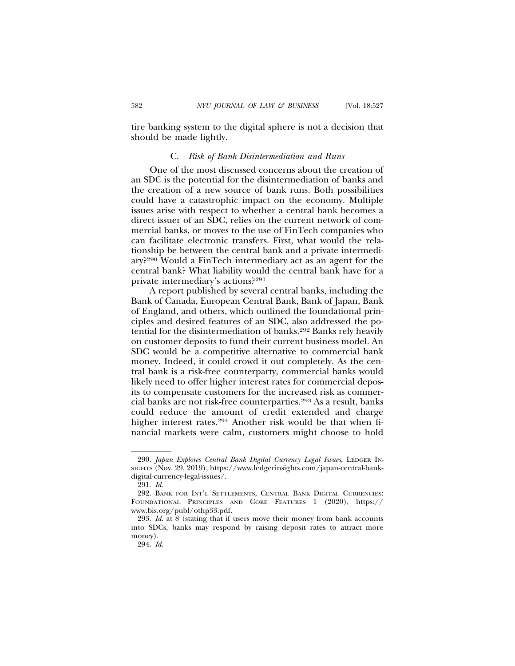tire banking system to the digital sphere is not a decision that should be made lightly.

#### C. *Risk of Bank Disintermediation and Runs*

One of the most discussed concerns about the creation of an SDC is the potential for the disintermediation of banks and the creation of a new source of bank runs. Both possibilities could have a catastrophic impact on the economy. Multiple issues arise with respect to whether a central bank becomes a direct issuer of an SDC, relies on the current network of commercial banks, or moves to the use of FinTech companies who can facilitate electronic transfers. First, what would the relationship be between the central bank and a private intermediary?290 Would a FinTech intermediary act as an agent for the central bank? What liability would the central bank have for a private intermediary's actions?291

A report published by several central banks, including the Bank of Canada, European Central Bank, Bank of Japan, Bank of England, and others, which outlined the foundational principles and desired features of an SDC, also addressed the potential for the disintermediation of banks.292 Banks rely heavily on customer deposits to fund their current business model. An SDC would be a competitive alternative to commercial bank money. Indeed, it could crowd it out completely. As the central bank is a risk-free counterparty, commercial banks would likely need to offer higher interest rates for commercial deposits to compensate customers for the increased risk as commercial banks are not risk-free counterparties.293 As a result, banks could reduce the amount of credit extended and charge higher interest rates.294 Another risk would be that when financial markets were calm, customers might choose to hold

<sup>290.</sup> *Japan Explores Central Bank Digital Currency Legal Issues*, LEDGER IN-SIGHTS (Nov. 29, 2019), https://www.ledgerinsights.com/japan-central-bankdigital-currency-legal-issues/.

<sup>291.</sup> *Id.*

<sup>292.</sup> BANK FOR INT'L SETTLEMENTS, CENTRAL BANK DIGITAL CURRENCIES: FOUNDATIONAL PRINCIPLES AND CORE FEATURES 1 (2020), https:// www.bis.org/publ/othp33.pdf.

<sup>293.</sup> *Id.* at 8 (stating that if users move their money from bank accounts into SDCs, banks may respond by raising deposit rates to attract more money).

<sup>294.</sup> *Id.*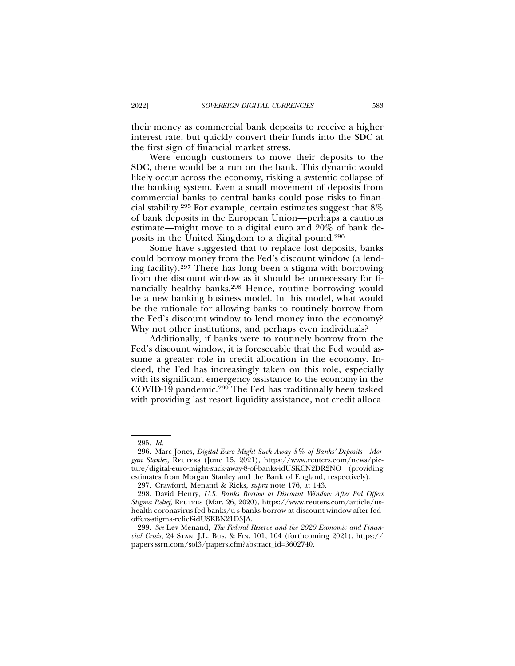their money as commercial bank deposits to receive a higher interest rate, but quickly convert their funds into the SDC at the first sign of financial market stress.

Were enough customers to move their deposits to the SDC, there would be a run on the bank. This dynamic would likely occur across the economy, risking a systemic collapse of the banking system. Even a small movement of deposits from commercial banks to central banks could pose risks to financial stability.295 For example, certain estimates suggest that 8% of bank deposits in the European Union—perhaps a cautious estimate—might move to a digital euro and 20% of bank deposits in the United Kingdom to a digital pound.296

Some have suggested that to replace lost deposits, banks could borrow money from the Fed's discount window (a lending facility).297 There has long been a stigma with borrowing from the discount window as it should be unnecessary for financially healthy banks.298 Hence, routine borrowing would be a new banking business model. In this model, what would be the rationale for allowing banks to routinely borrow from the Fed's discount window to lend money into the economy? Why not other institutions, and perhaps even individuals?

Additionally, if banks were to routinely borrow from the Fed's discount window, it is foreseeable that the Fed would assume a greater role in credit allocation in the economy. Indeed, the Fed has increasingly taken on this role, especially with its significant emergency assistance to the economy in the COVID-19 pandemic.299 The Fed has traditionally been tasked with providing last resort liquidity assistance, not credit alloca-

<sup>295.</sup> *Id.*

<sup>296.</sup> Marc Jones, *Digital Euro Might Suck Away 8% of Banks' Deposits - Morgan Stanley*, REUTERS (June 15, 2021), https://www.reuters.com/news/picture/digital-euro-might-suck-away-8-of-banks-idUSKCN2DR2NO (providing estimates from Morgan Stanley and the Bank of England, respectively).

<sup>297.</sup> Crawford, Menand & Ricks, *supra* note 176, at 143.

<sup>298.</sup> David Henry, *U.S. Banks Borrow at Discount Window After Fed Offers Stigma Relief*, REUTERS (Mar. 26, 2020), https://www.reuters.com/article/ushealth-coronavirus-fed-banks/u-s-banks-borrow-at-discount-window-after-fedoffers-stigma-relief-idUSKBN21D3JA.

<sup>299.</sup> *See* Lev Menand, *The Federal Reserve and the 2020 Economic and Financial Crisis*, 24 STAN. J.L. BUS. & FIN. 101, 104 (forthcoming 2021), https:// papers.ssrn.com/sol3/papers.cfm?abstract\_id=3602740.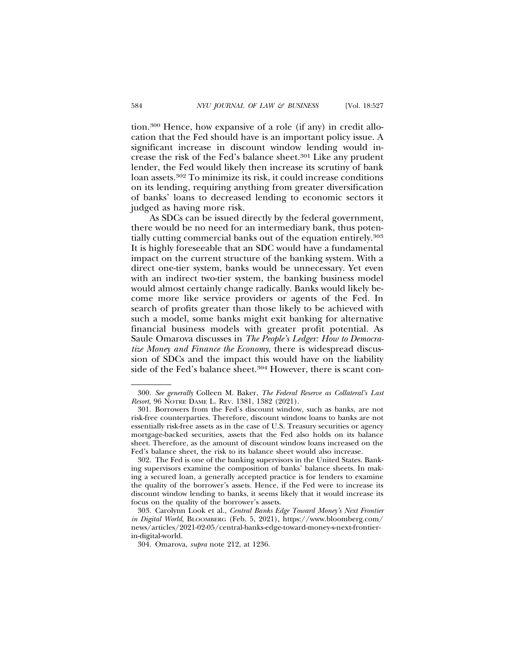tion.300 Hence, how expansive of a role (if any) in credit allocation that the Fed should have is an important policy issue. A significant increase in discount window lending would increase the risk of the Fed's balance sheet.301 Like any prudent lender, the Fed would likely then increase its scrutiny of bank loan assets.302 To minimize its risk, it could increase conditions on its lending, requiring anything from greater diversification of banks' loans to decreased lending to economic sectors it judged as having more risk.

As SDCs can be issued directly by the federal government, there would be no need for an intermediary bank, thus potentially cutting commercial banks out of the equation entirely.303 It is highly foreseeable that an SDC would have a fundamental impact on the current structure of the banking system. With a direct one-tier system, banks would be unnecessary. Yet even with an indirect two-tier system, the banking business model would almost certainly change radically. Banks would likely become more like service providers or agents of the Fed. In search of profits greater than those likely to be achieved with such a model, some banks might exit banking for alternative financial business models with greater profit potential. As Saule Omarova discusses in *The People's Ledger: How to Democratize Money and Finance the Economy*, there is widespread discussion of SDCs and the impact this would have on the liability side of the Fed's balance sheet.<sup>304</sup> However, there is scant con-

<sup>300.</sup> *See generally* Colleen M. Baker, *The Federal Reserve as Collateral's Last Resort*, 96 NOTRE DAME L. REV. 1381, 1382 (2021).

<sup>301.</sup> Borrowers from the Fed's discount window, such as banks, are not risk-free counterparties. Therefore, discount window loans to banks are not essentially risk-free assets as in the case of U.S. Treasury securities or agency mortgage-backed securities, assets that the Fed also holds on its balance sheet. Therefore, as the amount of discount window loans increased on the Fed's balance sheet, the risk to its balance sheet would also increase.

<sup>302.</sup> The Fed is one of the banking supervisors in the United States. Banking supervisors examine the composition of banks' balance sheets. In making a secured loan, a generally accepted practice is for lenders to examine the quality of the borrower's assets. Hence, if the Fed were to increase its discount window lending to banks, it seems likely that it would increase its focus on the quality of the borrower's assets.

<sup>303.</sup> Carolynn Look et al., *Central Banks Edge Toward Money's Next Frontier in Digital World*, BLOOMBERG (Feb. 5, 2021), https://www.bloomberg.com/ news/articles/2021-02-05/central-banks-edge-toward-money-s-next-frontierin-digital-world.

<sup>304.</sup> Omarova, *supra* note 212, at 1236.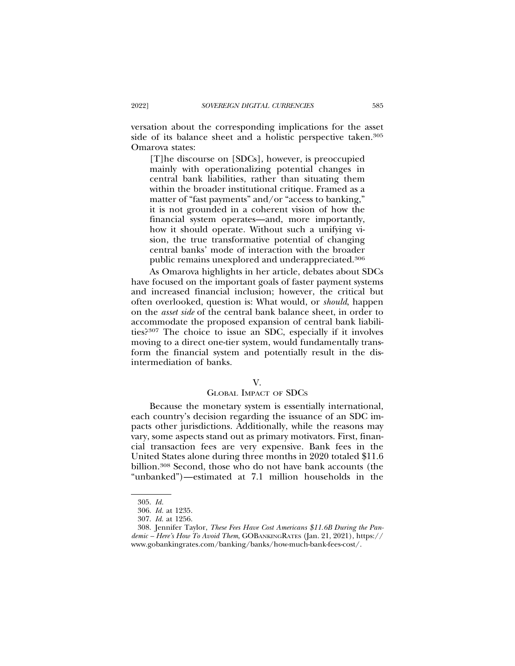versation about the corresponding implications for the asset side of its balance sheet and a holistic perspective taken.<sup>305</sup> Omarova states:

[T]he discourse on [SDCs], however, is preoccupied mainly with operationalizing potential changes in central bank liabilities, rather than situating them within the broader institutional critique. Framed as a matter of "fast payments" and/or "access to banking," it is not grounded in a coherent vision of how the financial system operates—and, more importantly, how it should operate. Without such a unifying vision, the true transformative potential of changing central banks' mode of interaction with the broader public remains unexplored and underappreciated.306

As Omarova highlights in her article, debates about SDCs have focused on the important goals of faster payment systems and increased financial inclusion; however, the critical but often overlooked, question is: What would, or *should*, happen on the *asset side* of the central bank balance sheet, in order to accommodate the proposed expansion of central bank liabilities?307 The choice to issue an SDC, especially if it involves moving to a direct one-tier system, would fundamentally transform the financial system and potentially result in the disintermediation of banks.

#### V.

### GLOBAL IMPACT OF SDCS

Because the monetary system is essentially international, each country's decision regarding the issuance of an SDC impacts other jurisdictions. Additionally, while the reasons may vary, some aspects stand out as primary motivators. First, financial transaction fees are very expensive. Bank fees in the United States alone during three months in 2020 totaled \$11.6 billion.308 Second, those who do not have bank accounts (the "unbanked")—estimated at 7.1 million households in the

<sup>305.</sup> *Id.*

<sup>306.</sup> *Id.* at 1235.

<sup>307.</sup> *Id.* at 1256.

<sup>308.</sup> Jennifer Taylor, *These Fees Have Cost Americans \$11.6B During the Pandemic – Here's How To Avoid Them*, GOBANKINGRATES (Jan. 21, 2021), https:// www.gobankingrates.com/banking/banks/how-much-bank-fees-cost/.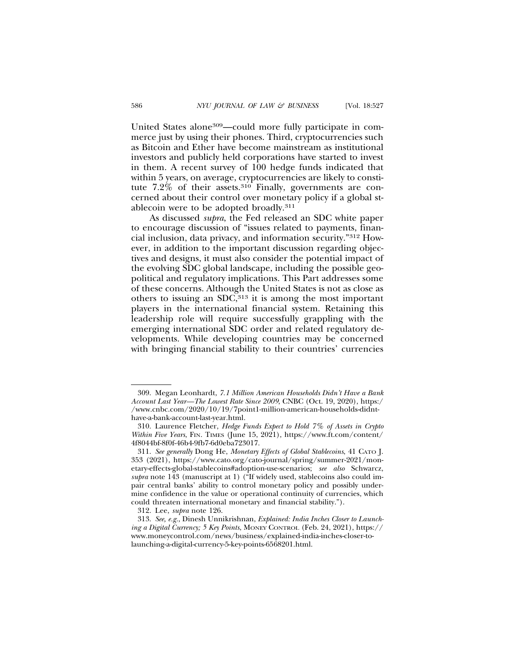United States alone309—could more fully participate in commerce just by using their phones. Third, cryptocurrencies such as Bitcoin and Ether have become mainstream as institutional investors and publicly held corporations have started to invest in them. A recent survey of 100 hedge funds indicated that within 5 years, on average, cryptocurrencies are likely to constitute 7.2% of their assets.<sup>310</sup> Finally, governments are concerned about their control over monetary policy if a global stablecoin were to be adopted broadly.311

As discussed *supra*, the Fed released an SDC white paper to encourage discussion of "issues related to payments, financial inclusion, data privacy, and information security."312 However, in addition to the important discussion regarding objectives and designs, it must also consider the potential impact of the evolving SDC global landscape, including the possible geopolitical and regulatory implications. This Part addresses some of these concerns. Although the United States is not as close as others to issuing an SDC,313 it is among the most important players in the international financial system. Retaining this leadership role will require successfully grappling with the emerging international SDC order and related regulatory developments. While developing countries may be concerned with bringing financial stability to their countries' currencies

<sup>309.</sup> Megan Leonhardt, *7.1 Million American Households Didn't Have a Bank Account Last Year—The Lowest Rate Since 2009*, CNBC (Oct. 19, 2020), https:/ /www.cnbc.com/2020/10/19/7point1-million-american-households-didnthave-a-bank-account-last-year.html.

<sup>310.</sup> Laurence Fletcher, *Hedge Funds Expect to Hold 7% of Assets in Crypto Within Five Years*, FIN. TIMES (June 15, 2021), https://www.ft.com/content/ 4f8044bf-8f0f-46b4-9fb7-6d0eba723017.

<sup>311.</sup> *See generally* Dong He, *Monetary Effects of Global Stablecoins*, 41 CATO J. 353 (2021), https://www.cato.org/cato-journal/spring/summer-2021/monetary-effects-global-stablecoins#adoption-use-scenarios; *see also* Schwarcz, *supra* note 143 (manuscript at 1) ("If widely used, stablecoins also could impair central banks' ability to control monetary policy and possibly undermine confidence in the value or operational continuity of currencies, which could threaten international monetary and financial stability.").

<sup>312.</sup> Lee, *supra* note 126.

<sup>313.</sup> *See, e.g.*, Dinesh Unnikrishnan, *Explained: India Inches Closer to Launching a Digital Currency; 5 Key Points*, MONEY CONTROL (Feb. 24, 2021), https:// www.moneycontrol.com/news/business/explained-india-inches-closer-tolaunching-a-digital-currency-5-key-points-6568201.html.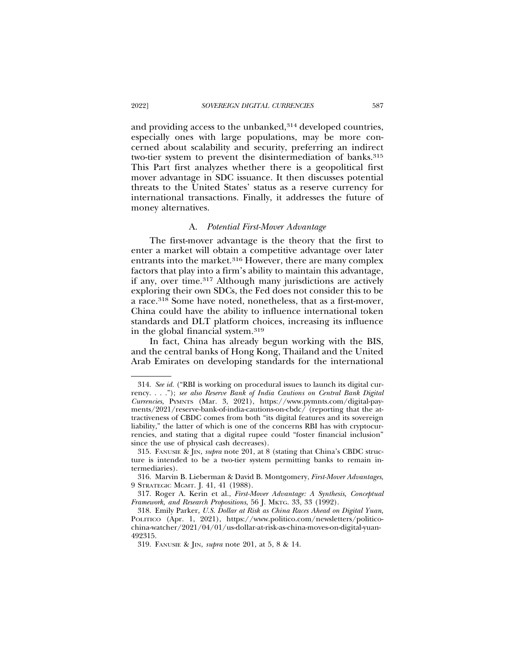and providing access to the unbanked,<sup>314</sup> developed countries, especially ones with large populations, may be more concerned about scalability and security, preferring an indirect two-tier system to prevent the disintermediation of banks.<sup>315</sup> This Part first analyzes whether there is a geopolitical first mover advantage in SDC issuance. It then discusses potential threats to the United States' status as a reserve currency for international transactions. Finally, it addresses the future of money alternatives.

#### A. *Potential First-Mover Advantage*

The first-mover advantage is the theory that the first to enter a market will obtain a competitive advantage over later entrants into the market.<sup>316</sup> However, there are many complex factors that play into a firm's ability to maintain this advantage, if any, over time.317 Although many jurisdictions are actively exploring their own SDCs, the Fed does not consider this to be a race.318 Some have noted, nonetheless, that as a first-mover, China could have the ability to influence international token standards and DLT platform choices, increasing its influence in the global financial system.319

In fact, China has already begun working with the BIS, and the central banks of Hong Kong, Thailand and the United Arab Emirates on developing standards for the international

<sup>314.</sup> *See id.* ("RBI is working on procedural issues to launch its digital currency. . . ."); *see also Reserve Bank of India Cautions on Central Bank Digital Currencies*, PYMNTS (Mar. 3, 2021), https://www.pymnts.com/digital-payments/2021/reserve-bank-of-india-cautions-on-cbdc/ (reporting that the attractiveness of CBDC comes from both "its digital features and its sovereign liability," the latter of which is one of the concerns RBI has with cryptocurrencies, and stating that a digital rupee could "foster financial inclusion" since the use of physical cash decreases).

<sup>315.</sup> FANUSIE & JIN, *supra* note 201, at 8 (stating that China's CBDC structure is intended to be a two-tier system permitting banks to remain intermediaries).

<sup>316.</sup> Marvin B. Lieberman & David B. Montgomery, *First-Mover Advantages*, 9 STRATEGIC MGMT. J. 41, 41 (1988).

<sup>317.</sup> Roger A. Kerin et al., *First-Mover Advantage: A Synthesis, Conceptual Framework, and Research Propositions*, 56 J. MKTG. 33, 33 (1992).

<sup>318.</sup> Emily Parker, *U.S. Dollar at Risk as China Races Ahead on Digital Yuan*, POLITICO (Apr. 1, 2021), https://www.politico.com/newsletters/politicochina-watcher/2021/04/01/us-dollar-at-risk-as-china-moves-on-digital-yuan-492315.

<sup>319.</sup> FANUSIE & JIN, *supra* note 201, at 5, 8 & 14.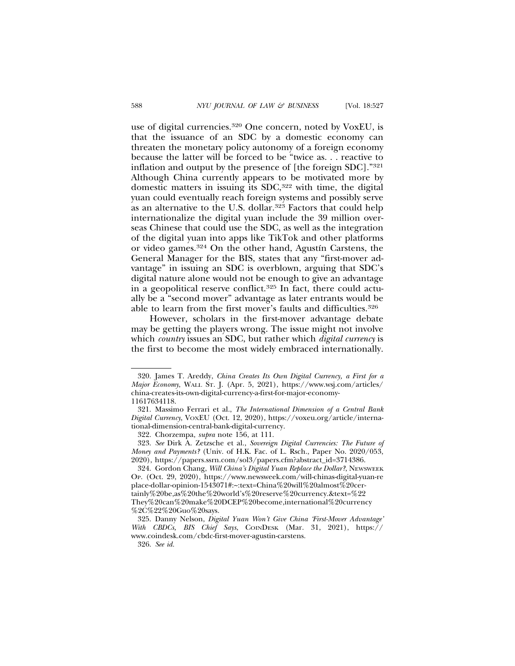use of digital currencies.<sup>320</sup> One concern, noted by VoxEU, is that the issuance of an SDC by a domestic economy can threaten the monetary policy autonomy of a foreign economy because the latter will be forced to be "twice as. . . reactive to inflation and output by the presence of [the foreign SDC]."321 Although China currently appears to be motivated more by domestic matters in issuing its SDC,<sup>322</sup> with time, the digital yuan could eventually reach foreign systems and possibly serve as an alternative to the U.S. dollar.323 Factors that could help internationalize the digital yuan include the 39 million overseas Chinese that could use the SDC, as well as the integration of the digital yuan into apps like TikTok and other platforms or video games.<sup>324</sup> On the other hand, Agustín Carstens, the General Manager for the BIS, states that any "first-mover advantage" in issuing an SDC is overblown, arguing that SDC's digital nature alone would not be enough to give an advantage in a geopolitical reserve conflict.325 In fact, there could actually be a "second mover" advantage as later entrants would be able to learn from the first mover's faults and difficulties.326

However, scholars in the first-mover advantage debate may be getting the players wrong. The issue might not involve which *country* issues an SDC, but rather which *digital currency* is the first to become the most widely embraced internationally.

<sup>320.</sup> James T. Areddy, *China Creates Its Own Digital Currency, a First for a Major Economy*, WALL ST. J. (Apr. 5, 2021), https://www.wsj.com/articles/ china-creates-its-own-digital-currency-a-first-for-major-economy-11617634118.

<sup>321.</sup> Massimo Ferrari et al., *The International Dimension of a Central Bank Digital Currency*, VOXEU (Oct. 12, 2020), https://voxeu.org/article/international-dimension-central-bank-digital-currency.

<sup>322.</sup> Chorzempa, *supra* note 156, at 111.

<sup>323.</sup> *See* Dirk A. Zetzsche et al., *Sovereign Digital Currencies: The Future of Money and Payments?* (Univ. of H.K. Fac. of L. Rsch., Paper No. 2020/053, 2020), https://papers.ssrn.com/sol3/papers.cfm?abstract\_id=3714386.

<sup>324.</sup> Gordon Chang, *Will China's Digital Yuan Replace the Dollar?*, NEWSWEEK OP. (Oct. 29, 2020), https://www.newsweek.com/will-chinas-digital-yuan-re place-dollar-opinion-1543071#:~:text=China%20will%20almost%20certainly%20be,as%20the%20world's%20reserve%20currency.&text=%22 They%20can%20make%20DCEP%20become,international%20currency %2C%22%20Guo%20says.

<sup>325.</sup> Danny Nelson, *Digital Yuan Won't Give China 'First-Mover Advantage' With CBDCs, BIS Chief Says*, COINDESK (Mar. 31, 2021), https:// www.coindesk.com/cbdc-first-mover-agustin-carstens.

<sup>326.</sup> *See id.*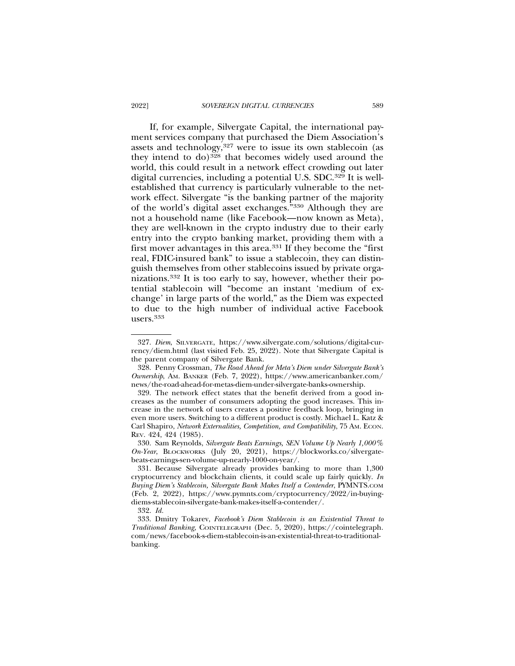If, for example, Silvergate Capital, the international payment services company that purchased the Diem Association's assets and technology,327 were to issue its own stablecoin (as they intend to do)328 that becomes widely used around the world, this could result in a network effect crowding out later digital currencies, including a potential U.S. SDC.329 It is wellestablished that currency is particularly vulnerable to the network effect. Silvergate "is the banking partner of the majority of the world's digital asset exchanges."330 Although they are not a household name (like Facebook—now known as Meta), they are well-known in the crypto industry due to their early entry into the crypto banking market, providing them with a first mover advantages in this area.331 If they become the "first real, FDIC-insured bank" to issue a stablecoin, they can distinguish themselves from other stablecoins issued by private organizations.332 It is too early to say, however, whether their potential stablecoin will "become an instant 'medium of exchange' in large parts of the world," as the Diem was expected to due to the high number of individual active Facebook users.333

<sup>327.</sup> *Diem*, SILVERGATE, https://www.silvergate.com/solutions/digital-currency/diem.html (last visited Feb. 25, 2022). Note that Silvergate Capital is the parent company of Silvergate Bank.

<sup>328.</sup> Penny Crossman, *The Road Ahead for Meta's Diem under Silvergate Bank's Ownership*, AM. BANKER (Feb. 7, 2022), https://www.americanbanker.com/ news/the-road-ahead-for-metas-diem-under-silvergate-banks-ownership.

<sup>329.</sup> The network effect states that the benefit derived from a good increases as the number of consumers adopting the good increases. This increase in the network of users creates a positive feedback loop, bringing in even more users. Switching to a different product is costly. Michael L. Katz & Carl Shapiro, *Network Externalities, Competition, and Compatibility*, 75 AM. ECON. REV. 424, 424 (1985).

<sup>330.</sup> Sam Reynolds, *Silvergate Beats Earnings, SEN Volume Up Nearly 1,000% On-Year*, BLOCKWORKS (July 20, 2021), https://blockworks.co/silvergatebeats-earnings-sen-volume-up-nearly-1000-on-year/.

<sup>331.</sup> Because Silvergate already provides banking to more than 1,300 cryptocurrency and blockchain clients, it could scale up fairly quickly. *In Buying Diem's Stablecoin, Silvergate Bank Makes Itself a Contender*, PYMNTS.COM (Feb. 2, 2022), https://www.pymnts.com/cryptocurrency/2022/in-buyingdiems-stablecoin-silvergate-bank-makes-itself-a-contender/.

<sup>332.</sup> *Id.*

<sup>333.</sup> Dmitry Tokarev, *Facebook's Diem Stablecoin is an Existential Threat to Traditional Banking*, COINTELEGRAPH (Dec. 5, 2020), https://cointelegraph. com/news/facebook-s-diem-stablecoin-is-an-existential-threat-to-traditionalbanking.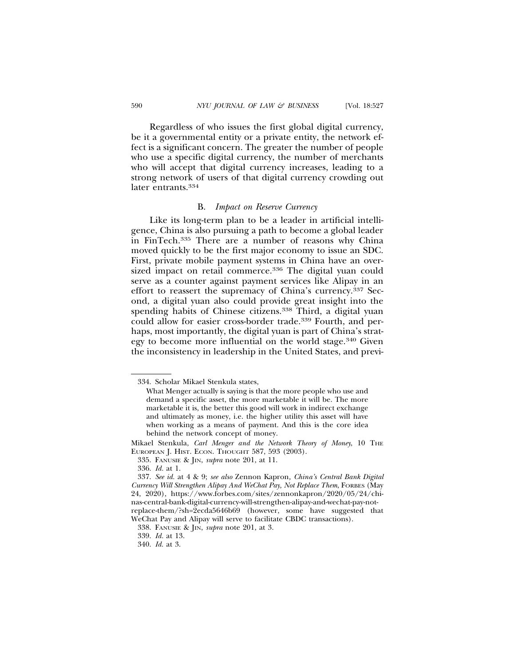Regardless of who issues the first global digital currency, be it a governmental entity or a private entity, the network effect is a significant concern. The greater the number of people who use a specific digital currency, the number of merchants who will accept that digital currency increases, leading to a strong network of users of that digital currency crowding out later entrants.334

### B. *Impact on Reserve Currency*

Like its long-term plan to be a leader in artificial intelligence, China is also pursuing a path to become a global leader in FinTech.335 There are a number of reasons why China moved quickly to be the first major economy to issue an SDC. First, private mobile payment systems in China have an oversized impact on retail commerce.<sup>336</sup> The digital yuan could serve as a counter against payment services like Alipay in an effort to reassert the supremacy of China's currency.337 Second, a digital yuan also could provide great insight into the spending habits of Chinese citizens.<sup>338</sup> Third, a digital yuan could allow for easier cross-border trade.339 Fourth, and perhaps, most importantly, the digital yuan is part of China's strategy to become more influential on the world stage.340 Given the inconsistency in leadership in the United States, and previ-

<sup>334.</sup> Scholar Mikael Stenkula states,

What Menger actually is saying is that the more people who use and demand a specific asset, the more marketable it will be. The more marketable it is, the better this good will work in indirect exchange and ultimately as money, i.e. the higher utility this asset will have when working as a means of payment. And this is the core idea behind the network concept of money.

Mikael Stenkula, *Carl Menger and the Network Theory of Money*, 10 THE EUROPEAN J. HIST. ECON. THOUGHT 587, 593 (2003).

<sup>335.</sup> FANUSIE & JIN, *supra* note 201, at 11.

<sup>336.</sup> *Id.* at 1.

<sup>337.</sup> *See id.* at 4 & 9; *see also* Zennon Kapron*, China's Central Bank Digital Currency Will Strengthen Alipay And WeChat Pay, Not Replace Them*, FORBES (May 24, 2020), https://www.forbes.com/sites/zennonkapron/2020/05/24/chinas-central-bank-digital-currency-will-strengthen-alipay-and-wechat-pay-notreplace-them/?sh=2ecda5646b69 (however, some have suggested that WeChat Pay and Alipay will serve to facilitate CBDC transactions).

<sup>338.</sup> FANUSIE & JIN, *supra* note 201, at 3.

<sup>339.</sup> *Id.* at 13.

<sup>340.</sup> *Id.* at 3.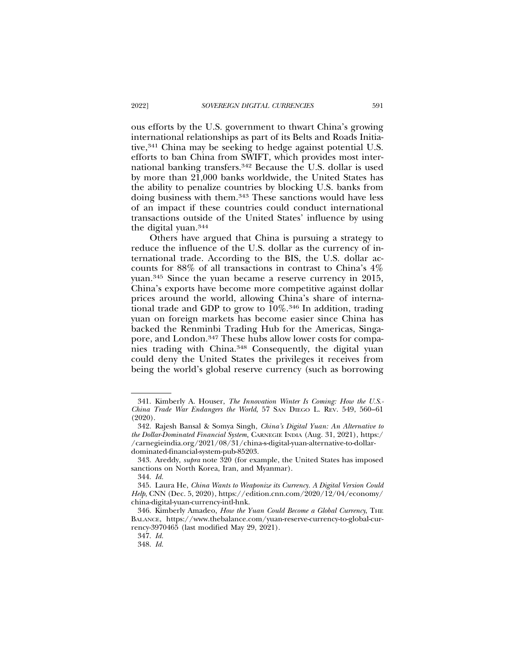ous efforts by the U.S. government to thwart China's growing international relationships as part of its Belts and Roads Initiative,<sup>341</sup> China may be seeking to hedge against potential U.S. efforts to ban China from SWIFT, which provides most international banking transfers.342 Because the U.S. dollar is used by more than 21,000 banks worldwide, the United States has the ability to penalize countries by blocking U.S. banks from doing business with them.343 These sanctions would have less of an impact if these countries could conduct international transactions outside of the United States' influence by using the digital yuan.344

Others have argued that China is pursuing a strategy to reduce the influence of the U.S. dollar as the currency of international trade. According to the BIS, the U.S. dollar accounts for 88% of all transactions in contrast to China's 4% yuan.345 Since the yuan became a reserve currency in 2015, China's exports have become more competitive against dollar prices around the world, allowing China's share of international trade and GDP to grow to  $10\%$ .<sup>346</sup> In addition, trading yuan on foreign markets has become easier since China has backed the Renminbi Trading Hub for the Americas, Singapore, and London.347 These hubs allow lower costs for companies trading with China.348 Consequently, the digital yuan could deny the United States the privileges it receives from being the world's global reserve currency (such as borrowing

<sup>341.</sup> Kimberly A. Houser, *The Innovation Winter Is Coming: How the U.S.- China Trade War Endangers the World*, 57 SAN DIEGO L. REV. 549, 560–61 (2020).

<sup>342.</sup> Rajesh Bansal & Somya Singh, *China's Digital Yuan: An Alternative to the Dollar-Dominated Financial System,* CARNEGIE INDIA (Aug. 31, 2021), https:/ /carnegieindia.org/2021/08/31/china-s-digital-yuan-alternative-to-dollardominated-financial-system-pub-85203.

<sup>343.</sup> Areddy, *supra* note 320 (for example, the United States has imposed sanctions on North Korea, Iran, and Myanmar).

<sup>344.</sup> *Id.*

<sup>345.</sup> Laura He, *China Wants to Weaponize its Currency. A Digital Version Could Help*, CNN (Dec. 5, 2020), https://edition.cnn.com/2020/12/04/economy/ china-digital-yuan-currency-intl-hnk.

<sup>346.</sup> Kimberly Amadeo, *How the Yuan Could Become a Global Currency*, THE BALANCE, https://www.thebalance.com/yuan-reserve-currency-to-global-currency-3970465 (last modified May 29, 2021).

<sup>347.</sup> *Id.*

<sup>348.</sup> *Id.*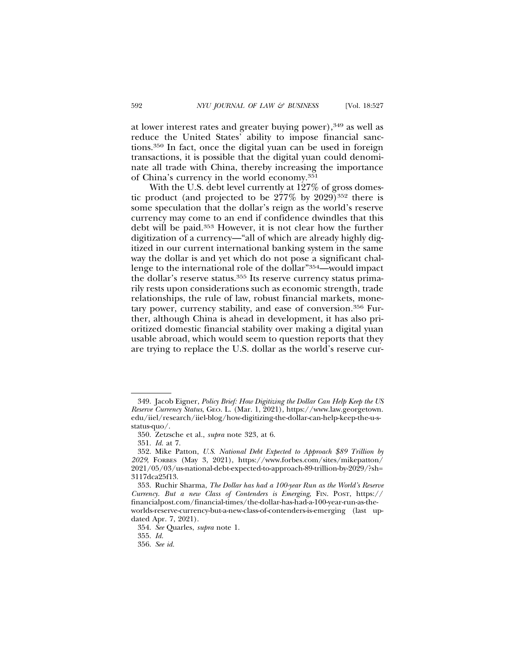at lower interest rates and greater buying power),349 as well as reduce the United States' ability to impose financial sanctions.350 In fact, once the digital yuan can be used in foreign transactions, it is possible that the digital yuan could denominate all trade with China, thereby increasing the importance of China's currency in the world economy.351

With the U.S. debt level currently at 127% of gross domestic product (and projected to be  $277\%$  by  $2029$ )<sup>352</sup> there is some speculation that the dollar's reign as the world's reserve currency may come to an end if confidence dwindles that this debt will be paid.353 However, it is not clear how the further digitization of a currency—"all of which are already highly digitized in our current international banking system in the same way the dollar is and yet which do not pose a significant challenge to the international role of the dollar"354—would impact the dollar's reserve status.355 Its reserve currency status primarily rests upon considerations such as economic strength, trade relationships, the rule of law, robust financial markets, monetary power, currency stability, and ease of conversion.356 Further, although China is ahead in development, it has also prioritized domestic financial stability over making a digital yuan usable abroad, which would seem to question reports that they are trying to replace the U.S. dollar as the world's reserve cur-

<sup>349.</sup> Jacob Eigner, *Policy Brief: How Digitizing the Dollar Can Help Keep the US Reserve Currency Status*, GEO. L. (Mar. 1, 2021), https://www.law.georgetown. edu/iiel/research/iiel-blog/how-digitizing-the-dollar-can-help-keep-the-u-sstatus-quo/.

<sup>350.</sup> Zetzsche et al., *supra* note 323, at 6.

<sup>351.</sup> *Id.* at 7.

<sup>352.</sup> Mike Patton, *U.S. National Debt Expected to Approach \$89 Trillion by 2029*, FORBES (May 3, 2021), https://www.forbes.com/sites/mikepatton/ 2021/05/03/us-national-debt-expected-to-approach-89-trillion-by-2029/?sh= 3117dca25f13.

<sup>353.</sup> Ruchir Sharma, *The Dollar has had a 100-year Run as the World's Reserve Currency. But a new Class of Contenders is Emerging*, FIN. POST, https:// financialpost.com/financial-times/the-dollar-has-had-a-100-year-run-as-theworlds-reserve-currency-but-a-new-class-of-contenders-is-emerging (last updated Apr. 7, 2021).

<sup>354.</sup> *See* Quarles, *supra* note 1.

<sup>355.</sup> *Id.*

<sup>356.</sup> *See id.*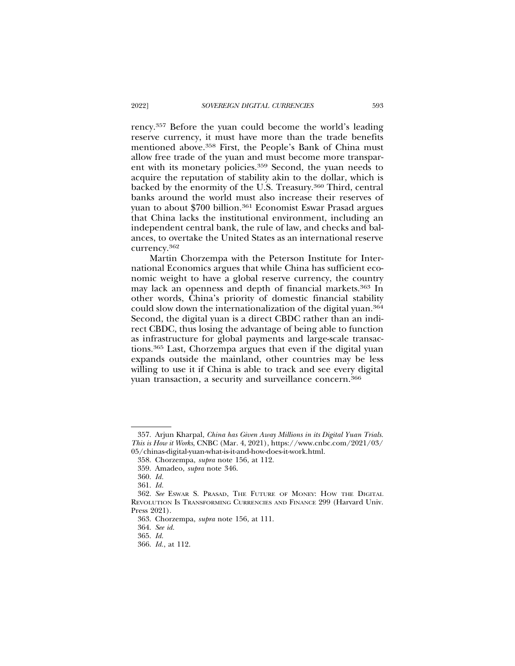rency.357 Before the yuan could become the world's leading reserve currency, it must have more than the trade benefits mentioned above.358 First, the People's Bank of China must allow free trade of the yuan and must become more transparent with its monetary policies.359 Second, the yuan needs to acquire the reputation of stability akin to the dollar, which is backed by the enormity of the U.S. Treasury.360 Third, central banks around the world must also increase their reserves of yuan to about \$700 billion.<sup>361</sup> Economist Eswar Prasad argues that China lacks the institutional environment, including an independent central bank, the rule of law, and checks and balances, to overtake the United States as an international reserve currency.362

Martin Chorzempa with the Peterson Institute for International Economics argues that while China has sufficient economic weight to have a global reserve currency, the country may lack an openness and depth of financial markets.363 In other words, China's priority of domestic financial stability could slow down the internationalization of the digital yuan.364 Second, the digital yuan is a direct CBDC rather than an indirect CBDC, thus losing the advantage of being able to function as infrastructure for global payments and large-scale transactions.365 Last, Chorzempa argues that even if the digital yuan expands outside the mainland, other countries may be less willing to use it if China is able to track and see every digital yuan transaction, a security and surveillance concern.366

<sup>357.</sup> Arjun Kharpal, *China has Given Away Millions in its Digital Yuan Trials. This is How it Works*, CNBC (Mar. 4, 2021), https://www.cnbc.com/2021/03/ 05/chinas-digital-yuan-what-is-it-and-how-does-it-work.html.

<sup>358.</sup> Chorzempa, *supra* note 156, at 112.

<sup>359.</sup> Amadeo, *supra* note 346.

<sup>360.</sup> *Id.*

<sup>361.</sup> *Id.*

<sup>362.</sup> *See* ESWAR S. PRASAD, THE FUTURE OF MONEY: HOW THE DIGITAL REVOLUTION IS TRANSFORMING CURRENCIES AND FINANCE 299 (Harvard Univ. Press 2021).

<sup>363.</sup> Chorzempa, *supra* note 156, at 111.

<sup>364.</sup> *See id.*

<sup>365.</sup> *Id.*

<sup>366.</sup> *Id.*, at 112.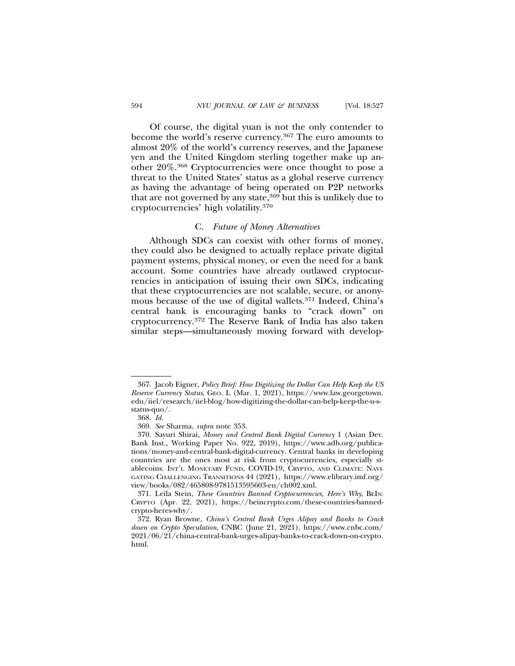Of course, the digital yuan is not the only contender to become the world's reserve currency.367 The euro amounts to almost 20% of the world's currency reserves, and the Japanese yen and the United Kingdom sterling together make up another 20%.368 Cryptocurrencies were once thought to pose a threat to the United States' status as a global reserve currency as having the advantage of being operated on P2P networks that are not governed by any state,<sup>369</sup> but this is unlikely due to cryptocurrencies' high volatility.370

#### C. *Future of Money Alternatives*

Although SDCs can coexist with other forms of money, they could also be designed to actually replace private digital payment systems, physical money, or even the need for a bank account. Some countries have already outlawed cryptocurrencies in anticipation of issuing their own SDCs, indicating that these cryptocurrencies are not scalable, secure, or anonymous because of the use of digital wallets.371 Indeed, China's central bank is encouraging banks to "crack down" on cryptocurrency.372 The Reserve Bank of India has also taken similar steps—simultaneously moving forward with develop-

<sup>367.</sup> Jacob Eigner, *Policy Brief: How Digitizing the Dollar Can Help Keep the US Reserve Currency Status*, GEO. L (Mar. 1, 2021), https://www.law.georgetown. edu/iiel/research/iiel-blog/how-digitizing-the-dollar-can-help-keep-the-u-sstatus-quo/.

<sup>368.</sup> *Id.*

<sup>369.</sup> *See* Sharma, *supra* note 353.

<sup>370.</sup> Sayuri Shirai, *Money and Central Bank Digital Currency* 1 (Asian Dev. Bank Inst., Working Paper No. 922, 2019), https://www.adb.org/publications/money-and-central-bank-digital-currency. Central banks in developing countries are the ones most at risk from cryptocurrencies, especially stablecoins. INT'L MONETARY FUND, COVID-19, CRYPTO, AND CLIMATE: NAVI-GATING CHALLENGING TRANSITIONS 44 (2021), https://www.elibrary.imf.org/ view/books/082/465808-9781513595603-en/ch002.xml.

<sup>371.</sup> Leila Stein, *These Countries Banned Cryptocurrencies, Here's Why*, BEIN-CRYPTO (Apr. 22, 2021), https://beincrypto.com/these-countries-bannedcrypto-heres-why/.

<sup>372.</sup> Ryan Browne, *China's Central Bank Urges Alipay and Banks to Crack down on Crypto Speculation*, CNBC (June 21, 2021), https://www.cnbc.com/ 2021/06/21/china-central-bank-urges-alipay-banks-to-crack-down-on-crypto. html.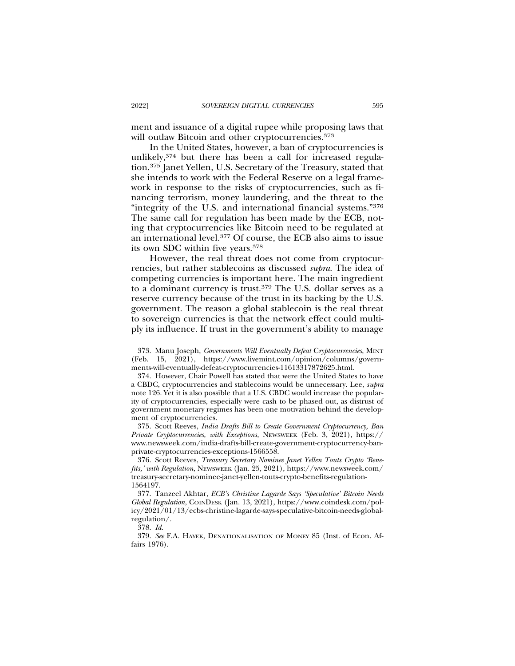ment and issuance of a digital rupee while proposing laws that will outlaw Bitcoin and other cryptocurrencies.<sup>373</sup>

In the United States, however, a ban of cryptocurrencies is unlikely,374 but there has been a call for increased regulation.375 Janet Yellen, U.S. Secretary of the Treasury, stated that she intends to work with the Federal Reserve on a legal framework in response to the risks of cryptocurrencies, such as financing terrorism, money laundering, and the threat to the "integrity of the U.S. and international financial systems."376 The same call for regulation has been made by the ECB, noting that cryptocurrencies like Bitcoin need to be regulated at an international level.377 Of course, the ECB also aims to issue its own SDC within five years.378

However, the real threat does not come from cryptocurrencies, but rather stablecoins as discussed *supra*. The idea of competing currencies is important here. The main ingredient to a dominant currency is trust.379 The U.S. dollar serves as a reserve currency because of the trust in its backing by the U.S. government. The reason a global stablecoin is the real threat to sovereign currencies is that the network effect could multiply its influence. If trust in the government's ability to manage

375. Scott Reeves, *India Drafts Bill to Create Government Cryptocurrency, Ban Private Cryptocurrencies, with Exceptions*, NEWSWEEK (Feb. 3, 2021), https:// www.newsweek.com/india-drafts-bill-create-government-cryptocurrency-banprivate-cryptocurrencies-exceptions-1566558.

<sup>373.</sup> Manu Joseph, *Governments Will Eventually Defeat* C*ryptocurrencies*, MINT (Feb. 15, 2021), https://www.livemint.com/opinion/columns/governments-will-eventually-defeat-cryptocurrencies-11613317872625.html.

<sup>374.</sup> However, Chair Powell has stated that were the United States to have a CBDC, cryptocurrencies and stablecoins would be unnecessary. Lee, *supra* note 126. Yet it is also possible that a U.S. CBDC would increase the popularity of cryptocurrencies, especially were cash to be phased out, as distrust of government monetary regimes has been one motivation behind the development of cryptocurrencies.

<sup>376.</sup> Scott Reeves, *Treasury Secretary Nominee Janet Yellen Touts Crypto 'Benefits,' with Regulation*, NEWSWEEK (Jan. 25, 2021), https://www.newsweek.com/ treasury-secretary-nominee-janet-yellen-touts-crypto-benefits-regulation-1564197.

<sup>377.</sup> Tanzeel Akhtar, *ECB's Christine Lagarde Says 'Speculative' Bitcoin Needs Global Regulation*, COINDESK (Jan. 13, 2021), https://www.coindesk.com/policy/2021/01/13/ecbs-christine-lagarde-says-speculative-bitcoin-needs-globalregulation/.

<sup>378.</sup> *Id.*

<sup>379.</sup> *See* F.A. HAYEK, DENATIONALISATION OF MONEY 85 (Inst. of Econ. Affairs 1976).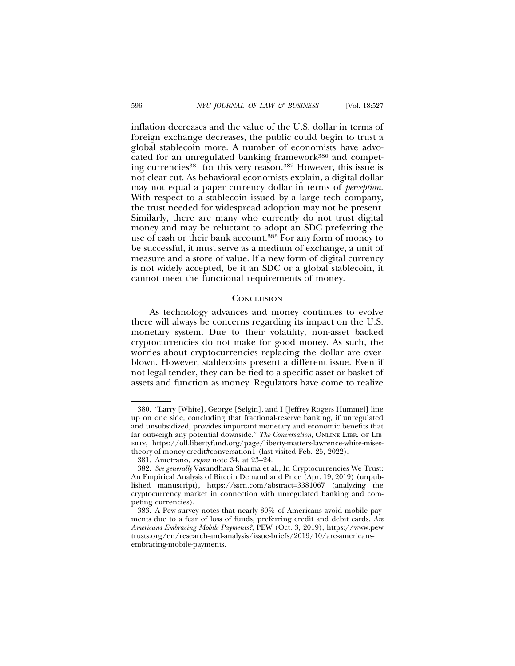inflation decreases and the value of the U.S. dollar in terms of foreign exchange decreases, the public could begin to trust a global stablecoin more. A number of economists have advocated for an unregulated banking framework<sup>380</sup> and competing currencies<sup>381</sup> for this very reason.<sup>382</sup> However, this issue is not clear cut. As behavioral economists explain, a digital dollar may not equal a paper currency dollar in terms of *perception*. With respect to a stablecoin issued by a large tech company, the trust needed for widespread adoption may not be present. Similarly, there are many who currently do not trust digital money and may be reluctant to adopt an SDC preferring the use of cash or their bank account.<sup>383</sup> For any form of money to be successful, it must serve as a medium of exchange, a unit of measure and a store of value. If a new form of digital currency is not widely accepted, be it an SDC or a global stablecoin, it cannot meet the functional requirements of money.

#### **CONCLUSION**

As technology advances and money continues to evolve there will always be concerns regarding its impact on the U.S. monetary system. Due to their volatility, non-asset backed cryptocurrencies do not make for good money. As such, the worries about cryptocurrencies replacing the dollar are overblown. However, stablecoins present a different issue. Even if not legal tender, they can be tied to a specific asset or basket of assets and function as money. Regulators have come to realize

<sup>380. &</sup>quot;Larry [White], George [Selgin], and I [Jeffrey Rogers Hummel] line up on one side, concluding that fractional-reserve banking, if unregulated and unsubsidized, provides important monetary and economic benefits that far outweigh any potential downside." The Conversation, ONLINE LIBR. OF LIB-ERTY, https://oll.libertyfund.org/page/liberty-matters-lawrence-white-misestheory-of-money-credit#conversation1 (last visited Feb. 25, 2022).

<sup>381.</sup> Ametrano, *supra* note 34, at 23–24.

<sup>382.</sup> *See generally* Vasundhara Sharma et al., In Cryptocurrencies We Trust: An Empirical Analysis of Bitcoin Demand and Price (Apr. 19, 2019) (unpublished manuscript), https://ssrn.com/abstract=3381067 (analyzing the cryptocurrency market in connection with unregulated banking and competing currencies).

<sup>383.</sup> A Pew survey notes that nearly 30% of Americans avoid mobile payments due to a fear of loss of funds, preferring credit and debit cards. *Are Americans Embracing Mobile Payments?*, PEW (Oct. 3, 2019), https://www.pew trusts.org/en/research-and-analysis/issue-briefs/2019/10/are-americansembracing-mobile-payments.